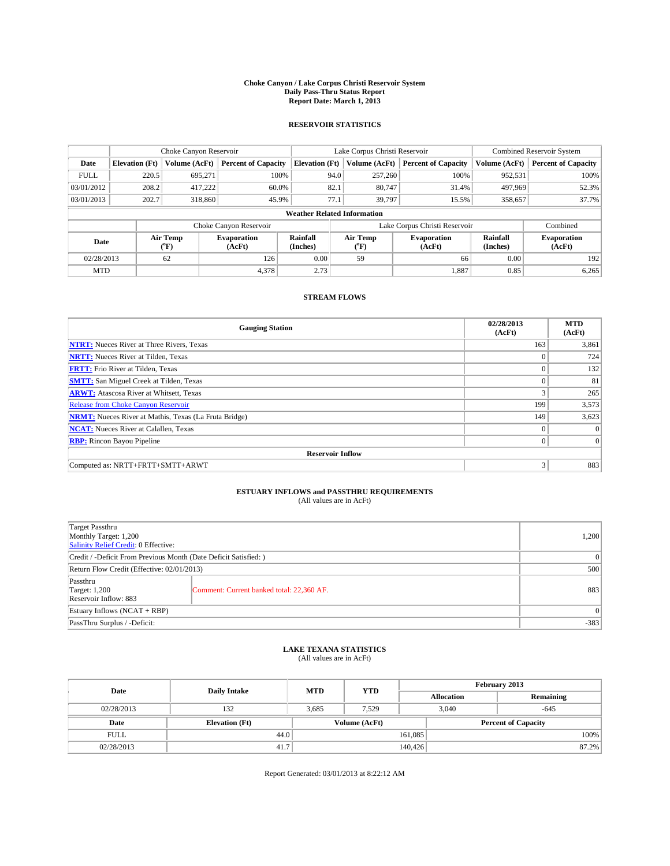#### **Choke Canyon / Lake Corpus Christi Reservoir System Daily Pass-Thru Status Report Report Date: March 1, 2013**

### **RESERVOIR STATISTICS**

|             |                       | Choke Canyon Reservoir |                              |                                    | Lake Corpus Christi Reservoir | <b>Combined Reservoir System</b> |                      |                              |
|-------------|-----------------------|------------------------|------------------------------|------------------------------------|-------------------------------|----------------------------------|----------------------|------------------------------|
| Date        | <b>Elevation</b> (Ft) | Volume (AcFt)          | <b>Percent of Capacity</b>   | <b>Elevation (Ft)</b>              | Volume (AcFt)                 | <b>Percent of Capacity</b>       | Volume (AcFt)        | <b>Percent of Capacity</b>   |
| <b>FULL</b> | 220.5                 | 695,271                | 100%                         | 94.0                               | 257,260                       | 100%                             | 952,531              | 100%                         |
| 03/01/2012  | 208.2                 | 417,222                | 60.0%                        | 82.1                               | 80,747                        | 31.4%                            | 497,969              | 52.3%                        |
| 03/01/2013  | 202.7                 | 318,860                | 45.9%                        | 77.1                               | 39.797                        | 15.5%                            | 358,657              | 37.7%                        |
|             |                       |                        |                              | <b>Weather Related Information</b> |                               |                                  |                      |                              |
|             |                       |                        | Choke Canyon Reservoir       |                                    | Lake Corpus Christi Reservoir | Combined                         |                      |                              |
| Date        |                       | Air Temp<br>(°F)       | <b>Evaporation</b><br>(AcFt) | Rainfall<br>(Inches)               | Air Temp<br>$\rm ^{(o}\!F)$   | <b>Evaporation</b><br>(AcFt)     | Rainfall<br>(Inches) | <b>Evaporation</b><br>(AcFt) |
| 02/28/2013  |                       | 62                     | 126                          | 0.00                               | 59                            | 66                               | 0.00                 | 192                          |
|             | 4,378<br><b>MTD</b>   |                        | 2.73                         |                                    | 1,887                         | 0.85                             | 6,265                |                              |

### **STREAM FLOWS**

| <b>Gauging Station</b>                                       | 02/28/2013<br>(AcFt) | <b>MTD</b><br>(AcFt) |
|--------------------------------------------------------------|----------------------|----------------------|
| <b>NTRT:</b> Nueces River at Three Rivers, Texas             | 163                  | 3,861                |
| <b>NRTT:</b> Nueces River at Tilden, Texas                   | $\theta$             | 724                  |
| <b>FRTT:</b> Frio River at Tilden, Texas                     |                      | 132                  |
| <b>SMTT:</b> San Miguel Creek at Tilden, Texas               | $\theta$             | 81                   |
| <b>ARWT:</b> Atascosa River at Whitsett, Texas               | 3                    | 265                  |
| <b>Release from Choke Canyon Reservoir</b>                   | 199                  | 3,573                |
| <b>NRMT:</b> Nueces River at Mathis, Texas (La Fruta Bridge) | 149                  | 3,623                |
| <b>NCAT:</b> Nueces River at Calallen, Texas                 | $\theta$             | $\Omega$             |
| <b>RBP:</b> Rincon Bayou Pipeline                            | $\Omega$             | $\vert$ 0            |
| <b>Reservoir Inflow</b>                                      |                      |                      |
| Computed as: NRTT+FRTT+SMTT+ARWT                             | 3                    | 883                  |

# **ESTUARY INFLOWS and PASSTHRU REQUIREMENTS**<br>(All values are in AcFt)

| Target Passthru<br>Monthly Target: 1,200<br>Salinity Relief Credit: 0 Effective: |                                           |     |  |
|----------------------------------------------------------------------------------|-------------------------------------------|-----|--|
| Credit / -Deficit From Previous Month (Date Deficit Satisfied: )                 |                                           |     |  |
| Return Flow Credit (Effective: 02/01/2013)                                       |                                           |     |  |
| Passthru<br><b>Target: 1,200</b><br>Reservoir Inflow: 883                        | Comment: Current banked total: 22,360 AF. | 883 |  |
| Estuary Inflows $(NCAT + RBP)$                                                   |                                           |     |  |
| PassThru Surplus / -Deficit:                                                     |                                           |     |  |

# **LAKE TEXANA STATISTICS** (All values are in AcFt)

| Date        | <b>Daily Intake</b>   | <b>MTD</b> | <b>YTD</b>    | February 2013 |                            |           |  |
|-------------|-----------------------|------------|---------------|---------------|----------------------------|-----------|--|
|             |                       |            |               |               | <b>Allocation</b>          | Remaining |  |
| 02/28/2013  | 132                   | 3.685      | 7.529         |               | 3,040<br>$-645$            |           |  |
| Date        | <b>Elevation</b> (Ft) |            | Volume (AcFt) |               | <b>Percent of Capacity</b> |           |  |
| <b>FULL</b> | 44.0                  |            |               | 161,085       |                            | 100%      |  |
| 02/28/2013  | 41.7                  |            |               | 140,426       |                            | 87.2%     |  |

Report Generated: 03/01/2013 at 8:22:12 AM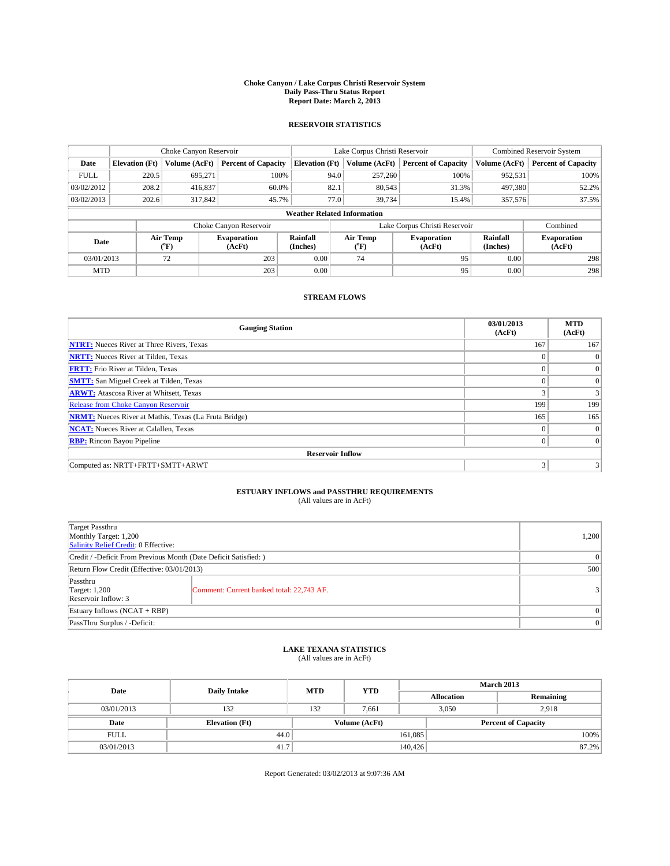#### **Choke Canyon / Lake Corpus Christi Reservoir System Daily Pass-Thru Status Report Report Date: March 2, 2013**

### **RESERVOIR STATISTICS**

|             |                       | Choke Canyon Reservoir |                              |                                    | Lake Corpus Christi Reservoir | <b>Combined Reservoir System</b> |                      |                              |
|-------------|-----------------------|------------------------|------------------------------|------------------------------------|-------------------------------|----------------------------------|----------------------|------------------------------|
| Date        | <b>Elevation</b> (Ft) | Volume (AcFt)          | <b>Percent of Capacity</b>   | <b>Elevation (Ft)</b>              | Volume (AcFt)                 | <b>Percent of Capacity</b>       | Volume (AcFt)        | <b>Percent of Capacity</b>   |
| <b>FULL</b> | 220.5                 | 695,271                | 100%                         | 94.0                               | 257,260                       | 100%                             | 952,531              | 100%                         |
| 03/02/2012  | 208.2                 | 416,837                | 60.0%                        | 82.1                               | 80,543                        | 31.3%                            | 497,380              | 52.2%                        |
| 03/02/2013  | 202.6                 | 317,842                | 45.7%                        |                                    | 77.0<br>39.734                | 15.4%                            | 357,576              | 37.5%                        |
|             |                       |                        |                              | <b>Weather Related Information</b> |                               |                                  |                      |                              |
|             |                       |                        | Choke Canyon Reservoir       |                                    | Lake Corpus Christi Reservoir |                                  | Combined             |                              |
| Date        |                       | Air Temp<br>(°F)       | <b>Evaporation</b><br>(AcFt) | Rainfall<br>(Inches)               | Air Temp<br>("F)              | <b>Evaporation</b><br>(AcFt)     | Rainfall<br>(Inches) | <b>Evaporation</b><br>(AcFt) |
| 03/01/2013  |                       | 72                     | 203                          | 0.00                               | 74                            | 95                               | 0.00                 | 298                          |
| <b>MTD</b>  |                       |                        | 203                          | 0.00                               |                               | 95                               | 0.00                 | 298                          |

### **STREAM FLOWS**

| <b>Gauging Station</b>                                       | 03/01/2013<br>(AcFt) | <b>MTD</b><br>(AcFt) |
|--------------------------------------------------------------|----------------------|----------------------|
| <b>NTRT:</b> Nueces River at Three Rivers, Texas             | 167                  | 167                  |
| <b>NRTT:</b> Nueces River at Tilden, Texas                   | $\theta$             | $\theta$             |
| <b>FRTT:</b> Frio River at Tilden, Texas                     |                      | $\overline{0}$       |
| <b>SMTT:</b> San Miguel Creek at Tilden, Texas               | $\theta$             | $\overline{0}$       |
| <b>ARWT:</b> Atascosa River at Whitsett, Texas               |                      | 3                    |
| <b>Release from Choke Canyon Reservoir</b>                   | 199                  | 199                  |
| <b>NRMT:</b> Nueces River at Mathis, Texas (La Fruta Bridge) | 165                  | 165                  |
| <b>NCAT:</b> Nueces River at Calallen, Texas                 | $\theta$             | $\overline{0}$       |
| <b>RBP:</b> Rincon Bayou Pipeline                            | $\theta$             | $\Omega$             |
| <b>Reservoir Inflow</b>                                      |                      |                      |
| Computed as: NRTT+FRTT+SMTT+ARWT                             | 3                    |                      |

# **ESTUARY INFLOWS and PASSTHRU REQUIREMENTS**<br>(All values are in AcFt)

| <b>Target Passthru</b><br>Monthly Target: 1,200<br>Salinity Relief Credit: 0 Effective: |                                           |   |  |  |
|-----------------------------------------------------------------------------------------|-------------------------------------------|---|--|--|
| Credit / -Deficit From Previous Month (Date Deficit Satisfied: )                        |                                           |   |  |  |
| Return Flow Credit (Effective: 03/01/2013)                                              |                                           |   |  |  |
| Passthru<br><b>Target: 1,200</b><br>Reservoir Inflow: 3                                 | Comment: Current banked total: 22,743 AF. | 3 |  |  |
| Estuary Inflows (NCAT + RBP)                                                            |                                           |   |  |  |
| PassThru Surplus / -Deficit:                                                            |                                           |   |  |  |

## **LAKE TEXANA STATISTICS** (All values are in AcFt)

| Date        |                       | <b>MTD</b> | <b>YTD</b>    | <b>March 2013</b> |                |                            |  |
|-------------|-----------------------|------------|---------------|-------------------|----------------|----------------------------|--|
|             | <b>Daily Intake</b>   |            |               | <b>Allocation</b> |                | Remaining                  |  |
| 03/01/2013  | 132                   | 132        | 7.661         |                   | 3,050<br>2.918 |                            |  |
| Date        | <b>Elevation</b> (Ft) |            | Volume (AcFt) |                   |                | <b>Percent of Capacity</b> |  |
| <b>FULL</b> | 44.0                  |            |               | 161,085           |                | 100%                       |  |
| 03/01/2013  | 41.7                  |            |               | 140,426           |                | 87.2%                      |  |

Report Generated: 03/02/2013 at 9:07:36 AM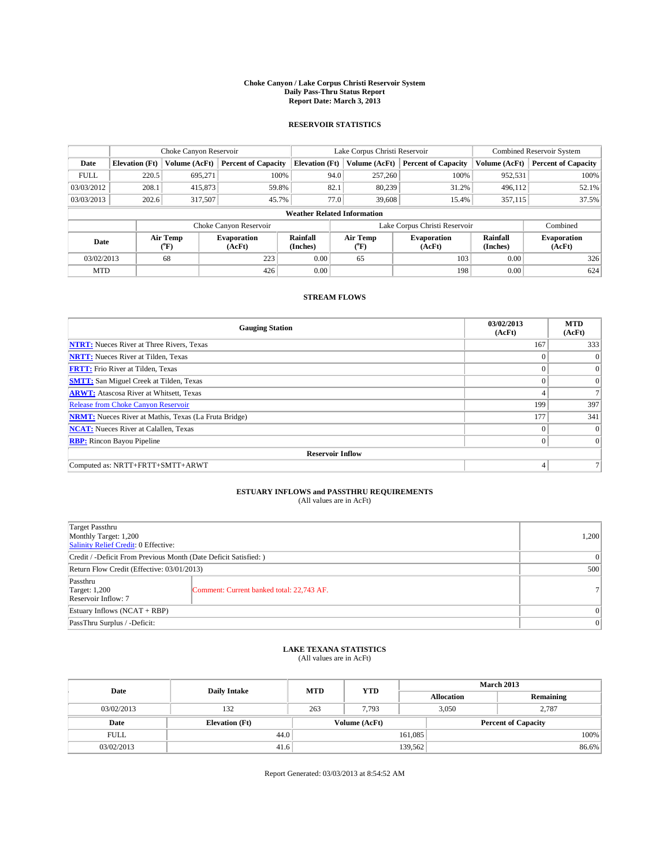#### **Choke Canyon / Lake Corpus Christi Reservoir System Daily Pass-Thru Status Report Report Date: March 3, 2013**

### **RESERVOIR STATISTICS**

|             |                                    | Choke Canyon Reservoir |                              |                       | Lake Corpus Christi Reservoir | <b>Combined Reservoir System</b> |                      |                              |  |
|-------------|------------------------------------|------------------------|------------------------------|-----------------------|-------------------------------|----------------------------------|----------------------|------------------------------|--|
| Date        | <b>Elevation</b> (Ft)              | Volume (AcFt)          | <b>Percent of Capacity</b>   | <b>Elevation (Ft)</b> | Volume (AcFt)                 | <b>Percent of Capacity</b>       | Volume (AcFt)        | <b>Percent of Capacity</b>   |  |
| <b>FULL</b> | 220.5                              | 695,271                | 100%                         | 94.0                  | 257,260                       | 100%                             | 952,531              | 100%                         |  |
| 03/03/2012  | 208.1                              | 415,873                | 59.8%                        | 82.1                  | 80,239                        | 31.2%                            | 496,112              | 52.1%                        |  |
| 03/03/2013  | 202.6                              | 317,507                | 45.7%                        | 77.0                  | 39,608                        | 15.4%                            | 357,115              | 37.5%                        |  |
|             | <b>Weather Related Information</b> |                        |                              |                       |                               |                                  |                      |                              |  |
|             |                                    |                        | Choke Canyon Reservoir       |                       | Lake Corpus Christi Reservoir |                                  | Combined             |                              |  |
| Date        |                                    | Air Temp<br>(°F)       | <b>Evaporation</b><br>(AcFt) | Rainfall<br>(Inches)  | Air Temp<br>$(^{0}F)$         | <b>Evaporation</b><br>(AcFt)     | Rainfall<br>(Inches) | <b>Evaporation</b><br>(AcFt) |  |
| 03/02/2013  |                                    | 68                     | 223                          | 0.00                  | 65                            | 103                              | 0.00                 | 326                          |  |
| <b>MTD</b>  |                                    |                        | 426                          | 0.00                  |                               | 198                              | 0.00                 | 624                          |  |

### **STREAM FLOWS**

| <b>Gauging Station</b>                                       | 03/02/2013<br>(AcFt) | <b>MTD</b><br>(AcFt) |
|--------------------------------------------------------------|----------------------|----------------------|
| <b>NTRT:</b> Nueces River at Three Rivers, Texas             | 167                  | 333                  |
| <b>NRTT:</b> Nueces River at Tilden, Texas                   | $\theta$             | $\Omega$             |
| <b>FRTT:</b> Frio River at Tilden, Texas                     |                      | $\overline{0}$       |
| <b>SMTT:</b> San Miguel Creek at Tilden, Texas               | $\theta$             | $\overline{0}$       |
| <b>ARWT:</b> Atascosa River at Whitsett, Texas               |                      |                      |
| <b>Release from Choke Canyon Reservoir</b>                   | 199                  | 397                  |
| <b>NRMT:</b> Nueces River at Mathis, Texas (La Fruta Bridge) | 177                  | 341                  |
| <b>NCAT:</b> Nueces River at Calallen, Texas                 | $\theta$             | $\overline{0}$       |
| <b>RBP:</b> Rincon Bayou Pipeline                            | $\theta$             | $\Omega$             |
| <b>Reservoir Inflow</b>                                      |                      |                      |
| Computed as: NRTT+FRTT+SMTT+ARWT                             | 4                    |                      |

# **ESTUARY INFLOWS and PASSTHRU REQUIREMENTS**<br>(All values are in AcFt)

| <b>Target Passthru</b><br>Monthly Target: 1,200<br>Salinity Relief Credit: 0 Effective: |                                           |    |  |  |
|-----------------------------------------------------------------------------------------|-------------------------------------------|----|--|--|
| Credit / -Deficit From Previous Month (Date Deficit Satisfied: )                        |                                           |    |  |  |
| Return Flow Credit (Effective: 03/01/2013)                                              |                                           |    |  |  |
| Passthru<br><b>Target: 1,200</b><br>Reservoir Inflow: 7                                 | Comment: Current banked total: 22,743 AF. | 71 |  |  |
| Estuary Inflows (NCAT + RBP)                                                            |                                           |    |  |  |
| PassThru Surplus / -Deficit:                                                            |                                           |    |  |  |

## **LAKE TEXANA STATISTICS** (All values are in AcFt)

| Date        | <b>Daily Intake</b>   | <b>MTD</b> | <b>YTD</b>    | <b>March 2013</b> |                            |           |       |
|-------------|-----------------------|------------|---------------|-------------------|----------------------------|-----------|-------|
|             |                       |            |               | <b>Allocation</b> |                            | Remaining |       |
| 03/02/2013  | 132                   | 263        | 7,793         |                   | 3,050<br>2,787             |           |       |
| Date        | <b>Elevation</b> (Ft) |            | Volume (AcFt) |                   | <b>Percent of Capacity</b> |           |       |
| <b>FULL</b> | 44.0                  |            |               | 161,085           |                            |           | 100%  |
| 03/02/2013  | 41.6                  |            |               | 139,562           |                            |           | 86.6% |

Report Generated: 03/03/2013 at 8:54:52 AM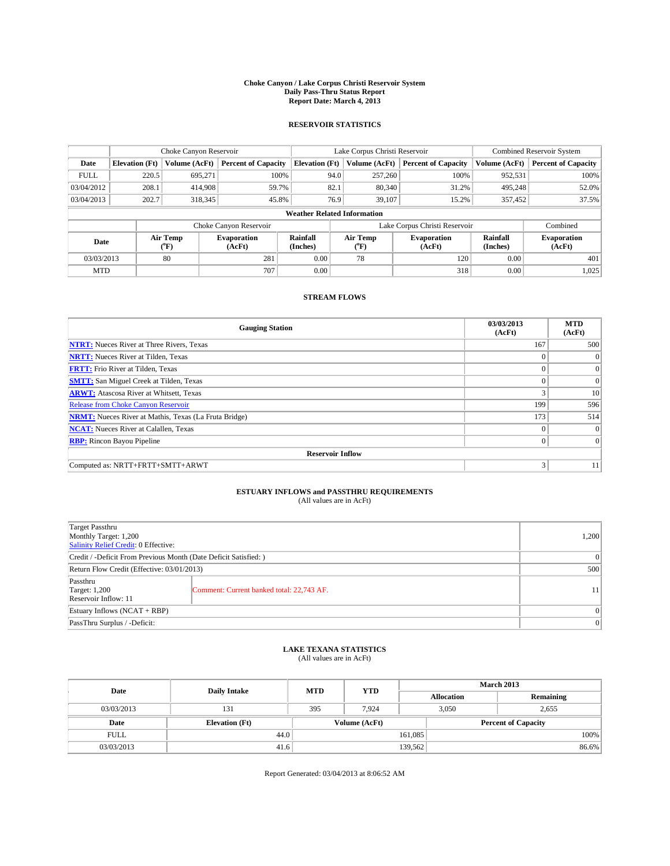#### **Choke Canyon / Lake Corpus Christi Reservoir System Daily Pass-Thru Status Report Report Date: March 4, 2013**

### **RESERVOIR STATISTICS**

|                          |                                    | Choke Canyon Reservoir       |                            |                       | Lake Corpus Christi Reservoir | <b>Combined Reservoir System</b> |                              |                            |  |
|--------------------------|------------------------------------|------------------------------|----------------------------|-----------------------|-------------------------------|----------------------------------|------------------------------|----------------------------|--|
| Date                     | <b>Elevation</b> (Ft)              | Volume (AcFt)                | <b>Percent of Capacity</b> | <b>Elevation (Ft)</b> | Volume (AcFt)                 | <b>Percent of Capacity</b>       | Volume (AcFt)                | <b>Percent of Capacity</b> |  |
| <b>FULL</b>              | 220.5                              | 695,271                      | 100%                       | 94.0                  | 257,260                       | 100%                             | 952,531                      | 100%                       |  |
| 03/04/2012               | 208.1                              | 414.908                      | 59.7%                      | 82.1                  | 80,340                        | 31.2%                            | 495,248                      | 52.0%                      |  |
| 03/04/2013               | 202.7                              | 318,345                      | 45.8%                      | 76.9                  | 39.107                        | 15.2%                            | 357,452                      | 37.5%                      |  |
|                          | <b>Weather Related Information</b> |                              |                            |                       |                               |                                  |                              |                            |  |
|                          |                                    |                              | Choke Canyon Reservoir     |                       |                               | Lake Corpus Christi Reservoir    |                              | Combined                   |  |
| Air Temp<br>Date<br>(°F) |                                    | <b>Evaporation</b><br>(AcFt) | Rainfall<br>(Inches)       | Air Temp<br>$(^{0}F)$ | <b>Evaporation</b><br>(AcFt)  | Rainfall<br>(Inches)             | <b>Evaporation</b><br>(AcFt) |                            |  |
| 03/03/2013               |                                    | 80                           | 281                        | 0.00                  | 78                            | 120                              | 0.00                         | 401                        |  |
| <b>MTD</b>               |                                    |                              | 707                        | 0.00                  |                               | 318                              | 0.00                         | 1,025                      |  |

### **STREAM FLOWS**

| <b>Gauging Station</b>                                       | 03/03/2013<br>(AcFt) | <b>MTD</b><br>(AcFt) |  |  |  |  |
|--------------------------------------------------------------|----------------------|----------------------|--|--|--|--|
| <b>NTRT:</b> Nueces River at Three Rivers, Texas             | 167                  | 500                  |  |  |  |  |
| <b>NRTT:</b> Nueces River at Tilden, Texas                   |                      | $\mathbf{0}$         |  |  |  |  |
| <b>FRTT:</b> Frio River at Tilden, Texas                     |                      | $\overline{0}$       |  |  |  |  |
| <b>SMTT:</b> San Miguel Creek at Tilden, Texas               | $\Omega$             | $\overline{0}$       |  |  |  |  |
| <b>ARWT:</b> Atascosa River at Whitsett, Texas               |                      | 10                   |  |  |  |  |
| <b>Release from Choke Canyon Reservoir</b>                   | 199                  | 596                  |  |  |  |  |
| <b>NRMT:</b> Nueces River at Mathis, Texas (La Fruta Bridge) | 173                  | 514                  |  |  |  |  |
| <b>NCAT:</b> Nueces River at Calallen, Texas                 | $\Omega$             | $\overline{0}$       |  |  |  |  |
| <b>RBP:</b> Rincon Bayou Pipeline                            | $\theta$             | $\Omega$             |  |  |  |  |
| <b>Reservoir Inflow</b>                                      |                      |                      |  |  |  |  |
| Computed as: NRTT+FRTT+SMTT+ARWT                             | 3                    | 11                   |  |  |  |  |

# **ESTUARY INFLOWS and PASSTHRU REQUIREMENTS**<br>(All values are in AcFt)

| Target Passthru<br>Monthly Target: 1,200<br>Salinity Relief Credit: 0 Effective: |                                           |    |  |  |
|----------------------------------------------------------------------------------|-------------------------------------------|----|--|--|
| Credit / -Deficit From Previous Month (Date Deficit Satisfied: )                 |                                           |    |  |  |
| Return Flow Credit (Effective: 03/01/2013)                                       |                                           |    |  |  |
| Passthru<br><b>Target: 1,200</b><br>Reservoir Inflow: 11                         | Comment: Current banked total: 22,743 AF. | 11 |  |  |
| Estuary Inflows (NCAT + RBP)                                                     |                                           |    |  |  |
| PassThru Surplus / -Deficit:                                                     | 0                                         |    |  |  |

## **LAKE TEXANA STATISTICS** (All values are in AcFt)

| Date        |                       | <b>MTD</b> | <b>YTD</b>    | <b>March 2013</b> |                            |           |  |
|-------------|-----------------------|------------|---------------|-------------------|----------------------------|-----------|--|
|             | <b>Daily Intake</b>   |            |               | <b>Allocation</b> |                            | Remaining |  |
| 03/03/2013  | 131                   | 395        | 7.924         |                   | 3,050<br>2,655             |           |  |
| Date        | <b>Elevation</b> (Ft) |            | Volume (AcFt) |                   | <b>Percent of Capacity</b> |           |  |
| <b>FULL</b> | 44.0                  |            |               | 161,085           |                            | 100%      |  |
| 03/03/2013  | 41.6                  |            |               | 139,562           |                            | 86.6%     |  |

Report Generated: 03/04/2013 at 8:06:52 AM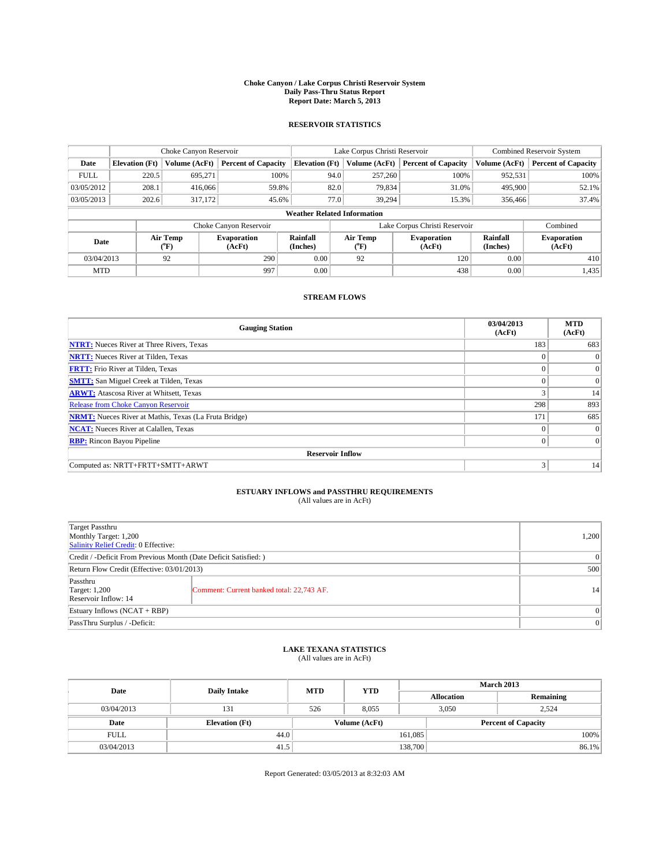#### **Choke Canyon / Lake Corpus Christi Reservoir System Daily Pass-Thru Status Report Report Date: March 5, 2013**

### **RESERVOIR STATISTICS**

|                                                                                  |                                    | Choke Canyon Reservoir |                              |                              | Lake Corpus Christi Reservoir | Combined Reservoir System     |               |                            |  |
|----------------------------------------------------------------------------------|------------------------------------|------------------------|------------------------------|------------------------------|-------------------------------|-------------------------------|---------------|----------------------------|--|
| Date                                                                             | <b>Elevation</b> (Ft)              | Volume (AcFt)          | <b>Percent of Capacity</b>   | <b>Elevation (Ft)</b>        | Volume (AcFt)                 | <b>Percent of Capacity</b>    | Volume (AcFt) | <b>Percent of Capacity</b> |  |
| <b>FULL</b>                                                                      | 220.5                              | 695,271                | 100%                         | 94.0                         | 257,260                       | 100%                          | 952,531       | 100%                       |  |
| 03/05/2012                                                                       | 208.1                              | 416,066                | 59.8%                        | 82.0                         | 79,834                        | 31.0%                         | 495,900       | 52.1%                      |  |
| 03/05/2013                                                                       | 202.6                              | 317,172                | 45.6%                        | 77.0                         | 39.294                        | 15.3%                         | 356,466       | 37.4%                      |  |
|                                                                                  | <b>Weather Related Information</b> |                        |                              |                              |                               |                               |               |                            |  |
|                                                                                  |                                    |                        | Choke Canyon Reservoir       |                              |                               | Lake Corpus Christi Reservoir |               | Combined                   |  |
| Air Temp<br>Rainfall<br><b>Evaporation</b><br>Date<br>(AcFt)<br>(Inches)<br>(°F) |                                    |                        | Air Temp<br>$\rm ^{(^o}\!F)$ | <b>Evaporation</b><br>(AcFt) | Rainfall<br>(Inches)          | <b>Evaporation</b><br>(AcFt)  |               |                            |  |
| 03/04/2013                                                                       |                                    | 92                     | 290                          | 0.00                         | 92                            | 120                           | 0.00          | 410                        |  |
| <b>MTD</b>                                                                       |                                    |                        | 997                          | 0.00                         |                               | 438                           | 0.00          | 1,435                      |  |

### **STREAM FLOWS**

| <b>Gauging Station</b>                                       | 03/04/2013<br>(AcFt) | <b>MTD</b><br>(AcFt) |  |  |  |  |
|--------------------------------------------------------------|----------------------|----------------------|--|--|--|--|
| <b>NTRT:</b> Nueces River at Three Rivers, Texas             | 183                  | 683                  |  |  |  |  |
| <b>NRTT:</b> Nueces River at Tilden, Texas                   | $\theta$             | $\Omega$             |  |  |  |  |
| <b>FRTT:</b> Frio River at Tilden, Texas                     |                      | $\overline{0}$       |  |  |  |  |
| <b>SMTT:</b> San Miguel Creek at Tilden, Texas               | $\theta$             | $\overline{0}$       |  |  |  |  |
| <b>ARWT:</b> Atascosa River at Whitsett, Texas               | 3                    | 14                   |  |  |  |  |
| <b>Release from Choke Canyon Reservoir</b>                   | 298                  | 893                  |  |  |  |  |
| <b>NRMT:</b> Nueces River at Mathis, Texas (La Fruta Bridge) | 171                  | 685                  |  |  |  |  |
| <b>NCAT:</b> Nueces River at Calallen, Texas                 | $\Omega$             | $\overline{0}$       |  |  |  |  |
| <b>RBP:</b> Rincon Bayou Pipeline                            | $\Omega$             | $\Omega$             |  |  |  |  |
| <b>Reservoir Inflow</b>                                      |                      |                      |  |  |  |  |
| Computed as: NRTT+FRTT+SMTT+ARWT                             | 3                    | 14                   |  |  |  |  |

# **ESTUARY INFLOWS and PASSTHRU REQUIREMENTS**<br>(All values are in AcFt)

| Target Passthru<br>Monthly Target: 1,200<br>Salinity Relief Credit: 0 Effective: |                                           |    |  |  |
|----------------------------------------------------------------------------------|-------------------------------------------|----|--|--|
| Credit / -Deficit From Previous Month (Date Deficit Satisfied: )                 |                                           |    |  |  |
| Return Flow Credit (Effective: 03/01/2013)                                       |                                           |    |  |  |
| Passthru<br><b>Target: 1,200</b><br>Reservoir Inflow: 14                         | Comment: Current banked total: 22,743 AF. | 14 |  |  |
| Estuary Inflows (NCAT + RBP)                                                     |                                           |    |  |  |
| PassThru Surplus / -Deficit:                                                     | 0                                         |    |  |  |

## **LAKE TEXANA STATISTICS** (All values are in AcFt)

| Date        |                       | <b>MTD</b> | <b>YTD</b>    | <b>March 2013</b> |                            |           |  |
|-------------|-----------------------|------------|---------------|-------------------|----------------------------|-----------|--|
|             | <b>Daily Intake</b>   |            |               | <b>Allocation</b> |                            | Remaining |  |
| 03/04/2013  | 131                   | 526        | 8.055         |                   | 3,050<br>2,524             |           |  |
| Date        | <b>Elevation</b> (Ft) |            | Volume (AcFt) |                   | <b>Percent of Capacity</b> |           |  |
| <b>FULL</b> | 44.0                  |            |               | 161,085           |                            | 100%      |  |
| 03/04/2013  | 41.5                  |            |               | 138,700           |                            | 86.1%     |  |

Report Generated: 03/05/2013 at 8:32:03 AM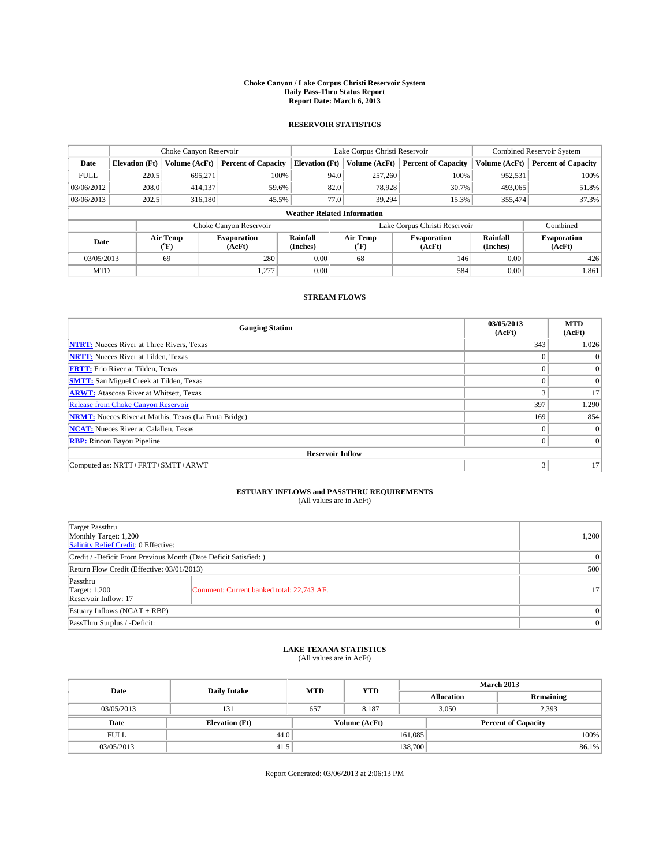#### **Choke Canyon / Lake Corpus Christi Reservoir System Daily Pass-Thru Status Report Report Date: March 6, 2013**

### **RESERVOIR STATISTICS**

|             | Choke Canyon Reservoir             |                  |                            |                       | Lake Corpus Christi Reservoir                    | <b>Combined Reservoir System</b> |                      |                              |  |
|-------------|------------------------------------|------------------|----------------------------|-----------------------|--------------------------------------------------|----------------------------------|----------------------|------------------------------|--|
| Date        | <b>Elevation</b> (Ft)              | Volume (AcFt)    | <b>Percent of Capacity</b> | <b>Elevation</b> (Ft) | Volume (AcFt)                                    | <b>Percent of Capacity</b>       | Volume (AcFt)        | Percent of Capacity          |  |
| <b>FULL</b> | 220.5                              | 695,271          | 100%                       | 94.0                  | 257,260                                          | 100%                             | 952,531              | 100%                         |  |
| 03/06/2012  | 208.0                              | 414,137          | 59.6%                      | 82.0                  | 78,928                                           | 30.7%                            | 493,065              | 51.8%                        |  |
| 03/06/2013  | 202.5                              | 316.180          | 45.5%                      | 77.0                  | 39.294                                           | 15.3%                            | 355,474              | 37.3%                        |  |
|             | <b>Weather Related Information</b> |                  |                            |                       |                                                  |                                  |                      |                              |  |
|             |                                    |                  | Choke Canyon Reservoir     |                       |                                                  | Lake Corpus Christi Reservoir    |                      | Combined                     |  |
| Date        |                                    | Air Temp<br>(°F) | Evaporation<br>(AcFt)      | Rainfall<br>(Inches)  | Air Temp<br><b>Evaporation</b><br>(AcFt)<br>("F) |                                  | Rainfall<br>(Inches) | <b>Evaporation</b><br>(AcFt) |  |
| 03/05/2013  |                                    | 69               | 280                        | 0.00                  | 68                                               | 146                              | 0.00                 | 426                          |  |
| <b>MTD</b>  |                                    |                  | 1,277                      | 0.00                  |                                                  | 584                              | 0.00                 | 1.861                        |  |

### **STREAM FLOWS**

| <b>Gauging Station</b>                                       | 03/05/2013<br>(AcFt) | <b>MTD</b><br>(AcFt) |  |  |  |  |
|--------------------------------------------------------------|----------------------|----------------------|--|--|--|--|
| <b>NTRT:</b> Nueces River at Three Rivers, Texas             | 343                  | 1,026                |  |  |  |  |
| <b>NRTT:</b> Nueces River at Tilden, Texas                   |                      | $\Omega$             |  |  |  |  |
| <b>FRTT:</b> Frio River at Tilden, Texas                     |                      | $\overline{0}$       |  |  |  |  |
| <b>SMTT:</b> San Miguel Creek at Tilden, Texas               | $\Omega$             | $\Omega$             |  |  |  |  |
| <b>ARWT:</b> Atascosa River at Whitsett, Texas               | 3                    | 17                   |  |  |  |  |
| <b>Release from Choke Canyon Reservoir</b>                   | 397                  | 1,290                |  |  |  |  |
| <b>NRMT:</b> Nueces River at Mathis, Texas (La Fruta Bridge) | 169                  | 854                  |  |  |  |  |
| <b>NCAT:</b> Nueces River at Calallen, Texas                 | $\Omega$             | $\overline{0}$       |  |  |  |  |
| <b>RBP:</b> Rincon Bayou Pipeline                            | $\Omega$             | $\Omega$             |  |  |  |  |
| <b>Reservoir Inflow</b>                                      |                      |                      |  |  |  |  |
| Computed as: NRTT+FRTT+SMTT+ARWT                             | 3                    | 17                   |  |  |  |  |

# **ESTUARY INFLOWS and PASSTHRU REQUIREMENTS**<br>(All values are in AcFt)

| Target Passthru<br>Monthly Target: 1,200<br>Salinity Relief Credit: 0 Effective: |                                           |                 |  |  |
|----------------------------------------------------------------------------------|-------------------------------------------|-----------------|--|--|
| Credit / -Deficit From Previous Month (Date Deficit Satisfied: )                 |                                           |                 |  |  |
| Return Flow Credit (Effective: 03/01/2013)                                       |                                           |                 |  |  |
| Passthru<br><b>Target: 1,200</b><br>Reservoir Inflow: 17                         | Comment: Current banked total: 22,743 AF. | 17 <sup>1</sup> |  |  |
| Estuary Inflows (NCAT + RBP)                                                     |                                           |                 |  |  |
| PassThru Surplus / -Deficit:                                                     |                                           |                 |  |  |

## **LAKE TEXANA STATISTICS** (All values are in AcFt)

| Date        |                       | <b>MTD</b> | <b>YTD</b>    | <b>March 2013</b> |                            |           |  |
|-------------|-----------------------|------------|---------------|-------------------|----------------------------|-----------|--|
|             | <b>Daily Intake</b>   |            |               |                   | <b>Allocation</b>          | Remaining |  |
| 03/05/2013  | 131                   | 657        | 8.187         |                   | 3,050<br>2,393             |           |  |
| Date        | <b>Elevation</b> (Ft) |            | Volume (AcFt) |                   | <b>Percent of Capacity</b> |           |  |
| <b>FULL</b> | 44.0                  |            |               | 161,085           |                            | 100%      |  |
| 03/05/2013  | 41.5                  |            |               | 138,700           |                            | 86.1%     |  |

Report Generated: 03/06/2013 at 2:06:13 PM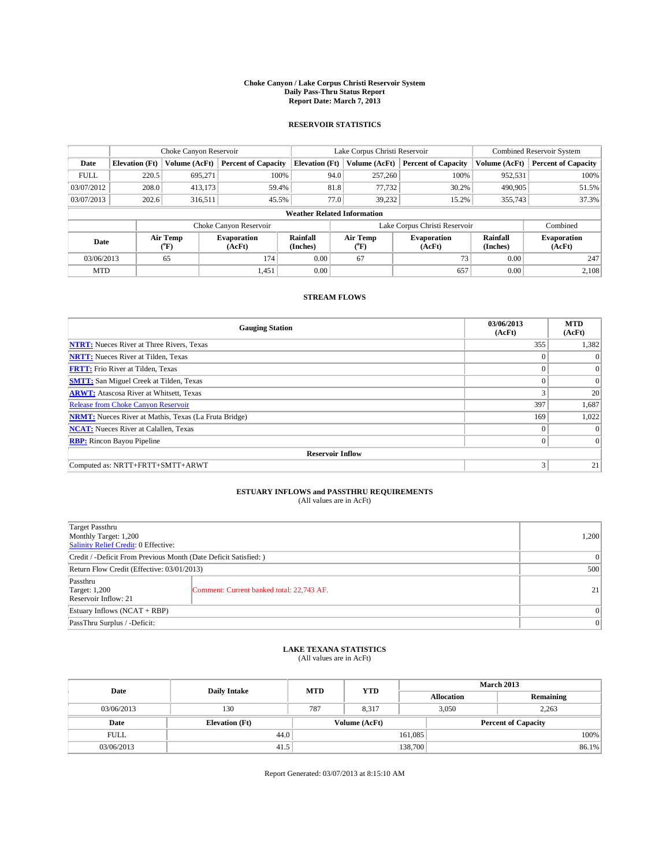#### **Choke Canyon / Lake Corpus Christi Reservoir System Daily Pass-Thru Status Report Report Date: March 7, 2013**

### **RESERVOIR STATISTICS**

|             |                       | Choke Canyon Reservoir |                            |                                    | Lake Corpus Christi Reservoir               | <b>Combined Reservoir System</b> |                      |                              |
|-------------|-----------------------|------------------------|----------------------------|------------------------------------|---------------------------------------------|----------------------------------|----------------------|------------------------------|
| Date        | <b>Elevation</b> (Ft) | Volume (AcFt)          | <b>Percent of Capacity</b> | <b>Elevation</b> (Ft)              | Volume (AcFt)<br><b>Percent of Capacity</b> |                                  | Volume (AcFt)        | Percent of Capacity          |
| <b>FULL</b> | 220.5                 | 695,271                | 100%                       | 94.0                               | 257,260                                     | 100%                             | 952,531              | 100%                         |
| 03/07/2012  | 208.0                 | 413,173                | 59.4%                      | 81.8                               | 77,732                                      | 30.2%                            | 490,905              | 51.5%                        |
| 03/07/2013  | 202.6                 | 316.511                | 45.5%                      |                                    | 77.0<br>39.232                              | 15.2%                            | 355,743              | 37.3%                        |
|             |                       |                        |                            | <b>Weather Related Information</b> |                                             |                                  |                      |                              |
|             |                       |                        | Choke Canyon Reservoir     |                                    | Lake Corpus Christi Reservoir               |                                  | Combined             |                              |
| Date        |                       | Air Temp<br>(°F)       | Evaporation<br>(AcFt)      | Rainfall<br>(Inches)               | Air Temp<br>("F)                            | <b>Evaporation</b><br>(AcFt)     | Rainfall<br>(Inches) | <b>Evaporation</b><br>(AcFt) |
| 03/06/2013  |                       | 65                     | 174                        | 0.00                               | 67                                          | 73                               | 0.00                 | 247                          |
| <b>MTD</b>  |                       |                        | 1,451                      | 0.00                               |                                             | 657                              | 0.00                 | 2.108                        |

### **STREAM FLOWS**

| <b>Gauging Station</b>                                       | 03/06/2013<br>(AcFt) | <b>MTD</b><br>(AcFt) |  |  |  |  |  |
|--------------------------------------------------------------|----------------------|----------------------|--|--|--|--|--|
| <b>NTRT:</b> Nueces River at Three Rivers, Texas             | 355                  | 1,382                |  |  |  |  |  |
| <b>NRTT:</b> Nueces River at Tilden, Texas                   |                      | $\theta$             |  |  |  |  |  |
| <b>FRTT:</b> Frio River at Tilden, Texas                     |                      | $\overline{0}$       |  |  |  |  |  |
| <b>SMTT:</b> San Miguel Creek at Tilden, Texas               | $\theta$             | $\overline{0}$       |  |  |  |  |  |
| <b>ARWT:</b> Atascosa River at Whitsett, Texas               | 3                    | 20                   |  |  |  |  |  |
| <b>Release from Choke Canyon Reservoir</b>                   | 397                  | 1,687                |  |  |  |  |  |
| <b>NRMT:</b> Nueces River at Mathis, Texas (La Fruta Bridge) | 169                  | 1,022                |  |  |  |  |  |
| <b>NCAT:</b> Nueces River at Calallen, Texas                 | $\theta$             | $\Omega$             |  |  |  |  |  |
| <b>RBP:</b> Rincon Bayou Pipeline                            | $\Omega$             | $\Omega$             |  |  |  |  |  |
| <b>Reservoir Inflow</b>                                      |                      |                      |  |  |  |  |  |
| Computed as: NRTT+FRTT+SMTT+ARWT                             | 3                    | 21                   |  |  |  |  |  |

# **ESTUARY INFLOWS and PASSTHRU REQUIREMENTS**<br>(All values are in AcFt)

| Target Passthru<br>Monthly Target: 1,200<br>Salinity Relief Credit: 0 Effective: |                                           |    |  |  |
|----------------------------------------------------------------------------------|-------------------------------------------|----|--|--|
| Credit / -Deficit From Previous Month (Date Deficit Satisfied: )                 |                                           |    |  |  |
| Return Flow Credit (Effective: 03/01/2013)                                       |                                           |    |  |  |
| Passthru<br><b>Target: 1,200</b><br>Reservoir Inflow: 21                         | Comment: Current banked total: 22,743 AF. | 21 |  |  |
| Estuary Inflows (NCAT + RBP)                                                     |                                           |    |  |  |
| PassThru Surplus / -Deficit:                                                     | 0                                         |    |  |  |

## **LAKE TEXANA STATISTICS** (All values are in AcFt)

| Date        |                       | <b>MTD</b> | <b>YTD</b>    | <b>March 2013</b> |                            |           |  |
|-------------|-----------------------|------------|---------------|-------------------|----------------------------|-----------|--|
|             | <b>Daily Intake</b>   |            |               | <b>Allocation</b> |                            | Remaining |  |
| 03/06/2013  | 130                   | 787        | 8.317         |                   | 3,050<br>2,263             |           |  |
| Date        | <b>Elevation</b> (Ft) |            | Volume (AcFt) |                   | <b>Percent of Capacity</b> |           |  |
| <b>FULL</b> | 44.0                  |            |               | 161,085           |                            | 100%      |  |
| 03/06/2013  | 41.5                  |            |               | 138,700           |                            | 86.1%     |  |

Report Generated: 03/07/2013 at 8:15:10 AM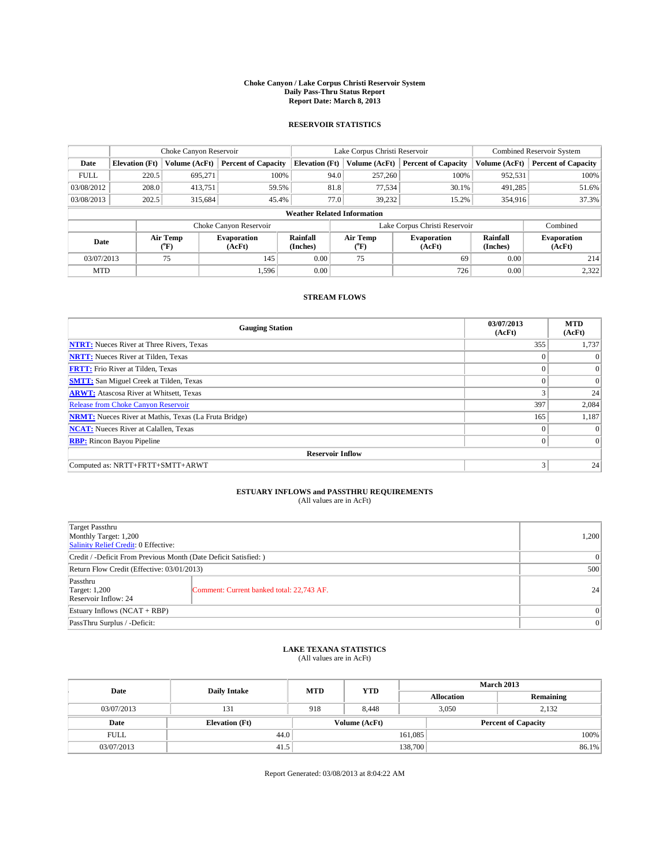#### **Choke Canyon / Lake Corpus Christi Reservoir System Daily Pass-Thru Status Report Report Date: March 8, 2013**

### **RESERVOIR STATISTICS**

|             |                       | Choke Canyon Reservoir |                              |                                    | Lake Corpus Christi Reservoir | <b>Combined Reservoir System</b> |                      |                              |
|-------------|-----------------------|------------------------|------------------------------|------------------------------------|-------------------------------|----------------------------------|----------------------|------------------------------|
| Date        | <b>Elevation</b> (Ft) | Volume (AcFt)          | <b>Percent of Capacity</b>   | <b>Elevation (Ft)</b>              | Volume (AcFt)                 | <b>Percent of Capacity</b>       | Volume (AcFt)        | <b>Percent of Capacity</b>   |
| <b>FULL</b> | 220.5                 | 695,271                | 100%                         | 94.0                               | 257,260                       | 100%                             | 952,531              | 100%                         |
| 03/08/2012  | 208.0                 | 413,751                | 59.5%                        | 81.8                               | 77,534                        | 30.1%                            | 491,285              | 51.6%                        |
| 03/08/2013  | 202.5                 | 315.684                | 45.4%                        | 77.0                               | 39.232                        | 15.2%                            | 354,916              | 37.3%                        |
|             |                       |                        |                              | <b>Weather Related Information</b> |                               |                                  |                      |                              |
|             |                       |                        | Choke Canyon Reservoir       |                                    | Lake Corpus Christi Reservoir |                                  | Combined             |                              |
| Date        |                       | Air Temp<br>(°F)       | <b>Evaporation</b><br>(AcFt) | Rainfall<br>(Inches)               | Air Temp<br>(°F)              | <b>Evaporation</b><br>(AcFt)     | Rainfall<br>(Inches) | <b>Evaporation</b><br>(AcFt) |
| 03/07/2013  |                       | 75                     | 145                          | 0.00                               | 75                            | 69                               | 0.00                 | 214                          |
| <b>MTD</b>  |                       |                        | 1.596                        | 0.00                               |                               | 726                              | 0.00                 | 2,322                        |

### **STREAM FLOWS**

| <b>Gauging Station</b>                                       | 03/07/2013<br>(AcFt) | <b>MTD</b><br>(AcFt) |  |  |  |  |  |
|--------------------------------------------------------------|----------------------|----------------------|--|--|--|--|--|
| <b>NTRT:</b> Nueces River at Three Rivers, Texas             | 355                  | 1,737                |  |  |  |  |  |
| <b>NRTT:</b> Nueces River at Tilden, Texas                   |                      | $\theta$             |  |  |  |  |  |
| <b>FRTT:</b> Frio River at Tilden, Texas                     |                      | $\overline{0}$       |  |  |  |  |  |
| <b>SMTT:</b> San Miguel Creek at Tilden, Texas               | $\theta$             | $\overline{0}$       |  |  |  |  |  |
| <b>ARWT:</b> Atascosa River at Whitsett, Texas               | 3                    | 24                   |  |  |  |  |  |
| <b>Release from Choke Canyon Reservoir</b>                   | 397                  | 2,084                |  |  |  |  |  |
| <b>NRMT:</b> Nueces River at Mathis, Texas (La Fruta Bridge) | 165                  | 1,187                |  |  |  |  |  |
| <b>NCAT:</b> Nueces River at Calallen, Texas                 | $\theta$             | $\Omega$             |  |  |  |  |  |
| <b>RBP:</b> Rincon Bayou Pipeline                            | $\Omega$             | $\vert$ 0            |  |  |  |  |  |
| <b>Reservoir Inflow</b>                                      |                      |                      |  |  |  |  |  |
| Computed as: NRTT+FRTT+SMTT+ARWT                             | 3                    | 24                   |  |  |  |  |  |

# **ESTUARY INFLOWS and PASSTHRU REQUIREMENTS**<br>(All values are in AcFt)

| Target Passthru<br>Monthly Target: 1,200<br>Salinity Relief Credit: 0 Effective: |                                           |                 |  |  |
|----------------------------------------------------------------------------------|-------------------------------------------|-----------------|--|--|
| Credit / -Deficit From Previous Month (Date Deficit Satisfied: )                 |                                           |                 |  |  |
| Return Flow Credit (Effective: 03/01/2013)                                       |                                           |                 |  |  |
| Passthru<br><b>Target: 1,200</b><br>Reservoir Inflow: 24                         | Comment: Current banked total: 22,743 AF. | 24 <sup>1</sup> |  |  |
| Estuary Inflows (NCAT + RBP)                                                     |                                           |                 |  |  |
| PassThru Surplus / -Deficit:                                                     |                                           |                 |  |  |

## **LAKE TEXANA STATISTICS** (All values are in AcFt)

| Date        |                       | <b>MTD</b> | <b>YTD</b>    | <b>March 2013</b> |                            |           |  |
|-------------|-----------------------|------------|---------------|-------------------|----------------------------|-----------|--|
|             | <b>Daily Intake</b>   |            |               | <b>Allocation</b> |                            | Remaining |  |
| 03/07/2013  | 131                   | 918        | 8.448         |                   | 3,050<br>2,132             |           |  |
| Date        | <b>Elevation</b> (Ft) |            | Volume (AcFt) |                   | <b>Percent of Capacity</b> |           |  |
| <b>FULL</b> | 44.0                  |            |               | 161,085           |                            | 100%      |  |
| 03/07/2013  | 41.5                  |            |               | 138,700           |                            | 86.1%     |  |

Report Generated: 03/08/2013 at 8:04:22 AM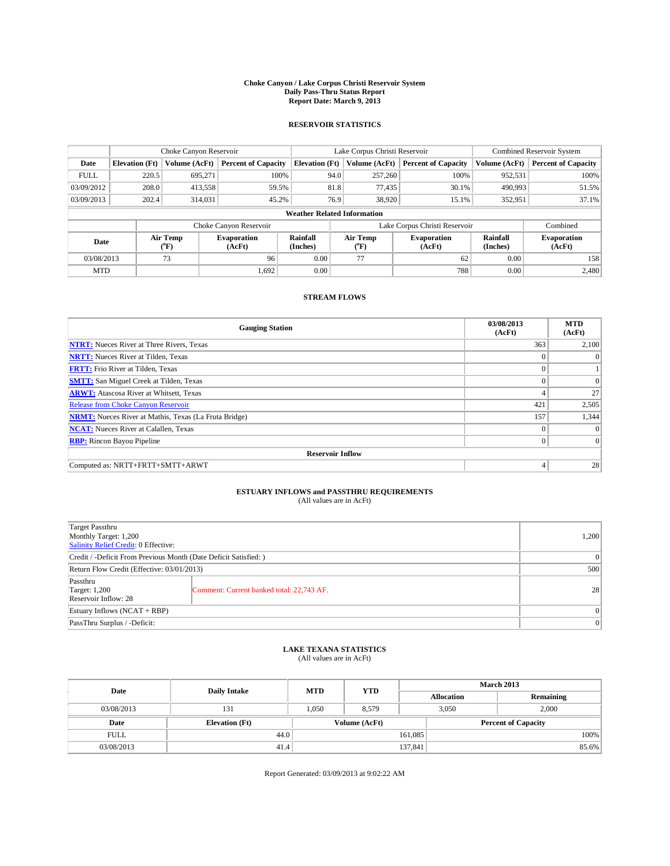#### **Choke Canyon / Lake Corpus Christi Reservoir System Daily Pass-Thru Status Report Report Date: March 9, 2013**

### **RESERVOIR STATISTICS**

|             |                       | Choke Canyon Reservoir |                            |                                    | Lake Corpus Christi Reservoir | <b>Combined Reservoir System</b> |                      |                              |
|-------------|-----------------------|------------------------|----------------------------|------------------------------------|-------------------------------|----------------------------------|----------------------|------------------------------|
| Date        | <b>Elevation</b> (Ft) | Volume (AcFt)          | <b>Percent of Capacity</b> | <b>Elevation</b> (Ft)              | Volume (AcFt)                 | <b>Percent of Capacity</b>       | Volume (AcFt)        | Percent of Capacity          |
| <b>FULL</b> | 220.5                 | 695,271                | 100%                       | 94.0                               | 257,260                       | 100%                             | 952,531              | 100%                         |
| 03/09/2012  | 208.0                 | 413,558                | 59.5%                      | 81.8                               | 77,435                        | 30.1%                            | 490,993              | 51.5%                        |
| 03/09/2013  | 202.4                 | 314,031                | 45.2%                      | 76.9                               | 38,920                        | 15.1%                            | 352,951              | $37.1\%$                     |
|             |                       |                        |                            | <b>Weather Related Information</b> |                               |                                  |                      |                              |
|             |                       |                        | Choke Canyon Reservoir     |                                    | Lake Corpus Christi Reservoir |                                  | Combined             |                              |
| Date        |                       | Air Temp<br>(°F)       | Evaporation<br>(AcFt)      | Rainfall<br>(Inches)               | Air Temp<br>("F)              | <b>Evaporation</b><br>(AcFt)     | Rainfall<br>(Inches) | <b>Evaporation</b><br>(AcFt) |
| 03/08/2013  |                       | 96<br>73               |                            | 0.00                               | 77                            | 62                               | 0.00                 | 158                          |
| <b>MTD</b>  |                       |                        | 1.692                      | 0.00                               |                               | 788                              | 0.00                 | 2.480                        |

### **STREAM FLOWS**

| <b>Gauging Station</b>                                       | 03/08/2013<br>(AcFt) | <b>MTD</b><br>(AcFt) |  |  |  |  |  |
|--------------------------------------------------------------|----------------------|----------------------|--|--|--|--|--|
| <b>NTRT:</b> Nueces River at Three Rivers, Texas             | 363                  | 2,100                |  |  |  |  |  |
| <b>NRTT:</b> Nueces River at Tilden, Texas                   | $\theta$             | $\theta$             |  |  |  |  |  |
| <b>FRTT:</b> Frio River at Tilden, Texas                     |                      |                      |  |  |  |  |  |
| <b>SMTT:</b> San Miguel Creek at Tilden, Texas               | $\theta$             | $\Omega$             |  |  |  |  |  |
| <b>ARWT:</b> Atascosa River at Whitsett, Texas               | 4                    | 27                   |  |  |  |  |  |
| <b>Release from Choke Canyon Reservoir</b>                   | 421                  | 2,505                |  |  |  |  |  |
| <b>NRMT:</b> Nueces River at Mathis, Texas (La Fruta Bridge) | 157                  | 1,344                |  |  |  |  |  |
| <b>NCAT:</b> Nueces River at Calallen, Texas                 | $\Omega$             | $\Omega$             |  |  |  |  |  |
| <b>RBP:</b> Rincon Bayou Pipeline                            | $\Omega$             | $\Omega$             |  |  |  |  |  |
| <b>Reservoir Inflow</b>                                      |                      |                      |  |  |  |  |  |
| Computed as: NRTT+FRTT+SMTT+ARWT                             | 4                    | 28                   |  |  |  |  |  |

# **ESTUARY INFLOWS and PASSTHRU REQUIREMENTS**<br>(All values are in AcFt)

| Target Passthru<br>Monthly Target: 1,200<br>Salinity Relief Credit: 0 Effective: | 1,200                                     |    |  |  |
|----------------------------------------------------------------------------------|-------------------------------------------|----|--|--|
| Credit / -Deficit From Previous Month (Date Deficit Satisfied: )                 |                                           |    |  |  |
| Return Flow Credit (Effective: 03/01/2013)                                       | 500                                       |    |  |  |
| Passthru<br><b>Target: 1,200</b><br>Reservoir Inflow: 28                         | Comment: Current banked total: 22,743 AF. | 28 |  |  |
| Estuary Inflows (NCAT + RBP)                                                     |                                           |    |  |  |
| PassThru Surplus / -Deficit:                                                     | 0                                         |    |  |  |

## **LAKE TEXANA STATISTICS** (All values are in AcFt)

| Date        |                       | <b>MTD</b> | <b>YTD</b>    | <b>March 2013</b> |                            |           |  |
|-------------|-----------------------|------------|---------------|-------------------|----------------------------|-----------|--|
|             | <b>Daily Intake</b>   |            |               |                   | <b>Allocation</b>          | Remaining |  |
| 03/08/2013  | 131                   | 1.050      | 8,579         |                   | 3,050<br>2,000             |           |  |
| Date        | <b>Elevation</b> (Ft) |            | Volume (AcFt) |                   | <b>Percent of Capacity</b> |           |  |
| <b>FULL</b> | 44.0                  |            |               | 161,085           |                            | 100%      |  |
| 03/08/2013  | 41.4                  |            |               | 137,841           |                            | 85.6%     |  |

Report Generated: 03/09/2013 at 9:02:22 AM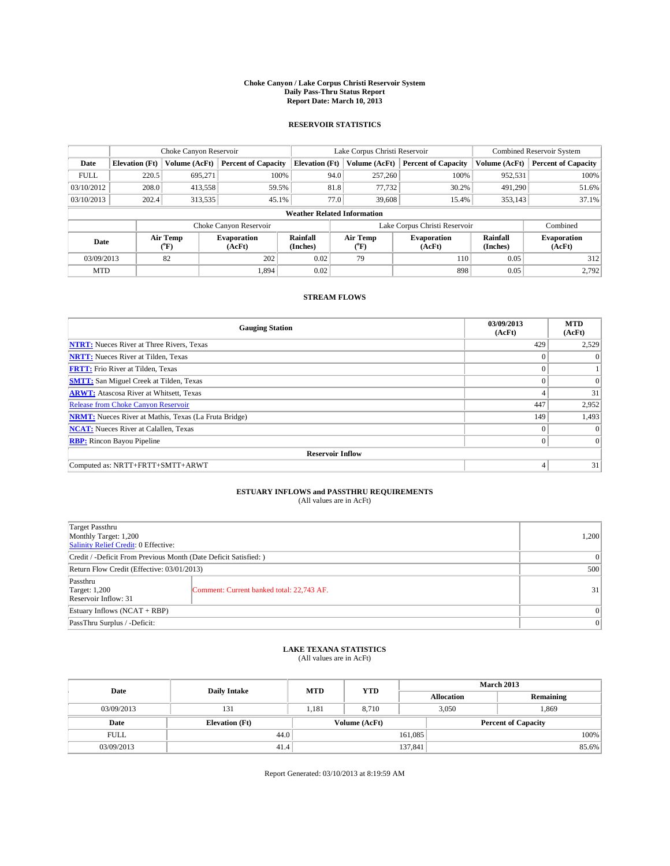#### **Choke Canyon / Lake Corpus Christi Reservoir System Daily Pass-Thru Status Report Report Date: March 10, 2013**

### **RESERVOIR STATISTICS**

|             | Choke Canyon Reservoir             |                  | Lake Corpus Christi Reservoir |                       |                  |               | <b>Combined Reservoir System</b> |                      |                              |
|-------------|------------------------------------|------------------|-------------------------------|-----------------------|------------------|---------------|----------------------------------|----------------------|------------------------------|
| Date        | <b>Elevation</b> (Ft)              | Volume (AcFt)    | <b>Percent of Capacity</b>    | <b>Elevation (Ft)</b> |                  | Volume (AcFt) | <b>Percent of Capacity</b>       | Volume (AcFt)        | <b>Percent of Capacity</b>   |
| <b>FULL</b> | 220.5                              | 695,271          | 100%                          |                       | 94.0             | 257,260       | 100%                             | 952,531              | 100%                         |
| 03/10/2012  | 208.0                              | 413,558          | 59.5%                         |                       | 81.8             | 77,732        | 30.2%                            | 491,290              | 51.6%                        |
| 03/10/2013  | 202.4                              | 313,535          | 45.1%                         |                       | 77.0             | 39,608        | 15.4%                            | 353,143              | 37.1%                        |
|             | <b>Weather Related Information</b> |                  |                               |                       |                  |               |                                  |                      |                              |
|             |                                    |                  | Choke Canyon Reservoir        |                       |                  |               | Lake Corpus Christi Reservoir    |                      | Combined                     |
| Date        |                                    | Air Temp<br>(°F) | <b>Evaporation</b><br>(AcFt)  | Rainfall<br>(Inches)  | Air Temp<br>("F) |               | <b>Evaporation</b><br>(AcFt)     | Rainfall<br>(Inches) | <b>Evaporation</b><br>(AcFt) |
| 03/09/2013  |                                    | 82               | 202                           | 0.02                  | 79               |               | 110                              | 0.05                 | 312                          |
| <b>MTD</b>  |                                    |                  | 1.894                         | 0.02                  |                  |               | 898                              | 0.05                 | 2.792                        |

### **STREAM FLOWS**

| <b>Gauging Station</b>                                       | 03/09/2013<br>(AcFt) | <b>MTD</b><br>(AcFt) |  |  |  |  |
|--------------------------------------------------------------|----------------------|----------------------|--|--|--|--|
| <b>NTRT:</b> Nueces River at Three Rivers, Texas             | 429                  | 2,529                |  |  |  |  |
| <b>NRTT:</b> Nueces River at Tilden, Texas                   |                      | $\theta$             |  |  |  |  |
| <b>FRTT:</b> Frio River at Tilden, Texas                     |                      |                      |  |  |  |  |
| <b>SMTT:</b> San Miguel Creek at Tilden, Texas               | $\theta$             | $\Omega$             |  |  |  |  |
| <b>ARWT:</b> Atascosa River at Whitsett, Texas               | 4                    | 31                   |  |  |  |  |
| <b>Release from Choke Canyon Reservoir</b>                   | 447                  | 2,952                |  |  |  |  |
| <b>NRMT:</b> Nueces River at Mathis, Texas (La Fruta Bridge) | 149                  | 1,493                |  |  |  |  |
| <b>NCAT:</b> Nueces River at Calallen, Texas                 | $\theta$             | $\Omega$             |  |  |  |  |
| <b>RBP:</b> Rincon Bayou Pipeline                            | $\Omega$             | $\vert$ 0            |  |  |  |  |
| <b>Reservoir Inflow</b>                                      |                      |                      |  |  |  |  |
| Computed as: NRTT+FRTT+SMTT+ARWT                             | 4                    | 31                   |  |  |  |  |

# **ESTUARY INFLOWS and PASSTHRU REQUIREMENTS**<br>(All values are in AcFt)

| Target Passthru<br>Monthly Target: 1,200<br>Salinity Relief Credit: 0 Effective: |                                           |    |  |  |
|----------------------------------------------------------------------------------|-------------------------------------------|----|--|--|
| Credit / -Deficit From Previous Month (Date Deficit Satisfied: )                 |                                           |    |  |  |
| Return Flow Credit (Effective: 03/01/2013)                                       |                                           |    |  |  |
| Passthru<br><b>Target: 1,200</b><br>Reservoir Inflow: 31                         | Comment: Current banked total: 22,743 AF. | 31 |  |  |
| Estuary Inflows (NCAT + RBP)                                                     |                                           |    |  |  |
| PassThru Surplus / -Deficit:                                                     |                                           |    |  |  |

## **LAKE TEXANA STATISTICS** (All values are in AcFt)

| Date        |                       | <b>MTD</b> | <b>YTD</b>    | <b>March 2013</b> |                            |           |  |
|-------------|-----------------------|------------|---------------|-------------------|----------------------------|-----------|--|
|             | <b>Daily Intake</b>   |            |               | <b>Allocation</b> |                            | Remaining |  |
| 03/09/2013  | 131                   | 1.181      | 8.710         |                   | 3,050                      | 1,869     |  |
| Date        | <b>Elevation</b> (Ft) |            | Volume (AcFt) |                   | <b>Percent of Capacity</b> |           |  |
| <b>FULL</b> | 44.0                  |            |               | 161,085           |                            | 100%      |  |
| 03/09/2013  | 41.4                  |            |               | 137,841           |                            | 85.6%     |  |

Report Generated: 03/10/2013 at 8:19:59 AM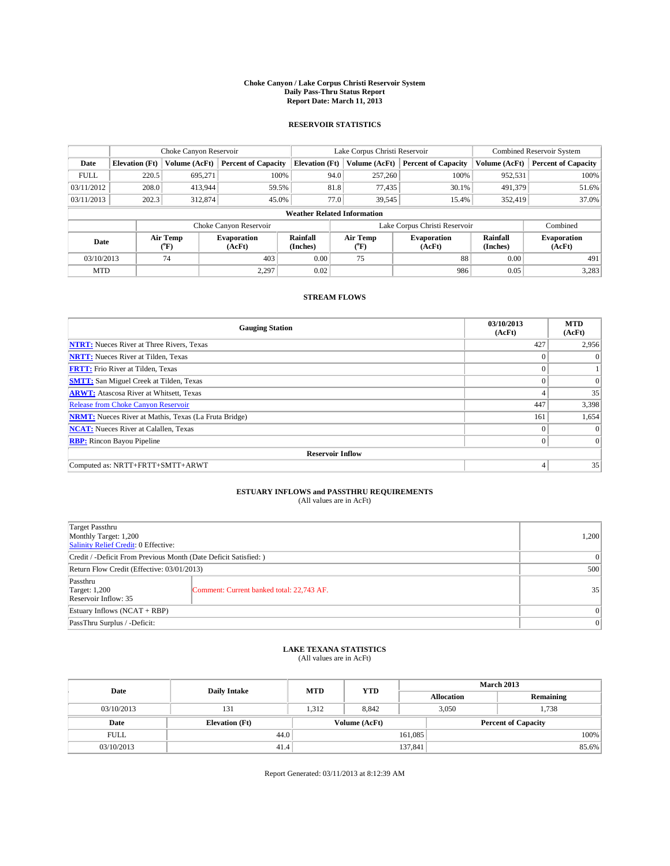#### **Choke Canyon / Lake Corpus Christi Reservoir System Daily Pass-Thru Status Report Report Date: March 11, 2013**

### **RESERVOIR STATISTICS**

|             |                                    | Choke Canyon Reservoir |                              |                       | Lake Corpus Christi Reservoir | <b>Combined Reservoir System</b> |                      |                              |  |
|-------------|------------------------------------|------------------------|------------------------------|-----------------------|-------------------------------|----------------------------------|----------------------|------------------------------|--|
| Date        | <b>Elevation</b> (Ft)              | Volume (AcFt)          | <b>Percent of Capacity</b>   | <b>Elevation (Ft)</b> | Volume (AcFt)                 | <b>Percent of Capacity</b>       | Volume (AcFt)        | <b>Percent of Capacity</b>   |  |
| <b>FULL</b> | 220.5                              | 695,271                | 100%                         | 94.0                  | 257,260                       | 100%                             | 952,531              | 100%                         |  |
| 03/11/2012  | 208.0                              | 413,944                | 59.5%                        | 81.8                  | 77,435                        | 30.1%                            | 491,379              | 51.6%                        |  |
| 03/11/2013  | 202.3                              | 312,874                | 45.0%                        | 77.0                  | 39,545                        | 15.4%                            | 352,419              | 37.0%                        |  |
|             | <b>Weather Related Information</b> |                        |                              |                       |                               |                                  |                      |                              |  |
|             |                                    |                        | Choke Canyon Reservoir       |                       |                               | Lake Corpus Christi Reservoir    |                      | Combined                     |  |
| Date        |                                    | Air Temp<br>(°F)       | <b>Evaporation</b><br>(AcFt) | Rainfall<br>(Inches)  | Air Temp<br>("F)              | <b>Evaporation</b><br>(AcFt)     | Rainfall<br>(Inches) | <b>Evaporation</b><br>(AcFt) |  |
| 03/10/2013  |                                    | 74                     | 403                          | 0.00                  | 75                            | 88                               | 0.00                 | 491                          |  |
| <b>MTD</b>  |                                    |                        | 2,297                        | 0.02                  |                               | 986                              | 0.05                 | 3,283                        |  |

### **STREAM FLOWS**

| <b>Gauging Station</b>                                       | 03/10/2013<br>(AcFt) | <b>MTD</b><br>(AcFt) |  |  |  |  |
|--------------------------------------------------------------|----------------------|----------------------|--|--|--|--|
| <b>NTRT:</b> Nueces River at Three Rivers, Texas             | 427                  | 2,956                |  |  |  |  |
| <b>NRTT:</b> Nueces River at Tilden, Texas                   | $\theta$             | $\theta$             |  |  |  |  |
| <b>FRTT:</b> Frio River at Tilden, Texas                     |                      |                      |  |  |  |  |
| <b>SMTT:</b> San Miguel Creek at Tilden, Texas               | $\theta$             | $\overline{0}$       |  |  |  |  |
| <b>ARWT:</b> Atascosa River at Whitsett, Texas               | 4                    | 35                   |  |  |  |  |
| <b>Release from Choke Canyon Reservoir</b>                   | 447                  | 3,398                |  |  |  |  |
| <b>NRMT:</b> Nueces River at Mathis, Texas (La Fruta Bridge) | 161                  | 1,654                |  |  |  |  |
| <b>NCAT:</b> Nueces River at Calallen, Texas                 | $\theta$             | $\Omega$             |  |  |  |  |
| <b>RBP:</b> Rincon Bayou Pipeline                            | $\Omega$             | $\Omega$             |  |  |  |  |
| <b>Reservoir Inflow</b>                                      |                      |                      |  |  |  |  |
| Computed as: NRTT+FRTT+SMTT+ARWT                             | 4                    | 35                   |  |  |  |  |

# **ESTUARY INFLOWS and PASSTHRU REQUIREMENTS**<br>(All values are in AcFt)

| Target Passthru<br>Monthly Target: 1,200<br>Salinity Relief Credit: 0 Effective: |                                           |    |  |  |
|----------------------------------------------------------------------------------|-------------------------------------------|----|--|--|
| Credit / -Deficit From Previous Month (Date Deficit Satisfied: )                 |                                           |    |  |  |
| Return Flow Credit (Effective: 03/01/2013)                                       |                                           |    |  |  |
| Passthru<br><b>Target: 1,200</b><br>Reservoir Inflow: 35                         | Comment: Current banked total: 22,743 AF. | 35 |  |  |
| Estuary Inflows (NCAT + RBP)                                                     |                                           |    |  |  |
| PassThru Surplus / -Deficit:                                                     | 0                                         |    |  |  |

## **LAKE TEXANA STATISTICS** (All values are in AcFt)

| Date        |                       | <b>MTD</b> | <b>YTD</b>    | <b>March 2013</b> |                            |           |  |
|-------------|-----------------------|------------|---------------|-------------------|----------------------------|-----------|--|
|             | <b>Daily Intake</b>   |            |               | <b>Allocation</b> |                            | Remaining |  |
| 03/10/2013  | 131                   | 1.312      | 8.842         |                   | 3,050                      | 1,738     |  |
| Date        | <b>Elevation</b> (Ft) |            | Volume (AcFt) |                   | <b>Percent of Capacity</b> |           |  |
| <b>FULL</b> | 44.0                  |            |               | 161,085           |                            | 100%      |  |
| 03/10/2013  | 41.4                  |            |               | 137,841           |                            | 85.6%     |  |

Report Generated: 03/11/2013 at 8:12:39 AM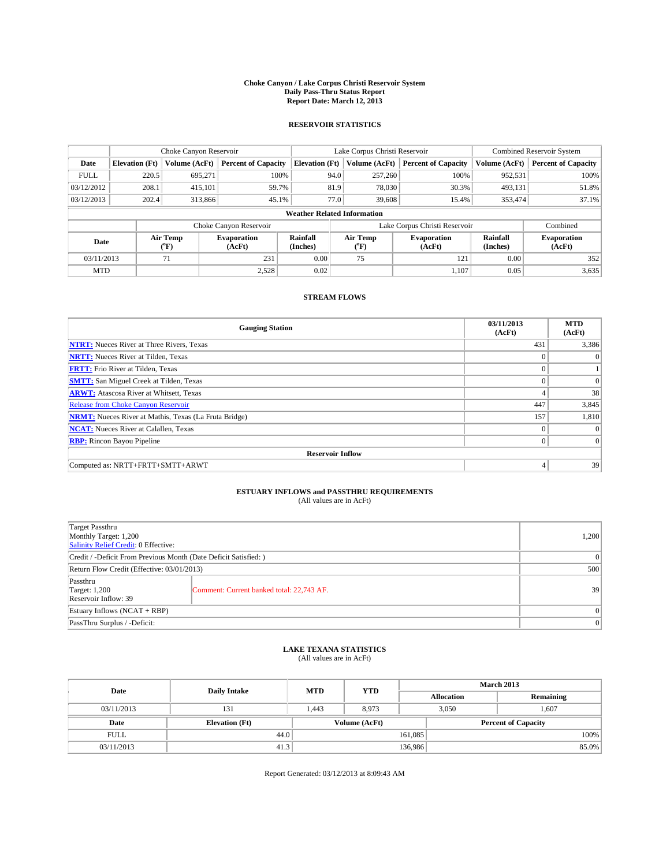#### **Choke Canyon / Lake Corpus Christi Reservoir System Daily Pass-Thru Status Report Report Date: March 12, 2013**

### **RESERVOIR STATISTICS**

|                                                          |                                    | Choke Canyon Reservoir |                            |                              | Lake Corpus Christi Reservoir | <b>Combined Reservoir System</b> |               |                            |  |
|----------------------------------------------------------|------------------------------------|------------------------|----------------------------|------------------------------|-------------------------------|----------------------------------|---------------|----------------------------|--|
| Date                                                     | <b>Elevation</b> (Ft)              | Volume (AcFt)          | <b>Percent of Capacity</b> | <b>Elevation (Ft)</b>        | Volume (AcFt)                 | <b>Percent of Capacity</b>       | Volume (AcFt) | <b>Percent of Capacity</b> |  |
| <b>FULL</b>                                              | 220.5                              | 695,271                | 100%                       | 94.0                         | 257,260                       | 100%                             | 952,531       | 100%                       |  |
| 03/12/2012                                               | 208.1                              | 415,101                | 59.7%                      | 81.9                         | 78,030                        | 30.3%                            | 493,131       | 51.8%                      |  |
| 03/12/2013                                               | 202.4                              | 313,866                | 45.1%                      | 77.0                         | 39,608                        | 15.4%                            | 353,474       | 37.1%                      |  |
|                                                          | <b>Weather Related Information</b> |                        |                            |                              |                               |                                  |               |                            |  |
|                                                          |                                    |                        | Choke Canyon Reservoir     |                              |                               | Lake Corpus Christi Reservoir    |               | Combined                   |  |
| Air Temp<br><b>Evaporation</b><br>Date<br>(°F)<br>(AcFt) |                                    | Rainfall<br>(Inches)   | Air Temp<br>$(^{0}F)$      | <b>Evaporation</b><br>(AcFt) | Rainfall<br>(Inches)          | <b>Evaporation</b><br>(AcFt)     |               |                            |  |
| 03/11/2013                                               |                                    | 71                     | 231                        | 0.00                         | 75<br>121                     |                                  | 0.00          | 352                        |  |
| <b>MTD</b>                                               |                                    |                        | 2,528                      | 0.02                         |                               | 1,107                            | 0.05          | 3,635                      |  |

### **STREAM FLOWS**

| <b>Gauging Station</b>                                       | 03/11/2013<br>(AcFt) | <b>MTD</b><br>(AcFt) |  |  |  |  |
|--------------------------------------------------------------|----------------------|----------------------|--|--|--|--|
| <b>NTRT:</b> Nueces River at Three Rivers, Texas             | 431                  | 3,386                |  |  |  |  |
| <b>NRTT:</b> Nueces River at Tilden, Texas                   | $\theta$             | $\theta$             |  |  |  |  |
| <b>FRTT:</b> Frio River at Tilden, Texas                     |                      |                      |  |  |  |  |
| <b>SMTT:</b> San Miguel Creek at Tilden, Texas               | $\theta$             | $\overline{0}$       |  |  |  |  |
| <b>ARWT:</b> Atascosa River at Whitsett, Texas               | 4                    | 38                   |  |  |  |  |
| <b>Release from Choke Canyon Reservoir</b>                   | 447                  | 3,845                |  |  |  |  |
| <b>NRMT:</b> Nueces River at Mathis, Texas (La Fruta Bridge) | 157                  | 1,810                |  |  |  |  |
| <b>NCAT:</b> Nueces River at Calallen, Texas                 | $\Omega$             | $\Omega$             |  |  |  |  |
| <b>RBP:</b> Rincon Bayou Pipeline                            | $\Omega$             | $\Omega$             |  |  |  |  |
| <b>Reservoir Inflow</b>                                      |                      |                      |  |  |  |  |
| Computed as: NRTT+FRTT+SMTT+ARWT                             | 4                    | 39                   |  |  |  |  |

# **ESTUARY INFLOWS and PASSTHRU REQUIREMENTS**<br>(All values are in AcFt)

| Target Passthru<br>Monthly Target: 1,200<br>Salinity Relief Credit: 0 Effective: |                                           |    |  |  |
|----------------------------------------------------------------------------------|-------------------------------------------|----|--|--|
| Credit / -Deficit From Previous Month (Date Deficit Satisfied: )                 |                                           |    |  |  |
| Return Flow Credit (Effective: 03/01/2013)                                       |                                           |    |  |  |
| Passthru<br><b>Target: 1,200</b><br>Reservoir Inflow: 39                         | Comment: Current banked total: 22,743 AF. | 39 |  |  |
| Estuary Inflows (NCAT + RBP)                                                     |                                           |    |  |  |
| PassThru Surplus / -Deficit:                                                     | 0                                         |    |  |  |

## **LAKE TEXANA STATISTICS** (All values are in AcFt)

| Date        |                       | <b>MTD</b> | <b>YTD</b>    | <b>March 2013</b> |                   |                            |  |  |
|-------------|-----------------------|------------|---------------|-------------------|-------------------|----------------------------|--|--|
|             | <b>Daily Intake</b>   |            |               |                   | <b>Allocation</b> | Remaining                  |  |  |
| 03/11/2013  | 131                   | 1.443      | 8,973         |                   | 3,050<br>1.607    |                            |  |  |
| Date        | <b>Elevation</b> (Ft) |            | Volume (AcFt) |                   |                   | <b>Percent of Capacity</b> |  |  |
| <b>FULL</b> | 44.0                  |            |               | 161,085           |                   | 100%                       |  |  |
| 03/11/2013  | 41.3                  |            |               | 136,986           |                   | 85.0%                      |  |  |

Report Generated: 03/12/2013 at 8:09:43 AM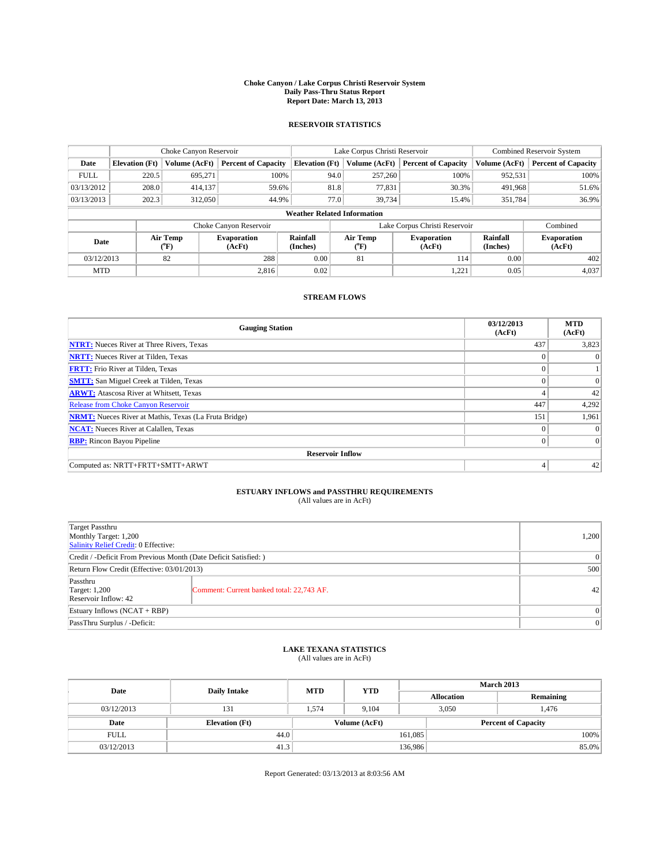#### **Choke Canyon / Lake Corpus Christi Reservoir System Daily Pass-Thru Status Report Report Date: March 13, 2013**

### **RESERVOIR STATISTICS**

|             |                                    | Choke Canyon Reservoir |                              |                       | Lake Corpus Christi Reservoir | Combined Reservoir System  |                      |                              |  |
|-------------|------------------------------------|------------------------|------------------------------|-----------------------|-------------------------------|----------------------------|----------------------|------------------------------|--|
| Date        | <b>Elevation</b> (Ft)              | Volume (AcFt)          | <b>Percent of Capacity</b>   | <b>Elevation (Ft)</b> | Volume (AcFt)                 | <b>Percent of Capacity</b> | Volume (AcFt)        | <b>Percent of Capacity</b>   |  |
| <b>FULL</b> | 220.5                              | 695.271                | 100%                         | 94.0                  | 257,260                       | 100%                       | 952,531              | 100%                         |  |
| 03/13/2012  | 208.0                              | 414,137                | 59.6%                        | 81.8                  | 77,831                        | 30.3%                      | 491,968              | 51.6%                        |  |
| 03/13/2013  | 202.3                              | 312,050                | 44.9%                        | 77.0                  | 39,734                        | 15.4%                      | 351,784              | 36.9%                        |  |
|             | <b>Weather Related Information</b> |                        |                              |                       |                               |                            |                      |                              |  |
|             |                                    |                        | Choke Canyon Reservoir       |                       | Lake Corpus Christi Reservoir |                            |                      |                              |  |
| Date        |                                    | Air Temp<br>(°F)       | <b>Evaporation</b><br>(AcFt) | Rainfall<br>(Inches)  | Air Temp<br>$(^{0}F)$         | Evaporation<br>(AcFt)      | Rainfall<br>(Inches) | <b>Evaporation</b><br>(AcFt) |  |
| 03/12/2013  |                                    | 82                     | 288                          | 0.00                  | 81                            | 114                        | 0.00                 | 402                          |  |
| <b>MTD</b>  |                                    |                        | 2.816                        | 0.02                  |                               | 1,221                      | 0.05                 | 4,037                        |  |

### **STREAM FLOWS**

| <b>Gauging Station</b>                                       | 03/12/2013<br>(AcFt) | <b>MTD</b><br>(AcFt) |  |  |  |  |  |
|--------------------------------------------------------------|----------------------|----------------------|--|--|--|--|--|
| <b>NTRT:</b> Nueces River at Three Rivers, Texas             | 437                  | 3,823                |  |  |  |  |  |
| <b>NRTT:</b> Nueces River at Tilden, Texas                   | $\theta$             | $\theta$             |  |  |  |  |  |
| <b>FRTT:</b> Frio River at Tilden, Texas                     |                      |                      |  |  |  |  |  |
| <b>SMTT:</b> San Miguel Creek at Tilden, Texas               | $\theta$             | $\overline{0}$       |  |  |  |  |  |
| <b>ARWT:</b> Atascosa River at Whitsett, Texas               | 4                    | 42                   |  |  |  |  |  |
| <b>Release from Choke Canyon Reservoir</b>                   | 447                  | 4,292                |  |  |  |  |  |
| <b>NRMT:</b> Nueces River at Mathis, Texas (La Fruta Bridge) | 151                  | 1,961                |  |  |  |  |  |
| <b>NCAT:</b> Nueces River at Calallen, Texas                 | $\Omega$             | $\Omega$             |  |  |  |  |  |
| <b>RBP:</b> Rincon Bayou Pipeline                            | $\Omega$             | $\Omega$             |  |  |  |  |  |
| <b>Reservoir Inflow</b>                                      |                      |                      |  |  |  |  |  |
| Computed as: NRTT+FRTT+SMTT+ARWT                             | 4                    | 42                   |  |  |  |  |  |

# **ESTUARY INFLOWS and PASSTHRU REQUIREMENTS**<br>(All values are in AcFt)

| Target Passthru<br>Monthly Target: 1,200<br>Salinity Relief Credit: 0 Effective: |                                           |    |  |  |
|----------------------------------------------------------------------------------|-------------------------------------------|----|--|--|
| Credit / -Deficit From Previous Month (Date Deficit Satisfied: )                 |                                           |    |  |  |
| Return Flow Credit (Effective: 03/01/2013)                                       |                                           |    |  |  |
| Passthru<br><b>Target: 1,200</b><br>Reservoir Inflow: 42                         | Comment: Current banked total: 22,743 AF. | 42 |  |  |
| Estuary Inflows (NCAT + RBP)                                                     |                                           |    |  |  |
| PassThru Surplus / -Deficit:                                                     |                                           |    |  |  |

## **LAKE TEXANA STATISTICS** (All values are in AcFt)

| Date        |                       | <b>MTD</b>    | <b>YTD</b> | <b>March 2013</b> |                            |           |  |
|-------------|-----------------------|---------------|------------|-------------------|----------------------------|-----------|--|
|             | <b>Daily Intake</b>   |               |            | <b>Allocation</b> |                            | Remaining |  |
| 03/12/2013  | 131                   | 1.574         | 9.104      |                   | 3,050<br>1,476             |           |  |
| Date        | <b>Elevation</b> (Ft) | Volume (AcFt) |            |                   | <b>Percent of Capacity</b> |           |  |
| <b>FULL</b> | 44.0                  |               |            | 161,085           |                            | 100%      |  |
| 03/12/2013  | 41.3                  |               |            | 136,986           |                            | 85.0%     |  |

Report Generated: 03/13/2013 at 8:03:56 AM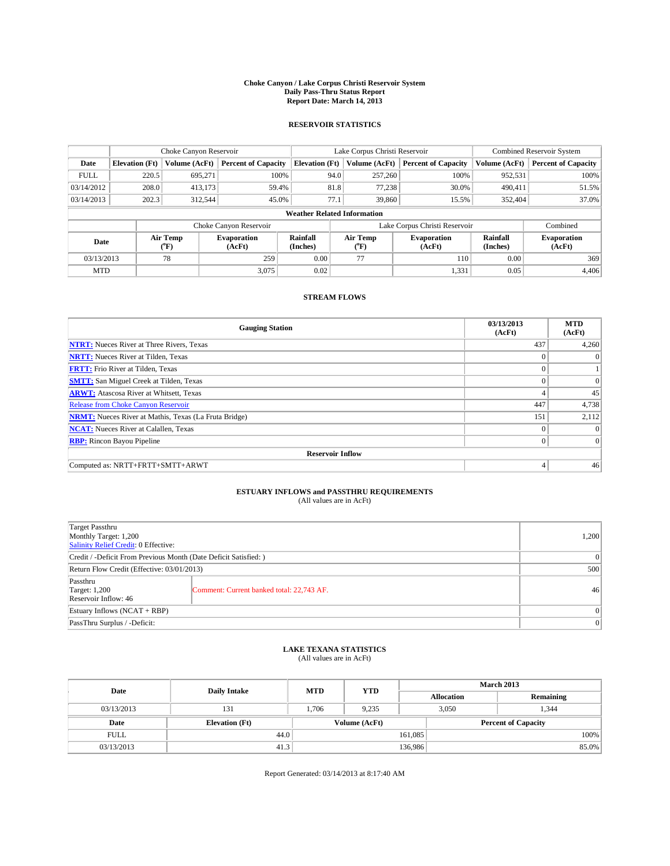#### **Choke Canyon / Lake Corpus Christi Reservoir System Daily Pass-Thru Status Report Report Date: March 14, 2013**

### **RESERVOIR STATISTICS**

|             |                                    | Choke Canyon Reservoir |                              |                       | Lake Corpus Christi Reservoir |                              |       |                      | <b>Combined Reservoir System</b> |  |  |
|-------------|------------------------------------|------------------------|------------------------------|-----------------------|-------------------------------|------------------------------|-------|----------------------|----------------------------------|--|--|
| Date        | <b>Elevation</b> (Ft)              | Volume (AcFt)          | <b>Percent of Capacity</b>   | <b>Elevation (Ft)</b> | Volume (AcFt)                 | <b>Percent of Capacity</b>   |       | Volume (AcFt)        | Percent of Capacity              |  |  |
| <b>FULL</b> | 220.5                              | 695,271                | 100%                         |                       | 94.0<br>257,260               |                              | 100%  | 952,531              | 100%                             |  |  |
| 03/14/2012  | 208.0                              | 413,173                | 59.4%                        |                       | 81.8<br>77,238                |                              | 30.0% | 490,411              | 51.5%                            |  |  |
| 03/14/2013  | 202.3                              | 312,544                | 45.0%                        | 77.1                  | 39,860                        |                              | 15.5% | 352,404              | 37.0%                            |  |  |
|             | <b>Weather Related Information</b> |                        |                              |                       |                               |                              |       |                      |                                  |  |  |
|             |                                    |                        | Choke Canyon Reservoir       |                       | Lake Corpus Christi Reservoir |                              |       |                      | Combined                         |  |  |
| Date        |                                    | Air Temp<br>$(^{0}F)$  | <b>Evaporation</b><br>(AcFt) | Rainfall<br>(Inches)  | Air Temp<br>("F)              | <b>Evaporation</b><br>(AcFt) |       | Rainfall<br>(Inches) | <b>Evaporation</b><br>(AcFt)     |  |  |
| 03/13/2013  |                                    | 78                     | 259                          | 0.00                  | 77                            |                              |       | 0.00                 | 369                              |  |  |
| <b>MTD</b>  |                                    |                        | 3.075                        | 0.02                  |                               |                              | 1,331 | 0.05                 | 4.406                            |  |  |

### **STREAM FLOWS**

| <b>Gauging Station</b>                                       | 03/13/2013<br>(AcFt) | <b>MTD</b><br>(AcFt) |  |  |  |  |  |  |
|--------------------------------------------------------------|----------------------|----------------------|--|--|--|--|--|--|
| <b>NTRT:</b> Nueces River at Three Rivers, Texas             | 437                  | 4,260                |  |  |  |  |  |  |
| <b>NRTT:</b> Nueces River at Tilden, Texas                   |                      | $\Omega$             |  |  |  |  |  |  |
| <b>FRTT:</b> Frio River at Tilden, Texas                     | $\theta$             |                      |  |  |  |  |  |  |
| <b>SMTT:</b> San Miguel Creek at Tilden, Texas               | $\theta$             | $\Omega$             |  |  |  |  |  |  |
| <b>ARWT:</b> Atascosa River at Whitsett, Texas               | 4                    | 45                   |  |  |  |  |  |  |
| <b>Release from Choke Canyon Reservoir</b>                   | 447                  | 4,738                |  |  |  |  |  |  |
| <b>NRMT:</b> Nueces River at Mathis, Texas (La Fruta Bridge) | 151                  | 2,112                |  |  |  |  |  |  |
| <b>NCAT:</b> Nueces River at Calallen, Texas                 | $\Omega$             | $\Omega$             |  |  |  |  |  |  |
| <b>RBP:</b> Rincon Bayou Pipeline                            | $\mathbf{0}$         | $\Omega$             |  |  |  |  |  |  |
| <b>Reservoir Inflow</b>                                      |                      |                      |  |  |  |  |  |  |
| Computed as: NRTT+FRTT+SMTT+ARWT                             | 4                    | 46                   |  |  |  |  |  |  |

# **ESTUARY INFLOWS and PASSTHRU REQUIREMENTS**<br>(All values are in AcFt)

| <b>Target Passthru</b><br>Monthly Target: 1,200<br>Salinity Relief Credit: 0 Effective: |                                           |    |  |  |
|-----------------------------------------------------------------------------------------|-------------------------------------------|----|--|--|
| Credit / -Deficit From Previous Month (Date Deficit Satisfied: )                        |                                           |    |  |  |
| Return Flow Credit (Effective: 03/01/2013)                                              |                                           |    |  |  |
| Passthru<br><b>Target: 1,200</b><br>Reservoir Inflow: 46                                | Comment: Current banked total: 22,743 AF. | 46 |  |  |
| Estuary Inflows (NCAT + RBP)                                                            |                                           |    |  |  |
| PassThru Surplus / -Deficit:                                                            |                                           |    |  |  |

## **LAKE TEXANA STATISTICS** (All values are in AcFt)

| Date        |                       | <b>MTD</b> | <b>YTD</b>    | <b>March 2013</b> |                            |           |  |
|-------------|-----------------------|------------|---------------|-------------------|----------------------------|-----------|--|
|             | <b>Daily Intake</b>   |            |               | <b>Allocation</b> |                            | Remaining |  |
| 03/13/2013  | 131                   | 1.706      | 9.235         |                   | 3,050<br>1,344             |           |  |
| Date        | <b>Elevation</b> (Ft) |            | Volume (AcFt) |                   | <b>Percent of Capacity</b> |           |  |
| <b>FULL</b> | 44.0                  |            |               | 161,085           |                            | 100%      |  |
| 03/13/2013  | 41.3                  |            |               | 136,986           |                            | 85.0%     |  |

Report Generated: 03/14/2013 at 8:17:40 AM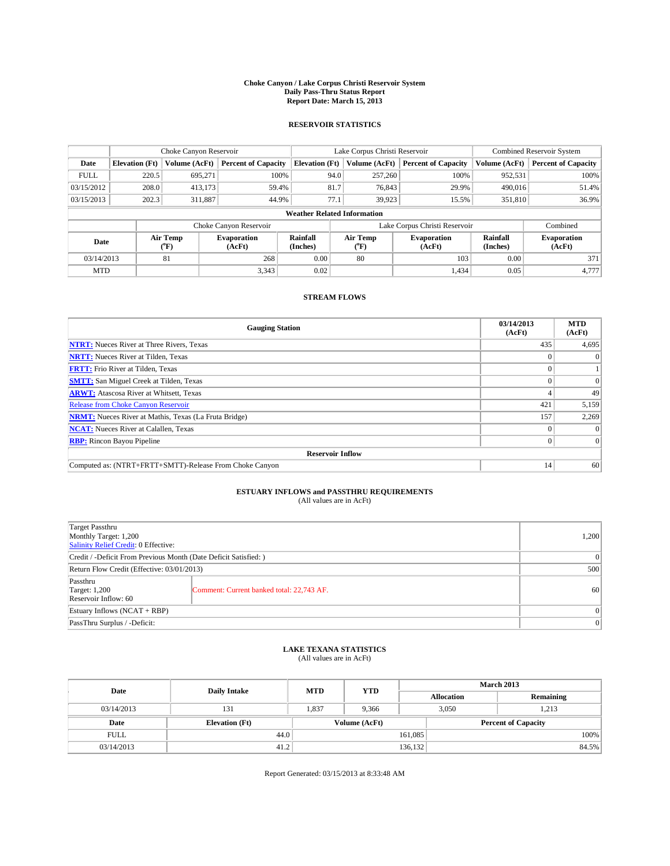#### **Choke Canyon / Lake Corpus Christi Reservoir System Daily Pass-Thru Status Report Report Date: March 15, 2013**

### **RESERVOIR STATISTICS**

|             |                       | Choke Canyon Reservoir         |                              |                                    | Lake Corpus Christi Reservoir | <b>Combined Reservoir System</b> |                      |                              |
|-------------|-----------------------|--------------------------------|------------------------------|------------------------------------|-------------------------------|----------------------------------|----------------------|------------------------------|
| Date        | <b>Elevation</b> (Ft) | Volume (AcFt)                  | <b>Percent of Capacity</b>   | <b>Elevation (Ft)</b>              | Volume (AcFt)                 | <b>Percent of Capacity</b>       | Volume (AcFt)        | <b>Percent of Capacity</b>   |
| <b>FULL</b> | 220.5                 | 695,271                        | 100%                         | 94.0                               | 257,260                       | 100%                             | 952,531              | 100%                         |
| 03/15/2012  | 208.0                 | 413,173                        | 59.4%                        | 81.7                               | 76,843                        | 29.9%                            | 490,016              | 51.4%                        |
| 03/15/2013  | 202.3                 | 311,887                        | 44.9%                        | 77.1                               | 39.923                        | 15.5%                            | 351,810              | 36.9%                        |
|             |                       |                                |                              | <b>Weather Related Information</b> |                               |                                  |                      |                              |
|             |                       |                                | Choke Canyon Reservoir       |                                    | Lake Corpus Christi Reservoir |                                  | Combined             |                              |
| Date        |                       | Air Temp<br>$({}^o\mathrm{F})$ | <b>Evaporation</b><br>(AcFt) | Rainfall<br>(Inches)               | Air Temp<br>$\rm ^{(o}\!F)$   | <b>Evaporation</b><br>(AcFt)     | Rainfall<br>(Inches) | <b>Evaporation</b><br>(AcFt) |
| 03/14/2013  |                       | 81                             | 268                          | 0.00                               | 80                            | 103                              | 0.00                 | 371                          |
| <b>MTD</b>  |                       |                                | 3,343                        | 0.02                               |                               | 1,434                            | 0.05                 | 4.777                        |

### **STREAM FLOWS**

| <b>Gauging Station</b>                                       | 03/14/2013<br>(AcFt) | <b>MTD</b><br>(AcFt) |
|--------------------------------------------------------------|----------------------|----------------------|
| <b>NTRT:</b> Nueces River at Three Rivers, Texas             | 435                  | 4,695                |
| <b>NRTT:</b> Nueces River at Tilden, Texas                   |                      | $\theta$             |
| <b>FRTT:</b> Frio River at Tilden, Texas                     |                      |                      |
| <b>SMTT:</b> San Miguel Creek at Tilden, Texas               |                      | $\Omega$             |
| <b>ARWT:</b> Atascosa River at Whitsett, Texas               |                      | 49                   |
| <b>Release from Choke Canyon Reservoir</b>                   | 421                  | 5,159                |
| <b>NRMT:</b> Nueces River at Mathis, Texas (La Fruta Bridge) | 157                  | 2,269                |
| <b>NCAT:</b> Nueces River at Calallen, Texas                 |                      | $\Omega$             |
| <b>RBP:</b> Rincon Bayou Pipeline                            | 0                    | $\Omega$             |
| <b>Reservoir Inflow</b>                                      |                      |                      |
| Computed as: (NTRT+FRTT+SMTT)-Release From Choke Canyon      | 14                   | 60 <sup>1</sup>      |

# **ESTUARY INFLOWS and PASSTHRU REQUIREMENTS**<br>(All values are in AcFt)

| <b>Target Passthru</b><br>Monthly Target: 1,200<br>Salinity Relief Credit: 0 Effective: |                                           |    |  |  |
|-----------------------------------------------------------------------------------------|-------------------------------------------|----|--|--|
| Credit / -Deficit From Previous Month (Date Deficit Satisfied: )                        |                                           |    |  |  |
| Return Flow Credit (Effective: 03/01/2013)                                              |                                           |    |  |  |
| Passthru<br><b>Target: 1,200</b><br>Reservoir Inflow: 60                                | Comment: Current banked total: 22,743 AF. | 60 |  |  |
| Estuary Inflows (NCAT + RBP)                                                            |                                           |    |  |  |
| PassThru Surplus / -Deficit:                                                            |                                           |    |  |  |

## **LAKE TEXANA STATISTICS** (All values are in AcFt)

| Date        |                       | <b>MTD</b> | <b>YTD</b> | <b>March 2013</b> |                |                            |       |  |
|-------------|-----------------------|------------|------------|-------------------|----------------|----------------------------|-------|--|
|             | <b>Daily Intake</b>   |            |            | <b>Allocation</b> |                | Remaining                  |       |  |
| 03/14/2013  | 131                   | 1,837      | 9.366      |                   | 3,050<br>1,213 |                            |       |  |
| Date        | <b>Elevation</b> (Ft) |            |            | Volume (AcFt)     |                | <b>Percent of Capacity</b> |       |  |
| <b>FULL</b> | 44.0                  |            |            | 161,085           |                |                            | 100%  |  |
| 03/14/2013  | 41.2                  |            |            | 136,132           |                |                            | 84.5% |  |

Report Generated: 03/15/2013 at 8:33:48 AM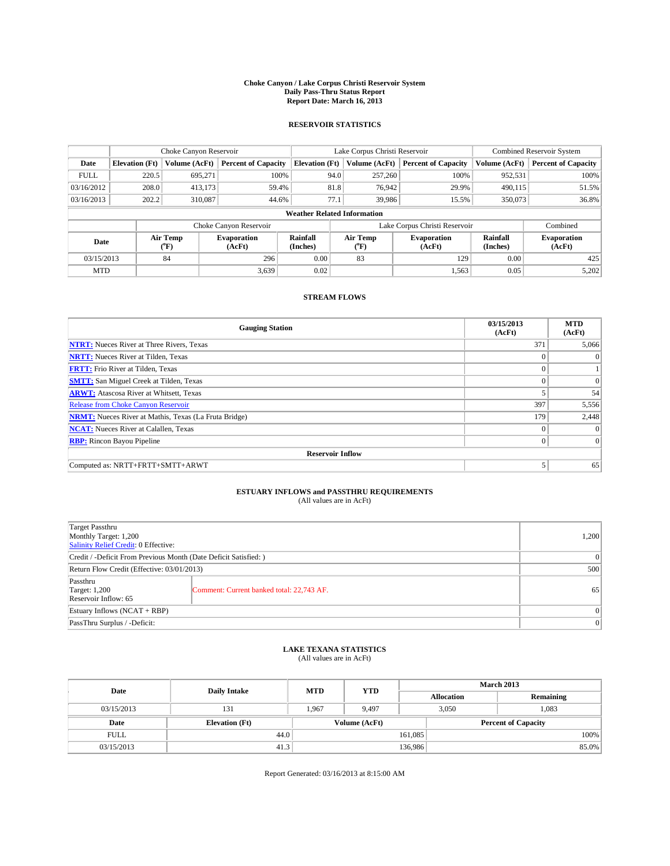#### **Choke Canyon / Lake Corpus Christi Reservoir System Daily Pass-Thru Status Report Report Date: March 16, 2013**

### **RESERVOIR STATISTICS**

|             | Choke Canyon Reservoir                                                                                         |               |                            |                                    | Lake Corpus Christi Reservoir |               |                               |               | <b>Combined Reservoir System</b> |  |  |
|-------------|----------------------------------------------------------------------------------------------------------------|---------------|----------------------------|------------------------------------|-------------------------------|---------------|-------------------------------|---------------|----------------------------------|--|--|
| Date        | <b>Elevation</b> (Ft)                                                                                          | Volume (AcFt) | <b>Percent of Capacity</b> | <b>Elevation</b> (Ft)              |                               | Volume (AcFt) | <b>Percent of Capacity</b>    | Volume (AcFt) | <b>Percent of Capacity</b>       |  |  |
| <b>FULL</b> | 220.5                                                                                                          | 695,271       | 100%                       |                                    | 94.0                          | 257,260       | 100%                          | 952,531       | 100%                             |  |  |
| 03/16/2012  | 208.0                                                                                                          | 413,173       | 59.4%                      |                                    | 81.8                          | 76,942        | 29.9%                         | 490,115       | 51.5%                            |  |  |
| 03/16/2013  | 202.2                                                                                                          | 310,087       | 44.6%                      |                                    | 77.1                          | 39.986        | 15.5%                         | 350,073       | 36.8%                            |  |  |
|             |                                                                                                                |               |                            | <b>Weather Related Information</b> |                               |               |                               |               |                                  |  |  |
|             |                                                                                                                |               | Choke Canyon Reservoir     |                                    |                               |               | Lake Corpus Christi Reservoir |               | Combined                         |  |  |
|             | Air Temp<br>Air Temp<br>Rainfall<br><b>Evaporation</b><br>Date<br>(AcFt)<br>(Inches)<br>(°F)<br>(AcFt)<br>("F) |               | <b>Evaporation</b>         | Rainfall<br>(Inches)               | <b>Evaporation</b><br>(AcFt)  |               |                               |               |                                  |  |  |
| 03/15/2013  |                                                                                                                | 84            | 296                        | 0.00                               |                               | 83            | 129                           | 0.00          | 425                              |  |  |
| <b>MTD</b>  |                                                                                                                |               | 3,639                      | 0.02                               |                               |               | 1,563                         | 0.05          | 5,202                            |  |  |

### **STREAM FLOWS**

| <b>Gauging Station</b>                                       | 03/15/2013<br>(AcFt) | <b>MTD</b><br>(AcFt) |  |  |  |
|--------------------------------------------------------------|----------------------|----------------------|--|--|--|
| <b>NTRT:</b> Nueces River at Three Rivers, Texas             | 371                  | 5,066                |  |  |  |
| <b>NRTT:</b> Nueces River at Tilden, Texas                   | $\theta$             | $\Omega$             |  |  |  |
| <b>FRTT:</b> Frio River at Tilden, Texas                     | $\theta$             |                      |  |  |  |
| <b>SMTT:</b> San Miguel Creek at Tilden, Texas               | $\theta$             | $\overline{0}$       |  |  |  |
| <b>ARWT:</b> Atascosa River at Whitsett, Texas               | 5                    | 54                   |  |  |  |
| <b>Release from Choke Canyon Reservoir</b>                   | 397                  | 5,556                |  |  |  |
| <b>NRMT:</b> Nueces River at Mathis, Texas (La Fruta Bridge) | 179                  | 2,448                |  |  |  |
| <b>NCAT:</b> Nueces River at Calallen, Texas                 | $\Omega$             | $\Omega$             |  |  |  |
| <b>RBP:</b> Rincon Bayou Pipeline                            | $\Omega$             | $\Omega$             |  |  |  |
| <b>Reservoir Inflow</b>                                      |                      |                      |  |  |  |
| Computed as: NRTT+FRTT+SMTT+ARWT                             | 5                    | 65                   |  |  |  |

# **ESTUARY INFLOWS and PASSTHRU REQUIREMENTS**<br>(All values are in AcFt)

| <b>Target Passthru</b><br>Monthly Target: 1,200<br>Salinity Relief Credit: 0 Effective: |                                           |    |  |  |  |
|-----------------------------------------------------------------------------------------|-------------------------------------------|----|--|--|--|
| Credit / -Deficit From Previous Month (Date Deficit Satisfied: )                        |                                           |    |  |  |  |
| Return Flow Credit (Effective: 03/01/2013)                                              |                                           |    |  |  |  |
| Passthru<br><b>Target: 1,200</b><br>Reservoir Inflow: 65                                | Comment: Current banked total: 22,743 AF. | 65 |  |  |  |
| Estuary Inflows (NCAT + RBP)                                                            |                                           |    |  |  |  |
| PassThru Surplus / -Deficit:                                                            |                                           |    |  |  |  |

## **LAKE TEXANA STATISTICS** (All values are in AcFt)

| Date        |                       | <b>MTD</b>    | <b>YTD</b> | <b>March 2013</b> |                            |           |  |
|-------------|-----------------------|---------------|------------|-------------------|----------------------------|-----------|--|
|             | <b>Daily Intake</b>   |               |            |                   | <b>Allocation</b>          | Remaining |  |
| 03/15/2013  | 131                   | 1.967         | 9.497      |                   | 3,050<br>1,083             |           |  |
| Date        | <b>Elevation</b> (Ft) | Volume (AcFt) |            |                   | <b>Percent of Capacity</b> |           |  |
| <b>FULL</b> | 44.0                  |               |            | 161,085           |                            | 100%      |  |
| 03/15/2013  | 41.3                  |               |            | 136,986           |                            | 85.0%     |  |

Report Generated: 03/16/2013 at 8:15:00 AM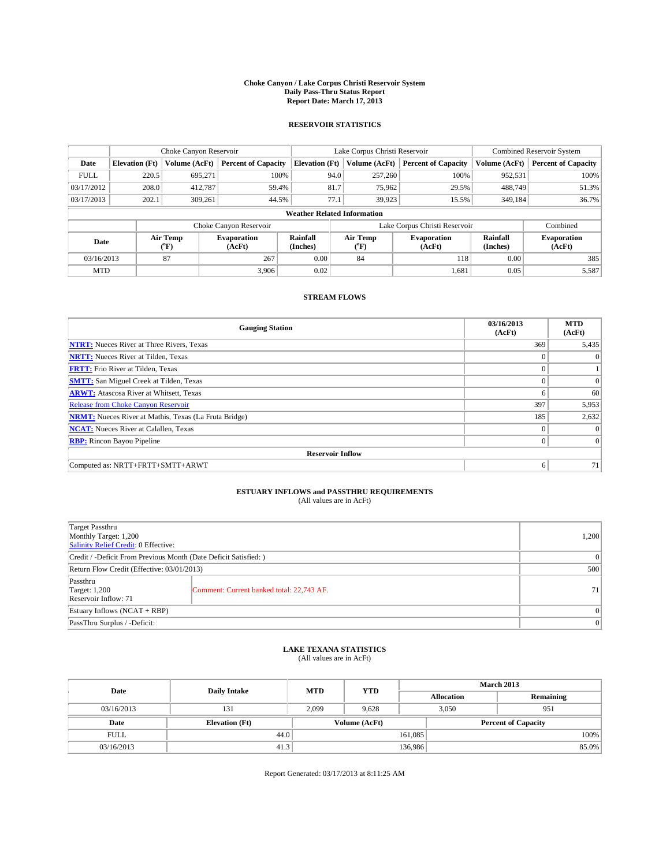#### **Choke Canyon / Lake Corpus Christi Reservoir System Daily Pass-Thru Status Report Report Date: March 17, 2013**

### **RESERVOIR STATISTICS**

|             |                                                                                                                                   | Choke Canyon Reservoir |                            |                                    | Lake Corpus Christi Reservoir | <b>Combined Reservoir System</b> |               |                            |
|-------------|-----------------------------------------------------------------------------------------------------------------------------------|------------------------|----------------------------|------------------------------------|-------------------------------|----------------------------------|---------------|----------------------------|
| Date        | <b>Elevation</b> (Ft)                                                                                                             | Volume (AcFt)          | <b>Percent of Capacity</b> | <b>Elevation (Ft)</b>              | Volume (AcFt)                 | <b>Percent of Capacity</b>       | Volume (AcFt) | <b>Percent of Capacity</b> |
| <b>FULL</b> | 220.5                                                                                                                             | 695,271                | 100%                       | 94.0                               | 257,260                       | 100%                             | 952,531       | 100%                       |
| 03/17/2012  | 208.0                                                                                                                             | 412,787                | 59.4%                      | 81.7                               | 75,962                        | 29.5%                            | 488,749       | 51.3%                      |
| 03/17/2013  | 202.1                                                                                                                             | 309.261                | 44.5%                      | 77.1                               | 39.923                        | 15.5%                            | 349,184       | 36.7%                      |
|             |                                                                                                                                   |                        |                            | <b>Weather Related Information</b> |                               |                                  |               |                            |
|             |                                                                                                                                   |                        | Choke Canyon Reservoir     |                                    |                               | Lake Corpus Christi Reservoir    |               | Combined                   |
| Date        | Rainfall<br>Air Temp<br>Air Temp<br><b>Evaporation</b><br><b>Evaporation</b><br>(°F)<br>(AcFt)<br>(Inches)<br>(AcFt)<br>$(^{0}F)$ |                        |                            | Rainfall<br>(Inches)               | <b>Evaporation</b><br>(AcFt)  |                                  |               |                            |
| 03/16/2013  |                                                                                                                                   | 87                     | 267                        | 0.00                               | 84                            | 118                              | 0.00          | 385                        |
| <b>MTD</b>  |                                                                                                                                   |                        | 3.906                      | 0.02                               |                               | 1,681                            | 0.05          | 5,587                      |

### **STREAM FLOWS**

| <b>Gauging Station</b>                                       | 03/16/2013<br>(AcFt) | <b>MTD</b><br>(AcFt) |  |  |  |  |
|--------------------------------------------------------------|----------------------|----------------------|--|--|--|--|
| <b>NTRT:</b> Nueces River at Three Rivers, Texas             | 369                  | 5,435                |  |  |  |  |
| <b>NRTT:</b> Nueces River at Tilden, Texas                   | $\theta$             | $\theta$             |  |  |  |  |
| <b>FRTT:</b> Frio River at Tilden, Texas                     |                      |                      |  |  |  |  |
| <b>SMTT:</b> San Miguel Creek at Tilden, Texas               | $\theta$             | $\overline{0}$       |  |  |  |  |
| <b>ARWT:</b> Atascosa River at Whitsett, Texas               | 6                    | 60                   |  |  |  |  |
| <b>Release from Choke Canyon Reservoir</b>                   | 397                  | 5,953                |  |  |  |  |
| <b>NRMT:</b> Nueces River at Mathis, Texas (La Fruta Bridge) | 185                  | 2,632                |  |  |  |  |
| <b>NCAT:</b> Nueces River at Calallen, Texas                 | $\theta$             | $\Omega$             |  |  |  |  |
| <b>RBP:</b> Rincon Bayou Pipeline                            | $\Omega$             | $\Omega$             |  |  |  |  |
| <b>Reservoir Inflow</b>                                      |                      |                      |  |  |  |  |
| Computed as: NRTT+FRTT+SMTT+ARWT                             | 6                    | 71                   |  |  |  |  |

# **ESTUARY INFLOWS and PASSTHRU REQUIREMENTS**<br>(All values are in AcFt)

| <b>Target Passthru</b><br>Monthly Target: 1,200<br>Salinity Relief Credit: 0 Effective: |                                           |      |  |  |  |
|-----------------------------------------------------------------------------------------|-------------------------------------------|------|--|--|--|
| Credit / -Deficit From Previous Month (Date Deficit Satisfied: )                        |                                           |      |  |  |  |
| Return Flow Credit (Effective: 03/01/2013)                                              |                                           |      |  |  |  |
| Passthru<br><b>Target: 1,200</b><br>Reservoir Inflow: 71                                | Comment: Current banked total: 22,743 AF. | 71 I |  |  |  |
| Estuary Inflows (NCAT + RBP)                                                            |                                           |      |  |  |  |
| PassThru Surplus / -Deficit:                                                            |                                           |      |  |  |  |

## **LAKE TEXANA STATISTICS** (All values are in AcFt)

| Date        |                       | <b>MTD</b> | <b>YTD</b> | <b>March 2013</b> |       |                            |  |
|-------------|-----------------------|------------|------------|-------------------|-------|----------------------------|--|
|             | <b>Daily Intake</b>   |            |            | <b>Allocation</b> |       | Remaining                  |  |
| 03/16/2013  | 131                   | 2,099      | 9.628      |                   | 3,050 | 951                        |  |
| Date        | <b>Elevation</b> (Ft) |            |            | Volume (AcFt)     |       | <b>Percent of Capacity</b> |  |
| <b>FULL</b> | 44.0                  |            |            | 161,085           |       | 100%                       |  |
| 03/16/2013  | 41.3                  |            |            | 136,986           |       | 85.0%                      |  |

Report Generated: 03/17/2013 at 8:11:25 AM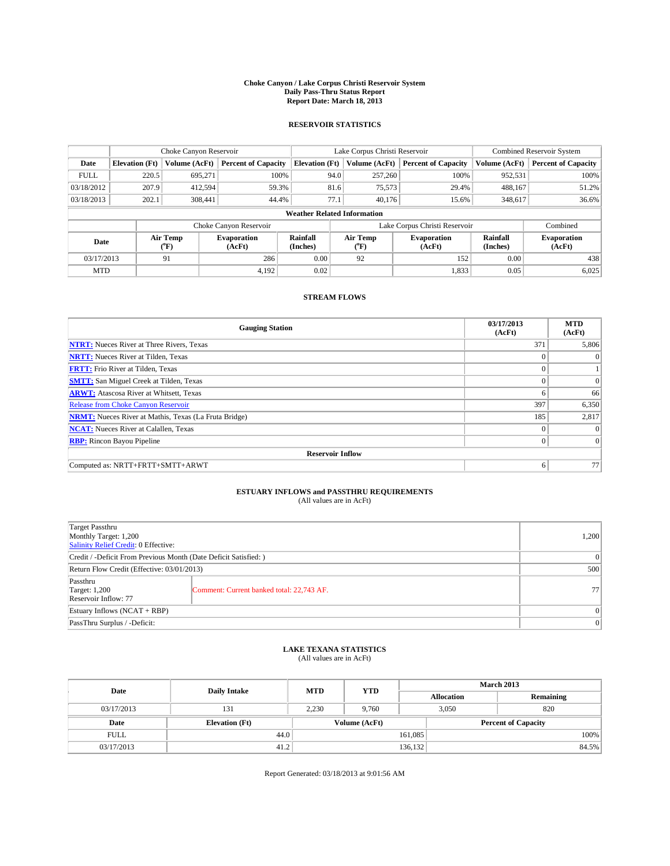#### **Choke Canyon / Lake Corpus Christi Reservoir System Daily Pass-Thru Status Report Report Date: March 18, 2013**

### **RESERVOIR STATISTICS**

|                          | Choke Canyon Reservoir |               |                              |                                    | Lake Corpus Christi Reservoir | Combined Reservoir System     |                      |                              |
|--------------------------|------------------------|---------------|------------------------------|------------------------------------|-------------------------------|-------------------------------|----------------------|------------------------------|
| Date                     | <b>Elevation</b> (Ft)  | Volume (AcFt) | <b>Percent of Capacity</b>   | <b>Elevation (Ft)</b>              | Volume (AcFt)                 | <b>Percent of Capacity</b>    | Volume (AcFt)        | <b>Percent of Capacity</b>   |
| <b>FULL</b>              | 220.5                  | 695,271       | 100%                         | 94.0                               | 257,260                       | 100%                          | 952,531              | 100%                         |
| 03/18/2012               | 207.9                  | 412,594       | 59.3%                        | 81.6                               | 75,573                        | 29.4%                         | 488,167              | 51.2%                        |
| 03/18/2013               | 202.1                  | 308,441       | 44.4%                        | 77.1                               | 40.176                        | 15.6%                         | 348,617              | 36.6%                        |
|                          |                        |               |                              | <b>Weather Related Information</b> |                               |                               |                      |                              |
|                          |                        |               | Choke Canyon Reservoir       |                                    |                               | Lake Corpus Christi Reservoir |                      | Combined                     |
| Air Temp<br>Date<br>(°F) |                        |               | <b>Evaporation</b><br>(AcFt) | Rainfall<br>(Inches)               | Air Temp<br>("F)              | <b>Evaporation</b><br>(AcFt)  | Rainfall<br>(Inches) | <b>Evaporation</b><br>(AcFt) |
| 03/17/2013               |                        | 91            | 286                          | 0.00                               | 92                            | 152                           | 0.00                 | 438                          |
| <b>MTD</b>               |                        |               | 4.192                        | 0.02                               |                               | 1,833                         | 0.05                 | 6,025                        |

### **STREAM FLOWS**

| <b>Gauging Station</b>                                       | 03/17/2013<br>(AcFt) | <b>MTD</b><br>(AcFt) |  |  |  |  |
|--------------------------------------------------------------|----------------------|----------------------|--|--|--|--|
| <b>NTRT:</b> Nueces River at Three Rivers, Texas             | 371                  | 5,806                |  |  |  |  |
| <b>NRTT:</b> Nueces River at Tilden, Texas                   |                      | $\Omega$             |  |  |  |  |
| <b>FRTT:</b> Frio River at Tilden, Texas                     |                      |                      |  |  |  |  |
| <b>SMTT:</b> San Miguel Creek at Tilden, Texas               |                      | $\overline{0}$       |  |  |  |  |
| <b>ARWT:</b> Atascosa River at Whitsett, Texas               | 6                    | 66                   |  |  |  |  |
| <b>Release from Choke Canyon Reservoir</b>                   | 397                  | 6,350                |  |  |  |  |
| <b>NRMT:</b> Nueces River at Mathis, Texas (La Fruta Bridge) | 185                  | 2,817                |  |  |  |  |
| <b>NCAT:</b> Nueces River at Calallen, Texas                 | $\Omega$             | $\Omega$             |  |  |  |  |
| <b>RBP:</b> Rincon Bayou Pipeline                            | 0                    | 0                    |  |  |  |  |
| <b>Reservoir Inflow</b>                                      |                      |                      |  |  |  |  |
| Computed as: NRTT+FRTT+SMTT+ARWT                             | 6                    | 77                   |  |  |  |  |

# **ESTUARY INFLOWS and PASSTHRU REQUIREMENTS**<br>(All values are in AcFt)

| <b>Target Passthru</b><br>Monthly Target: 1,200<br>Salinity Relief Credit: 0 Effective: |                                           |    |  |  |
|-----------------------------------------------------------------------------------------|-------------------------------------------|----|--|--|
| Credit / -Deficit From Previous Month (Date Deficit Satisfied: )                        |                                           |    |  |  |
| Return Flow Credit (Effective: 03/01/2013)                                              |                                           |    |  |  |
| Passthru<br><b>Target: 1,200</b><br>Reservoir Inflow: 77                                | Comment: Current banked total: 22,743 AF. | 77 |  |  |
| Estuary Inflows (NCAT + RBP)                                                            |                                           |    |  |  |
| PassThru Surplus / -Deficit:                                                            |                                           | 0  |  |  |

## **LAKE TEXANA STATISTICS** (All values are in AcFt)

| Date        |                       | <b>MTD</b>    | <b>YTD</b> | <b>March 2013</b> |                            |           |  |
|-------------|-----------------------|---------------|------------|-------------------|----------------------------|-----------|--|
|             | <b>Daily Intake</b>   |               |            |                   | <b>Allocation</b>          | Remaining |  |
| 03/17/2013  | 131                   | 2.230         | 9.760      |                   | 3,050<br>820               |           |  |
| Date        | <b>Elevation</b> (Ft) | Volume (AcFt) |            |                   | <b>Percent of Capacity</b> |           |  |
| <b>FULL</b> | 44.0                  |               |            | 161,085           |                            | 100%      |  |
| 03/17/2013  | 41.2                  |               |            | 136,132           |                            | 84.5%     |  |

Report Generated: 03/18/2013 at 9:01:56 AM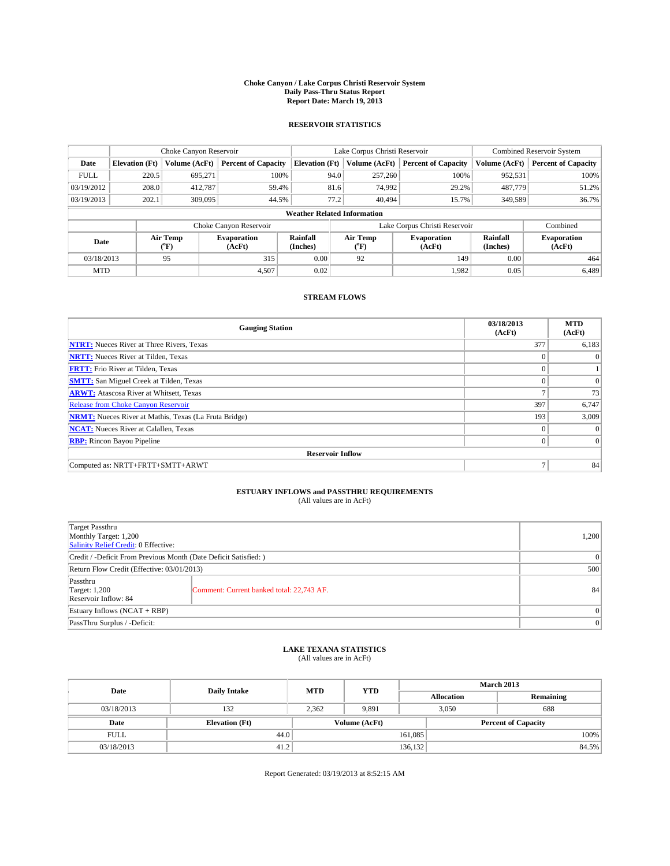#### **Choke Canyon / Lake Corpus Christi Reservoir System Daily Pass-Thru Status Report Report Date: March 19, 2013**

### **RESERVOIR STATISTICS**

|             |                                    | Choke Canyon Reservoir |                            |                       | Lake Corpus Christi Reservoir | <b>Combined Reservoir System</b> |                      |                              |  |
|-------------|------------------------------------|------------------------|----------------------------|-----------------------|-------------------------------|----------------------------------|----------------------|------------------------------|--|
| Date        | <b>Elevation</b> (Ft)              | Volume (AcFt)          | <b>Percent of Capacity</b> | <b>Elevation</b> (Ft) | Volume (AcFt)                 | <b>Percent of Capacity</b>       | Volume (AcFt)        | Percent of Capacity          |  |
| <b>FULL</b> | 220.5                              | 695,271                | 100%                       | 94.0                  | 257,260                       | 100%                             | 952,531              | 100%                         |  |
| 03/19/2012  | 208.0                              | 412,787                | 59.4%                      | 81.6                  | 74,992                        | 29.2%                            | 487,779              | 51.2%                        |  |
| 03/19/2013  | 202.1                              | 309,095                | 44.5%                      | 77.2                  | 40.494                        | 15.7%                            | 349.589              | $36.7\%$                     |  |
|             | <b>Weather Related Information</b> |                        |                            |                       |                               |                                  |                      |                              |  |
|             |                                    |                        | Choke Canyon Reservoir     |                       |                               | Lake Corpus Christi Reservoir    |                      | Combined                     |  |
| Date        |                                    | Air Temp<br>(°F)       | Evaporation<br>(AcFt)      | Rainfall<br>(Inches)  | Air Temp<br>("F)              | <b>Evaporation</b><br>(AcFt)     | Rainfall<br>(Inches) | <b>Evaporation</b><br>(AcFt) |  |
| 03/18/2013  |                                    | 95                     | 315                        | 0.00                  | 92                            | 149                              |                      | 464                          |  |
| <b>MTD</b>  |                                    |                        | 4,507                      | 0.02                  |                               | 1,982                            | 0.05                 | 6,489                        |  |

### **STREAM FLOWS**

| <b>Gauging Station</b>                                       | 03/18/2013<br>(AcFt) | <b>MTD</b><br>(AcFt) |  |  |  |  |
|--------------------------------------------------------------|----------------------|----------------------|--|--|--|--|
| <b>NTRT:</b> Nueces River at Three Rivers, Texas             | 377                  | 6,183                |  |  |  |  |
| <b>NRTT:</b> Nueces River at Tilden, Texas                   |                      | $\theta$             |  |  |  |  |
| <b>FRTT:</b> Frio River at Tilden, Texas                     |                      |                      |  |  |  |  |
| <b>SMTT:</b> San Miguel Creek at Tilden, Texas               | $\theta$             | $\Omega$             |  |  |  |  |
| <b>ARWT:</b> Atascosa River at Whitsett, Texas               | Ξ                    | 73                   |  |  |  |  |
| <b>Release from Choke Canyon Reservoir</b>                   | 397                  | 6,747                |  |  |  |  |
| <b>NRMT:</b> Nueces River at Mathis, Texas (La Fruta Bridge) | 193                  | 3,009                |  |  |  |  |
| <b>NCAT:</b> Nueces River at Calallen, Texas                 | $\theta$             | $\Omega$             |  |  |  |  |
| <b>RBP:</b> Rincon Bayou Pipeline                            | $\Omega$             | $\Omega$             |  |  |  |  |
| <b>Reservoir Inflow</b>                                      |                      |                      |  |  |  |  |
| Computed as: NRTT+FRTT+SMTT+ARWT                             | $\overline{ }$       | 84                   |  |  |  |  |

# **ESTUARY INFLOWS and PASSTHRU REQUIREMENTS**<br>(All values are in AcFt)

| <b>Target Passthru</b><br>Monthly Target: 1,200<br>Salinity Relief Credit: 0 Effective: |                                           |    |  |  |
|-----------------------------------------------------------------------------------------|-------------------------------------------|----|--|--|
| Credit / -Deficit From Previous Month (Date Deficit Satisfied: )                        |                                           |    |  |  |
| Return Flow Credit (Effective: 03/01/2013)                                              |                                           |    |  |  |
| Passthru<br><b>Target: 1,200</b><br>Reservoir Inflow: 84                                | Comment: Current banked total: 22,743 AF. | 84 |  |  |
| Estuary Inflows (NCAT + RBP)                                                            |                                           |    |  |  |
| PassThru Surplus / -Deficit:                                                            | 0                                         |    |  |  |

## **LAKE TEXANA STATISTICS** (All values are in AcFt)

| Date        |                       | <b>MTD</b> | <b>YTD</b>    | <b>March 2013</b> |                            |           |  |
|-------------|-----------------------|------------|---------------|-------------------|----------------------------|-----------|--|
|             | <b>Daily Intake</b>   |            |               | <b>Allocation</b> |                            | Remaining |  |
| 03/18/2013  | 132                   | 2.362      | 9.891         |                   | 3,050<br>688               |           |  |
| Date        | <b>Elevation</b> (Ft) |            | Volume (AcFt) |                   | <b>Percent of Capacity</b> |           |  |
| <b>FULL</b> | 44.0                  |            |               | 161,085           |                            | 100%      |  |
| 03/18/2013  | 41.2                  |            |               | 136,132           |                            | 84.5%     |  |

Report Generated: 03/19/2013 at 8:52:15 AM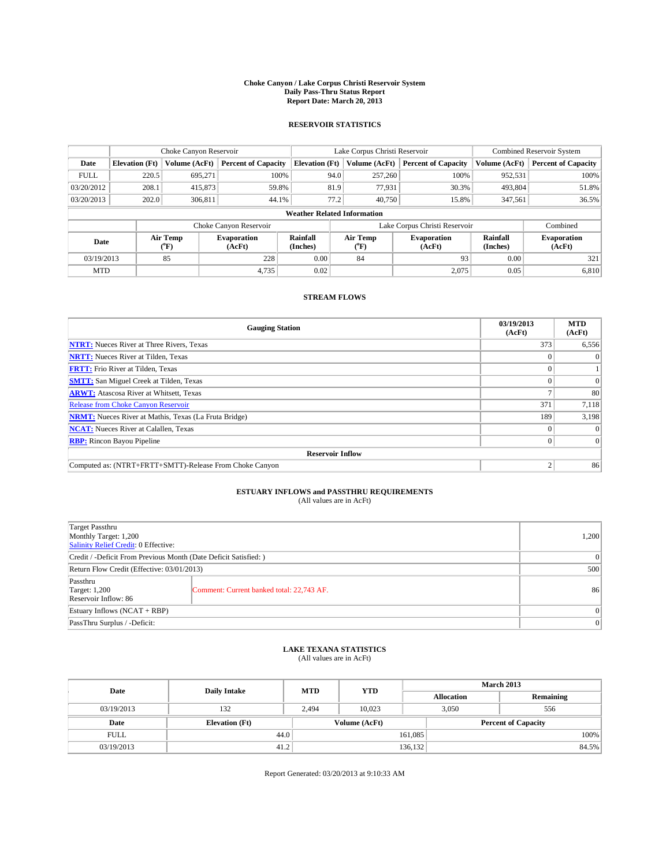#### **Choke Canyon / Lake Corpus Christi Reservoir System Daily Pass-Thru Status Report Report Date: March 20, 2013**

### **RESERVOIR STATISTICS**

|             | Choke Canyon Reservoir             |               | Lake Corpus Christi Reservoir |                       |                  |                              | <b>Combined Reservoir System</b> |                      |                              |
|-------------|------------------------------------|---------------|-------------------------------|-----------------------|------------------|------------------------------|----------------------------------|----------------------|------------------------------|
| Date        | <b>Elevation</b> (Ft)              | Volume (AcFt) | <b>Percent of Capacity</b>    | <b>Elevation (Ft)</b> | Volume (AcFt)    |                              | <b>Percent of Capacity</b>       | Volume (AcFt)        | <b>Percent of Capacity</b>   |
| <b>FULL</b> | 220.5                              | 695,271       | 100%                          |                       | 257,260<br>94.0  |                              | 100%                             | 952,531              | 100%                         |
| 03/20/2012  | 208.1                              | 415,873       | 59.8%                         |                       | 81.9             | 77,931                       | 30.3%                            | 493,804              | 51.8%                        |
| 03/20/2013  | 202.0                              | 306.811       | 44.1%                         |                       | 77.2             | 40,750                       | 15.8%                            | 347,561              | 36.5%                        |
|             | <b>Weather Related Information</b> |               |                               |                       |                  |                              |                                  |                      |                              |
|             |                                    |               | Choke Canyon Reservoir        |                       |                  |                              | Lake Corpus Christi Reservoir    |                      | Combined                     |
| Date        | Air Temp<br>(°F)                   |               | <b>Evaporation</b><br>(AcFt)  | Rainfall<br>(Inches)  | Air Temp<br>("F) | <b>Evaporation</b><br>(AcFt) |                                  | Rainfall<br>(Inches) | <b>Evaporation</b><br>(AcFt) |
| 03/19/2013  |                                    | 85            | 228                           | 0.00                  | 84               |                              | 93                               | 0.00                 | 321                          |
| <b>MTD</b>  |                                    |               | 4,735                         | 0.02                  |                  |                              | 2,075                            | 0.05                 | 6,810                        |

### **STREAM FLOWS**

| <b>Gauging Station</b>                                       | 03/19/2013<br>(AcFt) | <b>MTD</b><br>(AcFt) |  |  |  |  |
|--------------------------------------------------------------|----------------------|----------------------|--|--|--|--|
| <b>NTRT:</b> Nueces River at Three Rivers, Texas             | 373                  | 6,556                |  |  |  |  |
| <b>NRTT:</b> Nueces River at Tilden, Texas                   |                      | $\theta$             |  |  |  |  |
| <b>FRTT:</b> Frio River at Tilden, Texas                     |                      |                      |  |  |  |  |
| <b>SMTT:</b> San Miguel Creek at Tilden, Texas               |                      | $\Omega$             |  |  |  |  |
| <b>ARWT:</b> Atascosa River at Whitsett, Texas               |                      | 80                   |  |  |  |  |
| <b>Release from Choke Canyon Reservoir</b>                   | 371                  | 7,118                |  |  |  |  |
| <b>NRMT:</b> Nueces River at Mathis, Texas (La Fruta Bridge) | 189                  | 3,198                |  |  |  |  |
| <b>NCAT:</b> Nueces River at Calallen, Texas                 |                      | $\Omega$             |  |  |  |  |
| <b>RBP:</b> Rincon Bayou Pipeline                            | 0                    | $\Omega$             |  |  |  |  |
| <b>Reservoir Inflow</b>                                      |                      |                      |  |  |  |  |
| Computed as: (NTRT+FRTT+SMTT)-Release From Choke Canyon      | C                    | 86                   |  |  |  |  |

# **ESTUARY INFLOWS and PASSTHRU REQUIREMENTS**<br>(All values are in AcFt)

| <b>Target Passthru</b><br>Monthly Target: 1,200<br>Salinity Relief Credit: 0 Effective: |                                           |    |  |  |
|-----------------------------------------------------------------------------------------|-------------------------------------------|----|--|--|
| Credit / -Deficit From Previous Month (Date Deficit Satisfied: )                        |                                           |    |  |  |
| Return Flow Credit (Effective: 03/01/2013)                                              |                                           |    |  |  |
| Passthru<br><b>Target: 1,200</b><br>Reservoir Inflow: 86                                | Comment: Current banked total: 22,743 AF. | 86 |  |  |
| Estuary Inflows (NCAT + RBP)                                                            |                                           |    |  |  |
| PassThru Surplus / -Deficit:                                                            | 0                                         |    |  |  |

## **LAKE TEXANA STATISTICS** (All values are in AcFt)

| Date        | <b>Daily Intake</b>   | <b>MTD</b> | <b>YTD</b>    | <b>March 2013</b> |                            |           |  |
|-------------|-----------------------|------------|---------------|-------------------|----------------------------|-----------|--|
|             |                       |            |               | <b>Allocation</b> |                            | Remaining |  |
| 03/19/2013  | 132                   | 2,494      | 10.023        | 3,050             | 556                        |           |  |
| Date        | <b>Elevation</b> (Ft) |            | Volume (AcFt) |                   | <b>Percent of Capacity</b> |           |  |
| <b>FULL</b> | 44.0                  |            |               | 161,085           |                            | 100%      |  |
| 03/19/2013  | 41.2                  |            |               | 136,132           |                            | 84.5%     |  |

Report Generated: 03/20/2013 at 9:10:33 AM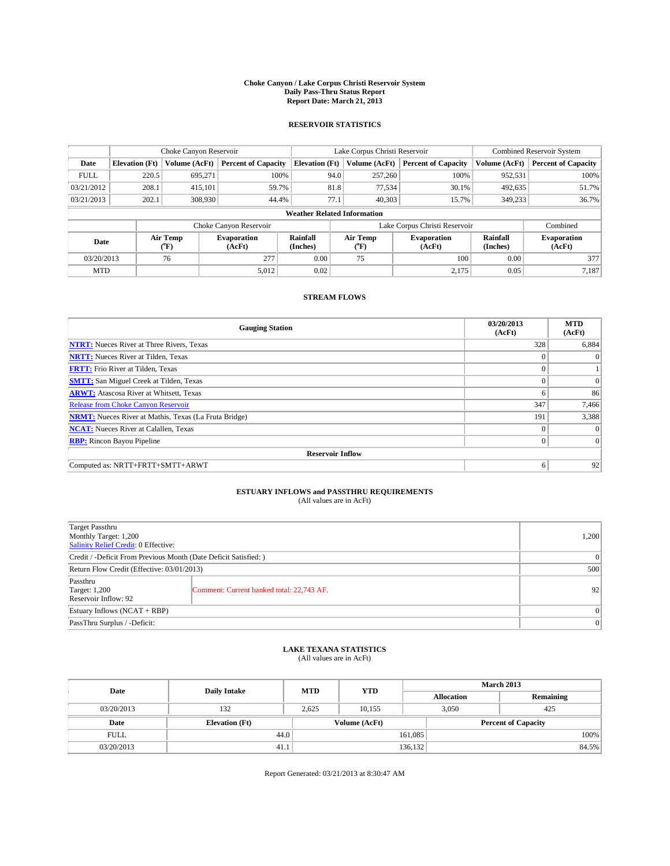#### **Choke Canyon / Lake Corpus Christi Reservoir System Daily Pass-Thru Status Report Report Date: March 21, 2013**

### **RESERVOIR STATISTICS**

|             |                                    | Choke Canyon Reservoir |                              |                       | Lake Corpus Christi Reservoir | Combined Reservoir System     |               |                              |  |
|-------------|------------------------------------|------------------------|------------------------------|-----------------------|-------------------------------|-------------------------------|---------------|------------------------------|--|
| Date        | <b>Elevation</b> (Ft)              | Volume (AcFt)          | <b>Percent of Capacity</b>   | <b>Elevation (Ft)</b> | Volume (AcFt)                 | <b>Percent of Capacity</b>    | Volume (AcFt) | <b>Percent of Capacity</b>   |  |
| <b>FULL</b> | 220.5                              | 695,271                | 100%                         | 94.0                  | 257,260                       | 100%                          | 952,531       | 100%                         |  |
| 03/21/2012  | 208.1                              | 415,101                | 59.7%                        | 81.8                  | 77,534                        | 30.1%                         | 492,635       | 51.7%                        |  |
| 03/21/2013  | 202.1                              | 308,930                | 44.4%                        | 77.1                  | 40.303                        | 15.7%                         | 349,233       | 36.7%                        |  |
|             | <b>Weather Related Information</b> |                        |                              |                       |                               |                               |               |                              |  |
|             |                                    |                        | Choke Canyon Reservoir       |                       |                               | Lake Corpus Christi Reservoir |               | Combined                     |  |
| Date        | Air Temp<br>(°F)                   |                        | <b>Evaporation</b><br>(AcFt) | Rainfall<br>(Inches)  | Air Temp<br>("F)              | <b>Evaporation</b><br>(AcFt)  |               | <b>Evaporation</b><br>(AcFt) |  |
| 03/20/2013  |                                    | 76                     | 277                          | 0.00                  | 75                            | 100                           | 0.00          | 377                          |  |
| <b>MTD</b>  |                                    |                        | 5,012                        | 0.02                  |                               | 2,175                         | 0.05          | 7.187                        |  |

### **STREAM FLOWS**

| <b>Gauging Station</b>                                       | 03/20/2013<br>(AcFt) | <b>MTD</b><br>(AcFt) |  |  |  |  |
|--------------------------------------------------------------|----------------------|----------------------|--|--|--|--|
| <b>NTRT:</b> Nueces River at Three Rivers, Texas             | 328                  | 6,884                |  |  |  |  |
| <b>NRTT:</b> Nueces River at Tilden, Texas                   | $\theta$             | $\theta$             |  |  |  |  |
| <b>FRTT:</b> Frio River at Tilden, Texas                     |                      |                      |  |  |  |  |
| <b>SMTT:</b> San Miguel Creek at Tilden, Texas               | $\theta$             | $\overline{0}$       |  |  |  |  |
| <b>ARWT:</b> Atascosa River at Whitsett, Texas               | 6                    | 86                   |  |  |  |  |
| <b>Release from Choke Canyon Reservoir</b>                   | 347                  | 7,466                |  |  |  |  |
| <b>NRMT:</b> Nueces River at Mathis, Texas (La Fruta Bridge) | 191                  | 3,388                |  |  |  |  |
| <b>NCAT:</b> Nueces River at Calallen, Texas                 | $\theta$             | $\Omega$             |  |  |  |  |
| <b>RBP:</b> Rincon Bayou Pipeline                            | $\Omega$             | $\Omega$             |  |  |  |  |
| <b>Reservoir Inflow</b>                                      |                      |                      |  |  |  |  |
| Computed as: NRTT+FRTT+SMTT+ARWT                             | 6                    | 92                   |  |  |  |  |

# **ESTUARY INFLOWS and PASSTHRU REQUIREMENTS**<br>(All values are in AcFt)

| <b>Target Passthru</b><br>Monthly Target: 1,200<br>Salinity Relief Credit: 0 Effective: |                                           |    |  |  |
|-----------------------------------------------------------------------------------------|-------------------------------------------|----|--|--|
| Credit / -Deficit From Previous Month (Date Deficit Satisfied: )                        |                                           |    |  |  |
| Return Flow Credit (Effective: 03/01/2013)                                              |                                           |    |  |  |
| Passthru<br><b>Target: 1,200</b><br>Reservoir Inflow: 92                                | Comment: Current banked total: 22,743 AF. | 92 |  |  |
| Estuary Inflows (NCAT + RBP)                                                            |                                           |    |  |  |
| PassThru Surplus / -Deficit:                                                            |                                           |    |  |  |

## **LAKE TEXANA STATISTICS** (All values are in AcFt)

| Date        | <b>Daily Intake</b>   | <b>MTD</b>    | <b>YTD</b> | <b>March 2013</b> |                            |           |  |
|-------------|-----------------------|---------------|------------|-------------------|----------------------------|-----------|--|
|             |                       |               |            | <b>Allocation</b> |                            | Remaining |  |
| 03/20/2013  | 132                   | 2.625         | 10.155     |                   | 3,050<br>425               |           |  |
| Date        | <b>Elevation</b> (Ft) | Volume (AcFt) |            |                   | <b>Percent of Capacity</b> |           |  |
| <b>FULL</b> | 44.0                  |               |            | 161,085           |                            | 100%      |  |
| 03/20/2013  | 41.1                  |               |            | 136,132           |                            | 84.5%     |  |

Report Generated: 03/21/2013 at 8:30:47 AM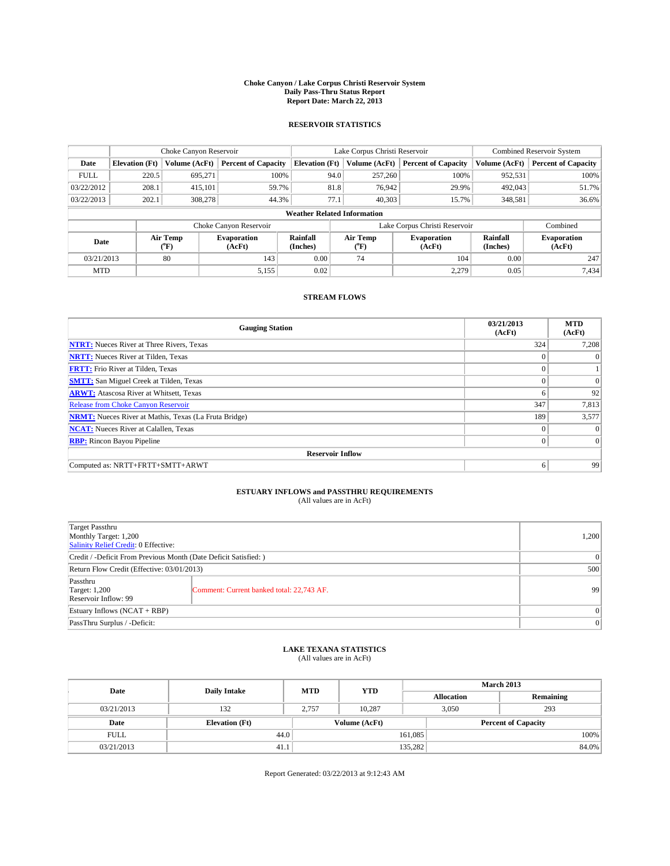#### **Choke Canyon / Lake Corpus Christi Reservoir System Daily Pass-Thru Status Report Report Date: March 22, 2013**

### **RESERVOIR STATISTICS**

|             |                                    | Choke Canyon Reservoir |                              |                       | Lake Corpus Christi Reservoir | <b>Combined Reservoir System</b> |                      |                              |  |
|-------------|------------------------------------|------------------------|------------------------------|-----------------------|-------------------------------|----------------------------------|----------------------|------------------------------|--|
| Date        | <b>Elevation</b> (Ft)              | Volume (AcFt)          | <b>Percent of Capacity</b>   | <b>Elevation (Ft)</b> | Volume (AcFt)                 | <b>Percent of Capacity</b>       | Volume (AcFt)        | <b>Percent of Capacity</b>   |  |
| <b>FULL</b> | 220.5                              | 695,271                | 100%                         | 94.0                  | 257,260                       | 100%                             | 952,531              | 100%                         |  |
| 03/22/2012  | 208.1                              | 415,101                | 59.7%                        | 81.8                  | 76,942                        | 29.9%                            | 492,043              | 51.7%                        |  |
| 03/22/2013  | 202.1                              | 308,278                | 44.3%                        | 77.1                  | 40.303                        | 15.7%                            | 348,581              | 36.6%                        |  |
|             | <b>Weather Related Information</b> |                        |                              |                       |                               |                                  |                      |                              |  |
|             |                                    |                        | Choke Canyon Reservoir       |                       |                               | Lake Corpus Christi Reservoir    |                      | Combined                     |  |
| Date        |                                    | Air Temp<br>(°F)       | <b>Evaporation</b><br>(AcFt) | Rainfall<br>(Inches)  | Air Temp<br>$(^{0}F)$         | <b>Evaporation</b><br>(AcFt)     | Rainfall<br>(Inches) | <b>Evaporation</b><br>(AcFt) |  |
| 03/21/2013  |                                    | 80                     | 143                          | 0.00                  | 74                            | 104                              | 0.00                 | 247                          |  |
| <b>MTD</b>  |                                    |                        | 5,155                        | 0.02                  |                               | 2,279                            | 0.05                 | 7,434                        |  |

### **STREAM FLOWS**

| <b>Gauging Station</b>                                       | 03/21/2013<br>(AcFt) | <b>MTD</b><br>(AcFt) |  |  |  |  |
|--------------------------------------------------------------|----------------------|----------------------|--|--|--|--|
| <b>NTRT:</b> Nueces River at Three Rivers, Texas             | 324                  | 7,208                |  |  |  |  |
| <b>NRTT:</b> Nueces River at Tilden, Texas                   |                      | $\theta$             |  |  |  |  |
| <b>FRTT:</b> Frio River at Tilden, Texas                     |                      |                      |  |  |  |  |
| <b>SMTT:</b> San Miguel Creek at Tilden, Texas               | $\theta$             | $\Omega$             |  |  |  |  |
| <b>ARWT:</b> Atascosa River at Whitsett, Texas               | 6                    | 92                   |  |  |  |  |
| <b>Release from Choke Canyon Reservoir</b>                   | 347                  | 7,813                |  |  |  |  |
| <b>NRMT:</b> Nueces River at Mathis, Texas (La Fruta Bridge) | 189                  | 3,577                |  |  |  |  |
| <b>NCAT:</b> Nueces River at Calallen, Texas                 | $\theta$             | $\Omega$             |  |  |  |  |
| <b>RBP:</b> Rincon Bayou Pipeline                            | $\Omega$             | $\vert$ 0            |  |  |  |  |
| <b>Reservoir Inflow</b>                                      |                      |                      |  |  |  |  |
| Computed as: NRTT+FRTT+SMTT+ARWT                             | 6                    | 99                   |  |  |  |  |

# **ESTUARY INFLOWS and PASSTHRU REQUIREMENTS**<br>(All values are in AcFt)

| <b>Target Passthru</b><br>Monthly Target: 1,200<br>Salinity Relief Credit: 0 Effective: |                                           |    |  |  |
|-----------------------------------------------------------------------------------------|-------------------------------------------|----|--|--|
| Credit / -Deficit From Previous Month (Date Deficit Satisfied: )                        |                                           |    |  |  |
| Return Flow Credit (Effective: 03/01/2013)                                              |                                           |    |  |  |
| Passthru<br><b>Target: 1,200</b><br>Reservoir Inflow: 99                                | Comment: Current banked total: 22,743 AF. | 99 |  |  |
| Estuary Inflows (NCAT + RBP)                                                            |                                           |    |  |  |
| PassThru Surplus / -Deficit:                                                            | 0                                         |    |  |  |

## **LAKE TEXANA STATISTICS** (All values are in AcFt)

| Date        | <b>Daily Intake</b>   | <b>MTD</b>    | <b>YTD</b> | <b>March 2013</b>          |       |           |  |
|-------------|-----------------------|---------------|------------|----------------------------|-------|-----------|--|
|             |                       |               |            | <b>Allocation</b>          |       | Remaining |  |
| 03/21/2013  | 132                   | 2.757         | 10.287     |                            | 3,050 | 293       |  |
| Date        | <b>Elevation</b> (Ft) | Volume (AcFt) |            | <b>Percent of Capacity</b> |       |           |  |
| <b>FULL</b> | 44.0                  |               |            | 161,085                    |       | 100%      |  |
| 03/21/2013  | 41.1                  |               |            | 135,282                    |       | 84.0%     |  |

Report Generated: 03/22/2013 at 9:12:43 AM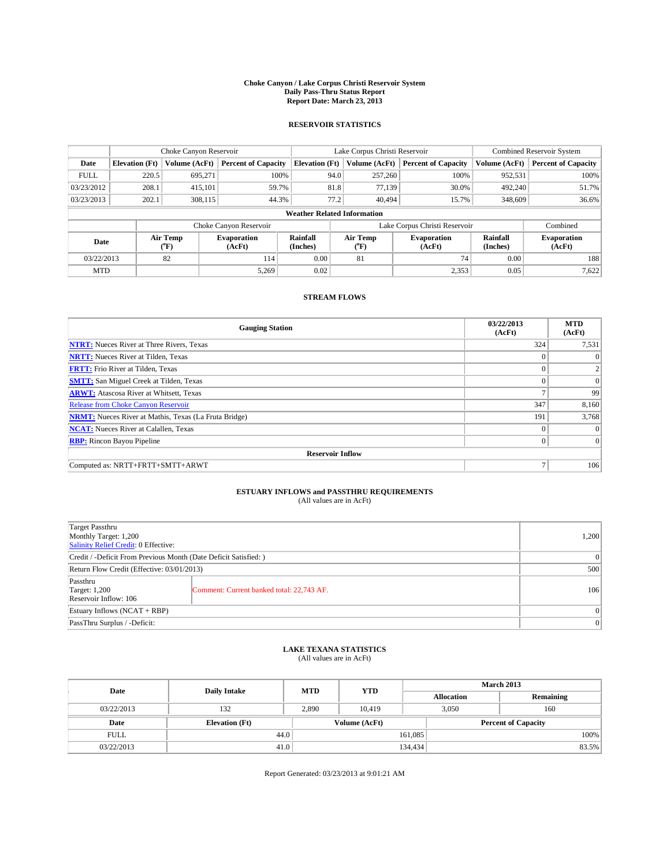#### **Choke Canyon / Lake Corpus Christi Reservoir System Daily Pass-Thru Status Report Report Date: March 23, 2013**

### **RESERVOIR STATISTICS**

|             |                                    | Choke Canyon Reservoir |                              |                       | Lake Corpus Christi Reservoir | <b>Combined Reservoir System</b> |                      |                              |  |
|-------------|------------------------------------|------------------------|------------------------------|-----------------------|-------------------------------|----------------------------------|----------------------|------------------------------|--|
| Date        | <b>Elevation</b> (Ft)              | Volume (AcFt)          | <b>Percent of Capacity</b>   | <b>Elevation (Ft)</b> | Volume (AcFt)                 | <b>Percent of Capacity</b>       | Volume (AcFt)        | <b>Percent of Capacity</b>   |  |
| <b>FULL</b> | 220.5                              | 695,271                | 100%                         | 94.0                  | 257,260                       | 100%                             | 952,531              | 100%                         |  |
| 03/23/2012  | 208.1                              | 415,101                | 59.7%                        | 81.8                  | 77,139                        | 30.0%                            | 492,240              | 51.7%                        |  |
| 03/23/2013  | 202.1                              | 308,115                | 44.3%                        | 77.2                  | 40.494                        | 15.7%                            | 348,609              | 36.6%                        |  |
|             | <b>Weather Related Information</b> |                        |                              |                       |                               |                                  |                      |                              |  |
|             |                                    |                        | Choke Canyon Reservoir       |                       |                               | Lake Corpus Christi Reservoir    |                      | Combined                     |  |
| Date        |                                    | Air Temp<br>(°F)       | <b>Evaporation</b><br>(AcFt) | Rainfall<br>(Inches)  | Air Temp<br>(°F)              | <b>Evaporation</b><br>(AcFt)     | Rainfall<br>(Inches) | <b>Evaporation</b><br>(AcFt) |  |
| 03/22/2013  |                                    | 82                     | 114                          | 0.00                  | 81                            | 74                               | 0.00                 | 188                          |  |
| <b>MTD</b>  |                                    |                        | 5.269                        | 0.02                  |                               | 2,353                            | 0.05                 | 7,622                        |  |

### **STREAM FLOWS**

| <b>Gauging Station</b>                                       | 03/22/2013<br>(AcFt) | <b>MTD</b><br>(AcFt) |  |  |  |  |  |
|--------------------------------------------------------------|----------------------|----------------------|--|--|--|--|--|
| <b>NTRT:</b> Nueces River at Three Rivers, Texas             | 324                  | 7,531                |  |  |  |  |  |
| <b>NRTT:</b> Nueces River at Tilden, Texas                   |                      | $\theta$             |  |  |  |  |  |
| <b>FRTT:</b> Frio River at Tilden, Texas                     |                      |                      |  |  |  |  |  |
| <b>SMTT:</b> San Miguel Creek at Tilden, Texas               | $\theta$             | $\overline{0}$       |  |  |  |  |  |
| <b>ARWT:</b> Atascosa River at Whitsett, Texas               | Ξ                    | 99                   |  |  |  |  |  |
| <b>Release from Choke Canyon Reservoir</b>                   | 347                  | 8,160                |  |  |  |  |  |
| <b>NRMT:</b> Nueces River at Mathis, Texas (La Fruta Bridge) | 191                  | 3,768                |  |  |  |  |  |
| <b>NCAT:</b> Nueces River at Calallen, Texas                 | $\theta$             | $\Omega$             |  |  |  |  |  |
| <b>RBP:</b> Rincon Bayou Pipeline                            | $\Omega$             | $\Omega$             |  |  |  |  |  |
| <b>Reservoir Inflow</b>                                      |                      |                      |  |  |  |  |  |
| Computed as: NRTT+FRTT+SMTT+ARWT                             | Ξ                    | 106                  |  |  |  |  |  |

# **ESTUARY INFLOWS and PASSTHRU REQUIREMENTS**<br>(All values are in AcFt)

| <b>Target Passthru</b><br>Monthly Target: 1,200<br>Salinity Relief Credit: 0 Effective: |                                           |     |  |  |
|-----------------------------------------------------------------------------------------|-------------------------------------------|-----|--|--|
| Credit / -Deficit From Previous Month (Date Deficit Satisfied: )                        |                                           |     |  |  |
| Return Flow Credit (Effective: 03/01/2013)                                              |                                           |     |  |  |
| Passthru<br><b>Target: 1,200</b><br>Reservoir Inflow: 106                               | Comment: Current banked total: 22,743 AF. | 106 |  |  |
| Estuary Inflows (NCAT + RBP)                                                            |                                           |     |  |  |
| PassThru Surplus / -Deficit:                                                            | 0                                         |     |  |  |

## **LAKE TEXANA STATISTICS** (All values are in AcFt)

| Date        | <b>Daily Intake</b>   | <b>MTD</b> | <b>YTD</b>    | <b>March 2013</b> |                            |           |  |
|-------------|-----------------------|------------|---------------|-------------------|----------------------------|-----------|--|
|             |                       |            |               | <b>Allocation</b> |                            | Remaining |  |
| 03/22/2013  | 132                   | 2,890      | 10.419        |                   | 3,050<br>160               |           |  |
| Date        | <b>Elevation</b> (Ft) |            | Volume (AcFt) |                   | <b>Percent of Capacity</b> |           |  |
| <b>FULL</b> | 44.0                  |            |               | 161,085           |                            | 100%      |  |
| 03/22/2013  | 41.0                  |            |               | 134,434           |                            | 83.5%     |  |

Report Generated: 03/23/2013 at 9:01:21 AM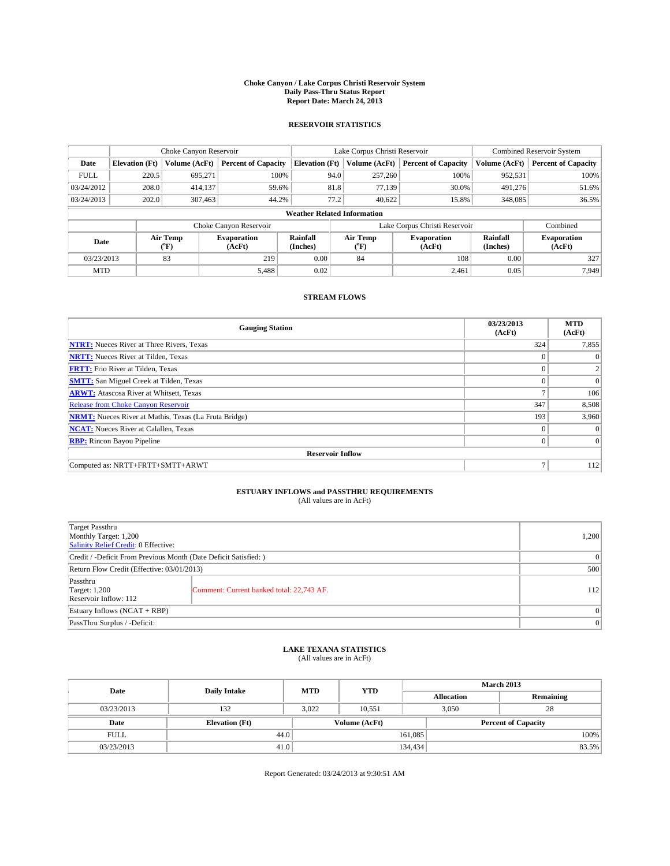#### **Choke Canyon / Lake Corpus Christi Reservoir System Daily Pass-Thru Status Report Report Date: March 24, 2013**

### **RESERVOIR STATISTICS**

|             |                                    | Choke Canyon Reservoir |                              |                       | Lake Corpus Christi Reservoir | Combined Reservoir System     |                      |                              |  |
|-------------|------------------------------------|------------------------|------------------------------|-----------------------|-------------------------------|-------------------------------|----------------------|------------------------------|--|
| Date        | <b>Elevation</b> (Ft)              | Volume (AcFt)          | <b>Percent of Capacity</b>   | <b>Elevation (Ft)</b> | Volume (AcFt)                 | <b>Percent of Capacity</b>    | Volume (AcFt)        | <b>Percent of Capacity</b>   |  |
| <b>FULL</b> | 220.5                              | 695,271                | 100%                         | 94.0                  | 257,260                       | 100%                          | 952,531              | 100%                         |  |
| 03/24/2012  | 208.0                              | 414,137                | 59.6%                        | 81.8                  | 77,139                        | 30.0%                         | 491,276              | 51.6%                        |  |
| 03/24/2013  | 202.0                              | 307.463                | 44.2%                        | 77.2                  | 40.622                        | 15.8%                         | 348,085              | 36.5%                        |  |
|             | <b>Weather Related Information</b> |                        |                              |                       |                               |                               |                      |                              |  |
|             |                                    |                        | Choke Canyon Reservoir       |                       |                               | Lake Corpus Christi Reservoir |                      | Combined                     |  |
| Date        |                                    | Air Temp<br>(°F)       | <b>Evaporation</b><br>(AcFt) | Rainfall<br>(Inches)  | Air Temp<br>("F)              | <b>Evaporation</b><br>(AcFt)  | Rainfall<br>(Inches) | <b>Evaporation</b><br>(AcFt) |  |
| 03/23/2013  |                                    | 83                     | 219                          | 0.00                  | 84                            | 108                           |                      | 327                          |  |
| <b>MTD</b>  |                                    |                        | 5,488                        | 0.02                  |                               | 2.461                         | 0.05                 | 7.949                        |  |

### **STREAM FLOWS**

| <b>Gauging Station</b>                                       | 03/23/2013<br>(AcFt) | <b>MTD</b><br>(AcFt) |  |  |  |  |
|--------------------------------------------------------------|----------------------|----------------------|--|--|--|--|
| <b>NTRT:</b> Nueces River at Three Rivers, Texas             | 324                  | 7,855                |  |  |  |  |
| <b>NRTT:</b> Nueces River at Tilden, Texas                   | $\theta$             | $\theta$             |  |  |  |  |
| <b>FRTT:</b> Frio River at Tilden, Texas                     |                      |                      |  |  |  |  |
| <b>SMTT:</b> San Miguel Creek at Tilden, Texas               | $\theta$             | $\overline{0}$       |  |  |  |  |
| <b>ARWT:</b> Atascosa River at Whitsett, Texas               | Ξ                    | 106                  |  |  |  |  |
| <b>Release from Choke Canyon Reservoir</b>                   | 347                  | 8,508                |  |  |  |  |
| <b>NRMT:</b> Nueces River at Mathis, Texas (La Fruta Bridge) | 193                  | 3,960                |  |  |  |  |
| <b>NCAT:</b> Nueces River at Calallen, Texas                 | $\theta$             | $\Omega$             |  |  |  |  |
| <b>RBP:</b> Rincon Bayou Pipeline                            | $\Omega$             | $\Omega$             |  |  |  |  |
| <b>Reservoir Inflow</b>                                      |                      |                      |  |  |  |  |
| Computed as: NRTT+FRTT+SMTT+ARWT                             | Ξ                    | 112                  |  |  |  |  |

# **ESTUARY INFLOWS and PASSTHRU REQUIREMENTS**<br>(All values are in AcFt)

| <b>Target Passthru</b><br>Monthly Target: 1,200<br>Salinity Relief Credit: 0 Effective: |                                           |     |  |  |
|-----------------------------------------------------------------------------------------|-------------------------------------------|-----|--|--|
| Credit / -Deficit From Previous Month (Date Deficit Satisfied: )                        |                                           |     |  |  |
| Return Flow Credit (Effective: 03/01/2013)                                              |                                           |     |  |  |
| Passthru<br><b>Target: 1,200</b><br>Reservoir Inflow: 112                               | Comment: Current banked total: 22,743 AF. | 112 |  |  |
| Estuary Inflows (NCAT + RBP)                                                            |                                           |     |  |  |
| PassThru Surplus / -Deficit:                                                            |                                           |     |  |  |

## **LAKE TEXANA STATISTICS** (All values are in AcFt)

| Date        | <b>Daily Intake</b>   | <b>MTD</b> | <b>YTD</b>    | <b>March 2013</b> |                            |           |  |
|-------------|-----------------------|------------|---------------|-------------------|----------------------------|-----------|--|
|             |                       |            |               | <b>Allocation</b> |                            | Remaining |  |
| 03/23/2013  | 132                   | 3,022      | 10,551        |                   | 3,050<br>28                |           |  |
| Date        | <b>Elevation</b> (Ft) |            | Volume (AcFt) |                   | <b>Percent of Capacity</b> |           |  |
| <b>FULL</b> | 44.0                  |            |               | 161,085           |                            | 100%      |  |
| 03/23/2013  | 41.0                  |            |               | 134,434           |                            | 83.5%     |  |

Report Generated: 03/24/2013 at 9:30:51 AM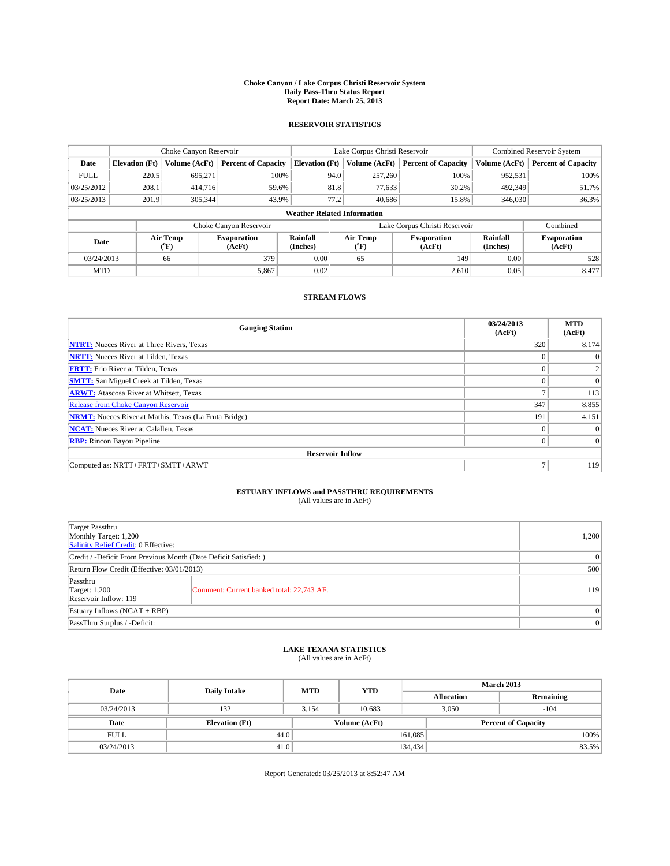#### **Choke Canyon / Lake Corpus Christi Reservoir System Daily Pass-Thru Status Report Report Date: March 25, 2013**

### **RESERVOIR STATISTICS**

|             | Choke Canyon Reservoir |                                      |                              |                                                                               | Lake Corpus Christi Reservoir | <b>Combined Reservoir System</b> |                      |                              |
|-------------|------------------------|--------------------------------------|------------------------------|-------------------------------------------------------------------------------|-------------------------------|----------------------------------|----------------------|------------------------------|
| Date        | <b>Elevation</b> (Ft)  | Volume (AcFt)                        | <b>Percent of Capacity</b>   | <b>Elevation (Ft)</b>                                                         | Volume (AcFt)                 | <b>Percent of Capacity</b>       | Volume (AcFt)        | <b>Percent of Capacity</b>   |
| <b>FULL</b> | 220.5                  | 695,271                              | 100%                         | 94.0                                                                          | 257,260                       | 100%                             | 952,531              | 100%                         |
| 03/25/2012  | 208.1                  | 414,716                              | 59.6%                        | 81.8                                                                          | 77,633                        | 30.2%                            | 492,349              | 51.7%                        |
| 03/25/2013  | 201.9                  | 305.344                              | 43.9%                        | 77.2                                                                          | 40.686                        | 15.8%                            | 346,030              | 36.3%                        |
|             |                        |                                      |                              | <b>Weather Related Information</b>                                            |                               |                                  |                      |                              |
|             |                        |                                      | Choke Canyon Reservoir       |                                                                               |                               | Lake Corpus Christi Reservoir    |                      | Combined                     |
| Date        |                        | Air Temp<br>$({}^{\circ}\mathrm{F})$ | <b>Evaporation</b><br>(AcFt) | Rainfall<br>Air Temp<br><b>Evaporation</b><br>(Inches)<br>(AcFt)<br>$(^{0}F)$ |                               |                                  | Rainfall<br>(Inches) | <b>Evaporation</b><br>(AcFt) |
| 03/24/2013  |                        | 66                                   | 379                          | 0.00                                                                          | 65                            | 149                              | 0.00                 | 528                          |
| <b>MTD</b>  |                        |                                      | 5,867                        | 0.02                                                                          |                               | 2,610                            | 0.05                 | 8,477                        |

### **STREAM FLOWS**

| <b>Gauging Station</b>                                       | 03/24/2013<br>(AcFt) | <b>MTD</b><br>(AcFt) |
|--------------------------------------------------------------|----------------------|----------------------|
| <b>NTRT:</b> Nueces River at Three Rivers, Texas             | 320                  | 8,174                |
| <b>NRTT:</b> Nueces River at Tilden, Texas                   | $\theta$             | $\theta$             |
| <b>FRTT:</b> Frio River at Tilden, Texas                     |                      |                      |
| <b>SMTT:</b> San Miguel Creek at Tilden, Texas               | $\theta$             | $\overline{0}$       |
| <b>ARWT:</b> Atascosa River at Whitsett, Texas               | Ξ                    | 113                  |
| <b>Release from Choke Canyon Reservoir</b>                   | 347                  | 8,855                |
| <b>NRMT:</b> Nueces River at Mathis, Texas (La Fruta Bridge) | 191                  | 4,151                |
| <b>NCAT:</b> Nueces River at Calallen, Texas                 | $\Omega$             | $\Omega$             |
| <b>RBP:</b> Rincon Bayou Pipeline                            | $\Omega$             | $\Omega$             |
| <b>Reservoir Inflow</b>                                      |                      |                      |
| Computed as: NRTT+FRTT+SMTT+ARWT                             | Ξ                    | 119                  |

# **ESTUARY INFLOWS and PASSTHRU REQUIREMENTS**<br>(All values are in AcFt)

| <b>Target Passthru</b><br>Monthly Target: 1,200<br>Salinity Relief Credit: 0 Effective: |                                           | 1,200    |  |
|-----------------------------------------------------------------------------------------|-------------------------------------------|----------|--|
| Credit / -Deficit From Previous Month (Date Deficit Satisfied: )                        |                                           | $\Omega$ |  |
| Return Flow Credit (Effective: 03/01/2013)                                              |                                           |          |  |
| Passthru<br><b>Target: 1,200</b><br>Reservoir Inflow: 119                               | Comment: Current banked total: 22,743 AF. | 119      |  |
| Estuary Inflows (NCAT + RBP)                                                            | $\Omega$                                  |          |  |
| PassThru Surplus / -Deficit:                                                            |                                           | 0        |  |

## **LAKE TEXANA STATISTICS** (All values are in AcFt)

| Date        | <b>Daily Intake</b>   | <b>MTD</b> | <b>YTD</b>    | <b>March 2013</b> |                            |           |  |
|-------------|-----------------------|------------|---------------|-------------------|----------------------------|-----------|--|
|             |                       |            |               | <b>Allocation</b> |                            | Remaining |  |
| 03/24/2013  | 132                   | 3,154      | 10.683        |                   | 3,050                      | $-104$    |  |
| Date        | <b>Elevation</b> (Ft) |            | Volume (AcFt) |                   | <b>Percent of Capacity</b> |           |  |
| <b>FULL</b> | 44.0                  |            |               | 161,085           |                            | 100%      |  |
| 03/24/2013  | 41.0                  |            |               | 134,434           |                            | 83.5%     |  |

Report Generated: 03/25/2013 at 8:52:47 AM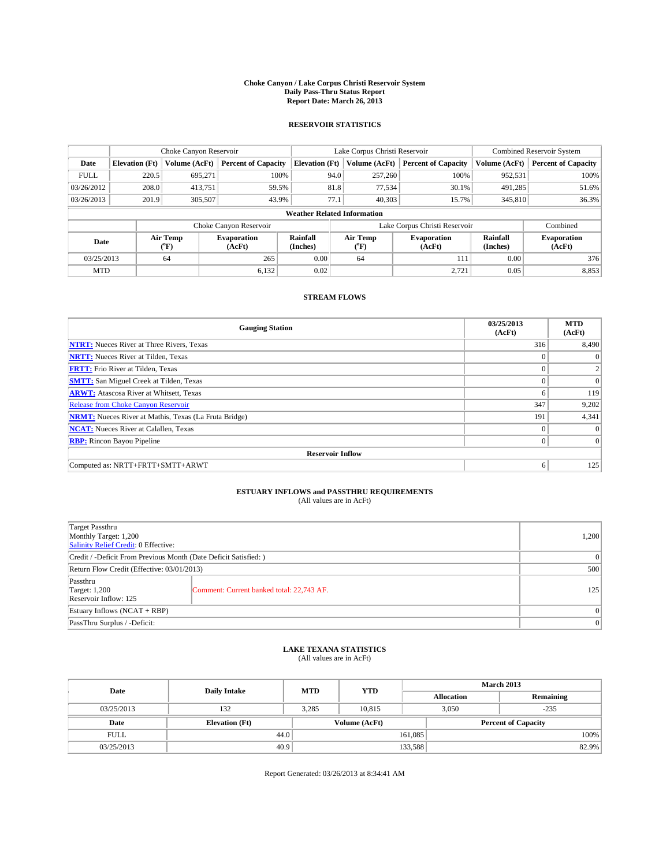#### **Choke Canyon / Lake Corpus Christi Reservoir System Daily Pass-Thru Status Report Report Date: March 26, 2013**

### **RESERVOIR STATISTICS**

|             | Choke Canyon Reservoir |                  |                              |                                    | Lake Corpus Christi Reservoir | Combined Reservoir System     |                      |                              |
|-------------|------------------------|------------------|------------------------------|------------------------------------|-------------------------------|-------------------------------|----------------------|------------------------------|
| Date        | <b>Elevation</b> (Ft)  | Volume (AcFt)    | <b>Percent of Capacity</b>   | <b>Elevation (Ft)</b>              | Volume (AcFt)                 | <b>Percent of Capacity</b>    | Volume (AcFt)        | <b>Percent of Capacity</b>   |
| <b>FULL</b> | 220.5                  | 695,271          | 100%                         | 94.0                               | 257,260                       | 100%                          | 952,531              | 100%                         |
| 03/26/2012  | 208.0                  | 413,751          | 59.5%                        | 81.8                               | 77,534                        | 30.1%                         | 491,285              | 51.6%                        |
| 03/26/2013  | 201.9                  | 305,507          | 43.9%                        | 77.1                               | 40.303                        | 15.7%                         | 345,810              | 36.3%                        |
|             |                        |                  |                              | <b>Weather Related Information</b> |                               |                               |                      |                              |
|             |                        |                  | Choke Canyon Reservoir       |                                    |                               | Lake Corpus Christi Reservoir |                      | Combined                     |
| Date        |                        | Air Temp<br>(°F) | <b>Evaporation</b><br>(AcFt) | Rainfall<br>(Inches)               | Air Temp<br>("F)              | <b>Evaporation</b><br>(AcFt)  | Rainfall<br>(Inches) | <b>Evaporation</b><br>(AcFt) |
| 03/25/2013  |                        | 64               | 265                          | 0.00                               | 64                            | 111                           | 0.00                 | 376                          |
| <b>MTD</b>  |                        |                  | 6,132                        | 0.02                               |                               | 2,721                         | 0.05                 | 8,853                        |

### **STREAM FLOWS**

| <b>Gauging Station</b>                                       | 03/25/2013<br>(AcFt) | <b>MTD</b><br>(AcFt) |
|--------------------------------------------------------------|----------------------|----------------------|
| <b>NTRT:</b> Nueces River at Three Rivers, Texas             | 316                  | 8,490                |
| <b>NRTT:</b> Nueces River at Tilden, Texas                   | $\theta$             | $\theta$             |
| <b>FRTT:</b> Frio River at Tilden, Texas                     |                      | 2                    |
| <b>SMTT:</b> San Miguel Creek at Tilden, Texas               | $\theta$             | $\overline{0}$       |
| <b>ARWT:</b> Atascosa River at Whitsett, Texas               | 6                    | 119                  |
| <b>Release from Choke Canyon Reservoir</b>                   | 347                  | 9,202                |
| <b>NRMT:</b> Nueces River at Mathis, Texas (La Fruta Bridge) | 191                  | 4,341                |
| <b>NCAT:</b> Nueces River at Calallen, Texas                 | $\theta$             | $\Omega$             |
| <b>RBP:</b> Rincon Bayou Pipeline                            | $\Omega$             | $\vert$ 0            |
| <b>Reservoir Inflow</b>                                      |                      |                      |
| Computed as: NRTT+FRTT+SMTT+ARWT                             | 6                    | 125                  |

# **ESTUARY INFLOWS and PASSTHRU REQUIREMENTS**<br>(All values are in AcFt)

| <b>Target Passthru</b><br>Monthly Target: 1,200<br>Salinity Relief Credit: 0 Effective: |                                           | 1,200    |  |  |
|-----------------------------------------------------------------------------------------|-------------------------------------------|----------|--|--|
| Credit / -Deficit From Previous Month (Date Deficit Satisfied: )                        |                                           | $\Omega$ |  |  |
| Return Flow Credit (Effective: 03/01/2013)                                              |                                           |          |  |  |
| Passthru<br><b>Target: 1,200</b><br>Reservoir Inflow: 125                               | Comment: Current banked total: 22,743 AF. | 125      |  |  |
| Estuary Inflows (NCAT + RBP)                                                            |                                           |          |  |  |
| PassThru Surplus / -Deficit:                                                            |                                           | 0        |  |  |

## **LAKE TEXANA STATISTICS** (All values are in AcFt)

| Date        | <b>Daily Intake</b>   | <b>MTD</b> | <b>YTD</b>    | <b>March 2013</b> |                            |           |       |
|-------------|-----------------------|------------|---------------|-------------------|----------------------------|-----------|-------|
|             |                       |            |               | <b>Allocation</b> |                            | Remaining |       |
| 03/25/2013  | 132                   | 3,285      | 10.815        |                   | 3,050                      | $-235$    |       |
| Date        | <b>Elevation</b> (Ft) |            | Volume (AcFt) |                   | <b>Percent of Capacity</b> |           |       |
| <b>FULL</b> | 44.0                  |            |               | 161,085           |                            |           | 100%  |
| 03/25/2013  | 40.9                  |            |               | 133,588           |                            |           | 82.9% |

Report Generated: 03/26/2013 at 8:34:41 AM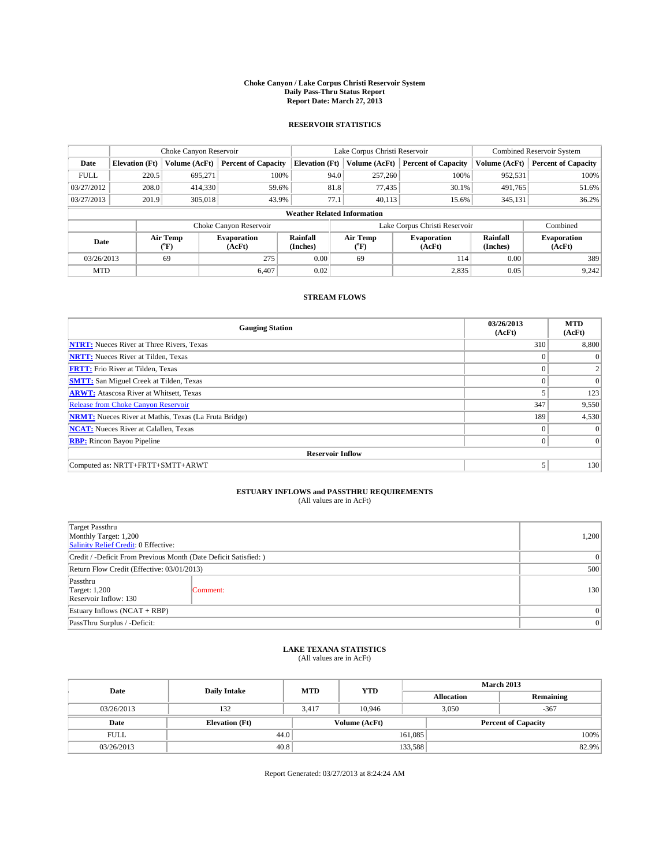#### **Choke Canyon / Lake Corpus Christi Reservoir System Daily Pass-Thru Status Report Report Date: March 27, 2013**

### **RESERVOIR STATISTICS**

|             | Choke Canyon Reservoir |                  |                              |                                    | Lake Corpus Christi Reservoir | Combined Reservoir System     |               |                              |
|-------------|------------------------|------------------|------------------------------|------------------------------------|-------------------------------|-------------------------------|---------------|------------------------------|
| Date        | <b>Elevation</b> (Ft)  | Volume (AcFt)    | <b>Percent of Capacity</b>   | <b>Elevation (Ft)</b>              | Volume (AcFt)                 | <b>Percent of Capacity</b>    | Volume (AcFt) | <b>Percent of Capacity</b>   |
| <b>FULL</b> | 220.5                  | 695,271          | 100%                         | 94.0                               | 257,260                       | 100%                          | 952,531       | 100%                         |
| 03/27/2012  | 208.0                  | 414,330          | 59.6%                        | 81.8                               | 77,435                        | 30.1%                         | 491,765       | 51.6%                        |
| 03/27/2013  | 201.9                  | 305,018          | 43.9%                        | 77.1                               | 40.113                        | 15.6%                         | 345,131       | 36.2%                        |
|             |                        |                  |                              | <b>Weather Related Information</b> |                               |                               |               |                              |
|             |                        |                  | Choke Canyon Reservoir       |                                    |                               | Lake Corpus Christi Reservoir |               | Combined                     |
| Date        |                        | Air Temp<br>(°F) | <b>Evaporation</b><br>(AcFt) | Rainfall<br>(Inches)               | Air Temp<br>("F)              | <b>Evaporation</b><br>(AcFt)  |               | <b>Evaporation</b><br>(AcFt) |
| 03/26/2013  |                        | 69               | 275                          | 0.00                               | 69                            | 114                           | 0.00          | 389                          |
| <b>MTD</b>  |                        |                  | 6.407                        | 0.02                               |                               | 2,835                         | 0.05          | 9,242                        |

### **STREAM FLOWS**

| <b>Gauging Station</b>                                       | 03/26/2013<br>(AcFt) | <b>MTD</b><br>(AcFt) |
|--------------------------------------------------------------|----------------------|----------------------|
| <b>NTRT:</b> Nueces River at Three Rivers, Texas             | 310                  | 8,800                |
| <b>NRTT:</b> Nueces River at Tilden, Texas                   | $\theta$             | $\theta$             |
| <b>FRTT:</b> Frio River at Tilden, Texas                     |                      | 2                    |
| <b>SMTT:</b> San Miguel Creek at Tilden, Texas               | $\theta$             | $\Omega$             |
| <b>ARWT:</b> Atascosa River at Whitsett, Texas               |                      | 123                  |
| Release from Choke Canyon Reservoir                          | 347                  | 9,550                |
| <b>NRMT:</b> Nueces River at Mathis, Texas (La Fruta Bridge) | 189                  | 4,530                |
| <b>NCAT:</b> Nueces River at Calallen, Texas                 | $\theta$             | $\Omega$             |
| <b>RBP:</b> Rincon Bayou Pipeline                            | $\Omega$             | $\vert$ 0            |
| <b>Reservoir Inflow</b>                                      |                      |                      |
| Computed as: NRTT+FRTT+SMTT+ARWT                             |                      | 130                  |

# **ESTUARY INFLOWS and PASSTHRU REQUIREMENTS**<br>(All values are in AcFt)

| Target Passthru<br>Monthly Target: 1,200<br>Salinity Relief Credit: 0 Effective: |                                                                  |     |  |  |  |
|----------------------------------------------------------------------------------|------------------------------------------------------------------|-----|--|--|--|
|                                                                                  | Credit / -Deficit From Previous Month (Date Deficit Satisfied: ) |     |  |  |  |
| Return Flow Credit (Effective: 03/01/2013)                                       |                                                                  |     |  |  |  |
| Passthru<br><b>Target: 1,200</b><br>Reservoir Inflow: 130                        | Comment:                                                         | 130 |  |  |  |
| Estuary Inflows (NCAT + RBP)                                                     |                                                                  |     |  |  |  |
| PassThru Surplus / -Deficit:                                                     |                                                                  | 0   |  |  |  |

## **LAKE TEXANA STATISTICS** (All values are in AcFt)

| Date        |                       | <b>MTD</b> | <b>YTD</b>    | <b>March 2013</b> |                            |           |  |
|-------------|-----------------------|------------|---------------|-------------------|----------------------------|-----------|--|
|             | <b>Daily Intake</b>   |            |               | <b>Allocation</b> |                            | Remaining |  |
| 03/26/2013  | 132                   | 3.417      | 10.946        |                   | 3,050                      | $-367$    |  |
| Date        | <b>Elevation</b> (Ft) |            | Volume (AcFt) |                   | <b>Percent of Capacity</b> |           |  |
| <b>FULL</b> | 44.0                  |            |               | 161,085           |                            | 100%      |  |
| 03/26/2013  | 40.8                  |            |               | 133,588           |                            | 82.9%     |  |

Report Generated: 03/27/2013 at 8:24:24 AM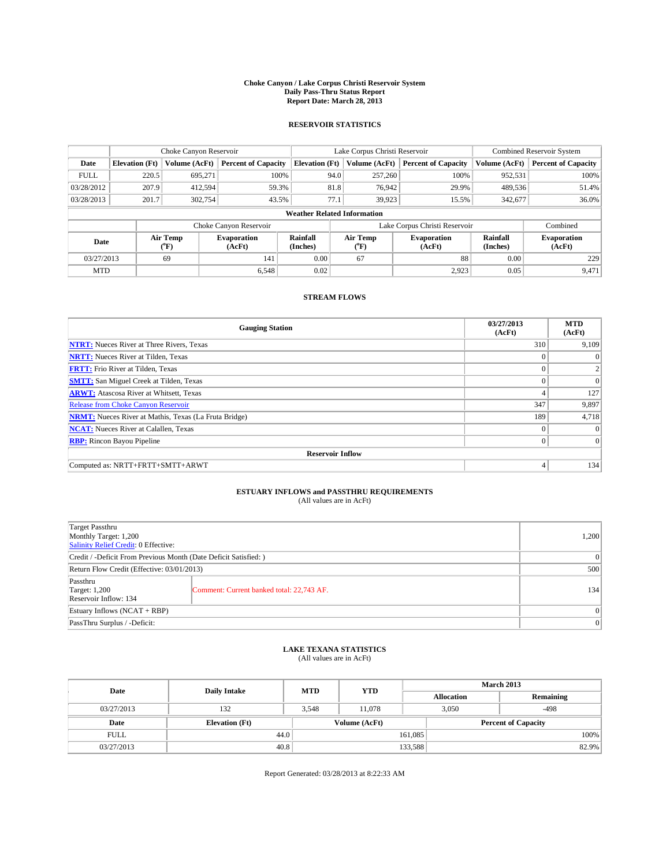#### **Choke Canyon / Lake Corpus Christi Reservoir System Daily Pass-Thru Status Report Report Date: March 28, 2013**

### **RESERVOIR STATISTICS**

|             | Choke Canyon Reservoir |                  |                              |                                    | Lake Corpus Christi Reservoir |                  |                              |                      | <b>Combined Reservoir System</b> |  |  |
|-------------|------------------------|------------------|------------------------------|------------------------------------|-------------------------------|------------------|------------------------------|----------------------|----------------------------------|--|--|
| Date        | <b>Elevation</b> (Ft)  | Volume (AcFt)    | <b>Percent of Capacity</b>   | <b>Elevation (Ft)</b>              |                               | Volume (AcFt)    | <b>Percent of Capacity</b>   | Volume (AcFt)        | <b>Percent of Capacity</b>       |  |  |
| <b>FULL</b> | 220.5                  | 695,271          | 100%                         |                                    | 94.0                          | 257,260          | 100%                         | 952,531              | 100%                             |  |  |
| 03/28/2012  | 207.9                  | 412,594          | 59.3%                        |                                    | 81.8                          | 76,942           | 29.9%                        | 489,536              | 51.4%                            |  |  |
| 03/28/2013  | 201.7                  | 302.754          | 43.5%                        |                                    | 77.1                          | 39.923           | 15.5%                        | 342,677              | 36.0%                            |  |  |
|             |                        |                  |                              | <b>Weather Related Information</b> |                               |                  |                              |                      |                                  |  |  |
|             |                        |                  | Choke Canyon Reservoir       |                                    | Lake Corpus Christi Reservoir |                  |                              |                      | Combined                         |  |  |
| Date        |                        | Air Temp<br>(°F) | <b>Evaporation</b><br>(AcFt) | Rainfall<br>(Inches)               |                               | Air Temp<br>("F) | <b>Evaporation</b><br>(AcFt) | Rainfall<br>(Inches) | <b>Evaporation</b><br>(AcFt)     |  |  |
| 03/27/2013  |                        | 69               | 141                          | 0.00                               |                               | 67               | 88                           | 0.00                 | 229                              |  |  |
| <b>MTD</b>  |                        |                  | 6.548                        | 0.02                               |                               |                  | 2,923                        | 0.05                 | 9,471                            |  |  |

### **STREAM FLOWS**

| <b>Gauging Station</b>                                       | 03/27/2013<br>(AcFt) | <b>MTD</b><br>(AcFt) |  |  |  |  |
|--------------------------------------------------------------|----------------------|----------------------|--|--|--|--|
| <b>NTRT:</b> Nueces River at Three Rivers, Texas             | 310                  | 9,109                |  |  |  |  |
| <b>NRTT:</b> Nueces River at Tilden, Texas                   | $\theta$             | $\theta$             |  |  |  |  |
| <b>FRTT:</b> Frio River at Tilden, Texas                     |                      | 2                    |  |  |  |  |
| <b>SMTT:</b> San Miguel Creek at Tilden, Texas               | $\theta$             | $\Omega$             |  |  |  |  |
| <b>ARWT:</b> Atascosa River at Whitsett, Texas               | 4                    | 127                  |  |  |  |  |
| <b>Release from Choke Canyon Reservoir</b>                   | 347                  | 9,897                |  |  |  |  |
| <b>NRMT:</b> Nueces River at Mathis, Texas (La Fruta Bridge) | 189                  | 4,718                |  |  |  |  |
| <b>NCAT:</b> Nueces River at Calallen, Texas                 | $\theta$             | $\Omega$             |  |  |  |  |
| <b>RBP:</b> Rincon Bayou Pipeline                            | $\Omega$             | $\vert$ 0            |  |  |  |  |
| <b>Reservoir Inflow</b>                                      |                      |                      |  |  |  |  |
| Computed as: NRTT+FRTT+SMTT+ARWT                             | 4                    | 134                  |  |  |  |  |

# **ESTUARY INFLOWS and PASSTHRU REQUIREMENTS**<br>(All values are in AcFt)

| <b>Target Passthru</b><br>Monthly Target: 1,200<br>Salinity Relief Credit: 0 Effective: |                                           |     |  |  |  |
|-----------------------------------------------------------------------------------------|-------------------------------------------|-----|--|--|--|
| Credit / -Deficit From Previous Month (Date Deficit Satisfied: )                        |                                           |     |  |  |  |
| Return Flow Credit (Effective: 03/01/2013)                                              |                                           |     |  |  |  |
| Passthru<br><b>Target: 1,200</b><br>Reservoir Inflow: 134                               | Comment: Current banked total: 22,743 AF. | 134 |  |  |  |
| Estuary Inflows (NCAT + RBP)                                                            |                                           |     |  |  |  |
| PassThru Surplus / -Deficit:                                                            |                                           |     |  |  |  |

## **LAKE TEXANA STATISTICS** (All values are in AcFt)

| Date        | <b>Daily Intake</b>   | <b>MTD</b> | <b>YTD</b>    | <b>March 2013</b> |                            |           |  |
|-------------|-----------------------|------------|---------------|-------------------|----------------------------|-----------|--|
|             |                       |            |               | <b>Allocation</b> |                            | Remaining |  |
| 03/27/2013  | 132                   | 3,548      | 11,078        |                   | 3,050<br>$-498$            |           |  |
| Date        | <b>Elevation</b> (Ft) |            | Volume (AcFt) |                   | <b>Percent of Capacity</b> |           |  |
| <b>FULL</b> | 44.0                  |            |               | 161,085           |                            | 100%      |  |
| 03/27/2013  | 40.8                  |            |               | 133,588           |                            | 82.9%     |  |

Report Generated: 03/28/2013 at 8:22:33 AM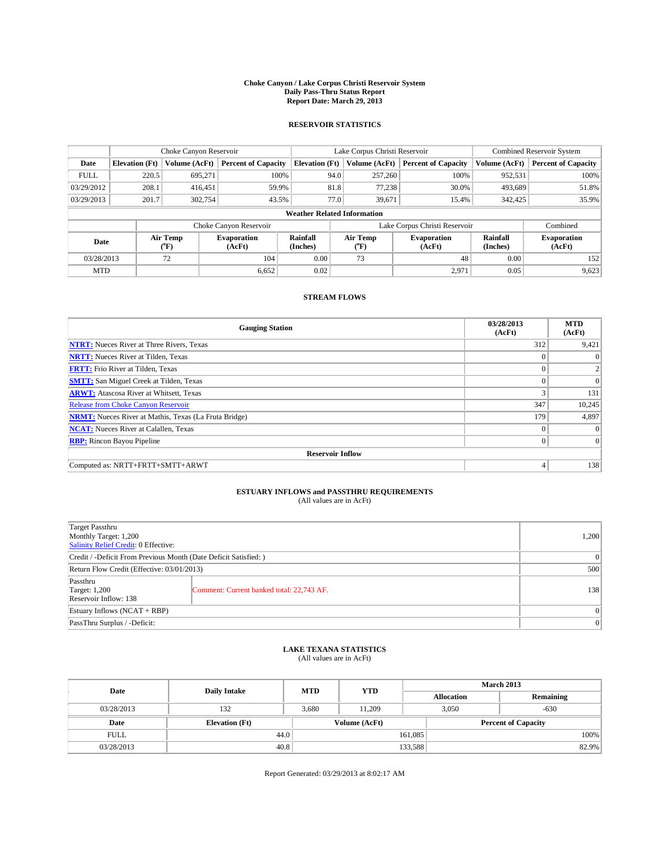#### **Choke Canyon / Lake Corpus Christi Reservoir System Daily Pass-Thru Status Report Report Date: March 29, 2013**

### **RESERVOIR STATISTICS**

|             |                       | Choke Canyon Reservoir |                              |                                    | Lake Corpus Christi Reservoir | <b>Combined Reservoir System</b> |                      |                              |
|-------------|-----------------------|------------------------|------------------------------|------------------------------------|-------------------------------|----------------------------------|----------------------|------------------------------|
| Date        | <b>Elevation</b> (Ft) | Volume (AcFt)          | <b>Percent of Capacity</b>   | <b>Elevation (Ft)</b>              | Volume (AcFt)                 | <b>Percent of Capacity</b>       | Volume (AcFt)        | <b>Percent of Capacity</b>   |
| <b>FULL</b> | 220.5                 | 695,271                | 100%                         | 94.0                               | 257,260                       | 100%                             | 952,531              | 100%                         |
| 03/29/2012  | 208.1                 | 416,451                | 59.9%                        | 81.8                               | 77,238                        | 30.0%                            | 493,689              | 51.8%                        |
| 03/29/2013  | 201.7                 | 302,754                | 43.5%                        | 77.0                               | 39,671                        | 15.4%                            | 342,425              | 35.9%                        |
|             |                       |                        |                              | <b>Weather Related Information</b> |                               |                                  |                      |                              |
|             |                       |                        | Choke Canyon Reservoir       |                                    |                               | Lake Corpus Christi Reservoir    |                      | Combined                     |
| Date        |                       | Air Temp<br>(°F)       | <b>Evaporation</b><br>(AcFt) | Rainfall<br>(Inches)               | Air Temp<br>$(^{0}F)$         | <b>Evaporation</b><br>(AcFt)     | Rainfall<br>(Inches) | <b>Evaporation</b><br>(AcFt) |
| 03/28/2013  |                       | 72                     | 104                          | 0.00                               | 73                            | 48                               | 0.00                 | 152                          |
| <b>MTD</b>  |                       |                        | 6,652                        | 0.02                               |                               | 2,971                            | 0.05                 | 9,623                        |

### **STREAM FLOWS**

| <b>Gauging Station</b>                                       | 03/28/2013<br>(AcFt) | <b>MTD</b><br>(AcFt) |  |  |  |  |
|--------------------------------------------------------------|----------------------|----------------------|--|--|--|--|
| <b>NTRT:</b> Nueces River at Three Rivers, Texas             | 312                  | 9,421                |  |  |  |  |
| <b>NRTT:</b> Nueces River at Tilden, Texas                   | $\theta$             |                      |  |  |  |  |
| <b>FRTT:</b> Frio River at Tilden, Texas                     |                      |                      |  |  |  |  |
| <b>SMTT:</b> San Miguel Creek at Tilden, Texas               | $\theta$             | $\overline{0}$       |  |  |  |  |
| <b>ARWT:</b> Atascosa River at Whitsett, Texas               | 3                    | 131                  |  |  |  |  |
| <b>Release from Choke Canyon Reservoir</b>                   | 347                  | 10,245               |  |  |  |  |
| <b>NRMT:</b> Nueces River at Mathis, Texas (La Fruta Bridge) | 179                  | 4,897                |  |  |  |  |
| <b>NCAT:</b> Nueces River at Calallen, Texas                 | $\theta$             | $\Omega$             |  |  |  |  |
| <b>RBP:</b> Rincon Bayou Pipeline                            | $\Omega$             | $\Omega$             |  |  |  |  |
| <b>Reservoir Inflow</b>                                      |                      |                      |  |  |  |  |
| Computed as: NRTT+FRTT+SMTT+ARWT                             | 4                    | 138                  |  |  |  |  |

# **ESTUARY INFLOWS and PASSTHRU REQUIREMENTS**<br>(All values are in AcFt)

| <b>Target Passthru</b><br>Monthly Target: 1,200<br>Salinity Relief Credit: 0 Effective: |                                           |     |  |  |  |
|-----------------------------------------------------------------------------------------|-------------------------------------------|-----|--|--|--|
| Credit / -Deficit From Previous Month (Date Deficit Satisfied: )                        |                                           |     |  |  |  |
| Return Flow Credit (Effective: 03/01/2013)                                              |                                           |     |  |  |  |
| Passthru<br><b>Target: 1,200</b><br>Reservoir Inflow: 138                               | Comment: Current banked total: 22,743 AF. | 138 |  |  |  |
| Estuary Inflows (NCAT + RBP)                                                            |                                           |     |  |  |  |
| PassThru Surplus / -Deficit:                                                            |                                           |     |  |  |  |

## **LAKE TEXANA STATISTICS** (All values are in AcFt)

| Date        | <b>Daily Intake</b>   | <b>MTD</b> | <b>YTD</b>    | <b>March 2013</b> |                 |                            |  |
|-------------|-----------------------|------------|---------------|-------------------|-----------------|----------------------------|--|
|             |                       |            |               | <b>Allocation</b> |                 | Remaining                  |  |
| 03/28/2013  | 132                   | 3,680      | 11.209        |                   | 3,050<br>$-630$ |                            |  |
| Date        | <b>Elevation</b> (Ft) |            | Volume (AcFt) |                   |                 | <b>Percent of Capacity</b> |  |
| <b>FULL</b> | 44.0                  |            |               | 161,085           |                 | 100%                       |  |
| 03/28/2013  | 40.8                  |            |               | 133,588           |                 | 82.9%                      |  |

Report Generated: 03/29/2013 at 8:02:17 AM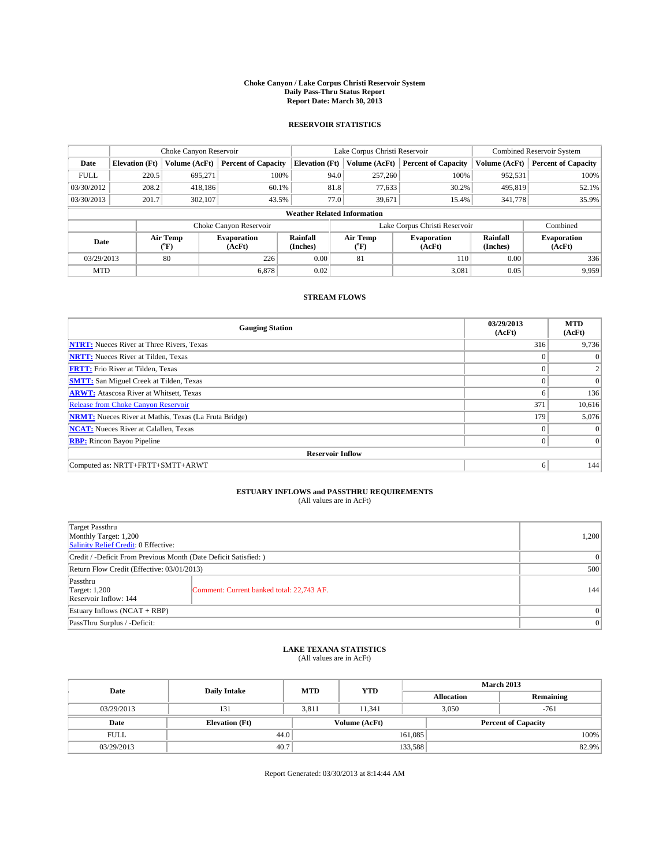#### **Choke Canyon / Lake Corpus Christi Reservoir System Daily Pass-Thru Status Report Report Date: March 30, 2013**

### **RESERVOIR STATISTICS**

|             |                       | Choke Canyon Reservoir |                              |                                    | Lake Corpus Christi Reservoir | Combined Reservoir System  |                      |                              |
|-------------|-----------------------|------------------------|------------------------------|------------------------------------|-------------------------------|----------------------------|----------------------|------------------------------|
| Date        | <b>Elevation</b> (Ft) | Volume (AcFt)          | <b>Percent of Capacity</b>   | <b>Elevation</b> (Ft)              | Volume (AcFt)                 | <b>Percent of Capacity</b> | Volume (AcFt)        | <b>Percent of Capacity</b>   |
| <b>FULL</b> | 220.5                 | 695.271                | 100%                         | 94.0                               | 257,260                       | 100%                       | 952,531              | 100%                         |
| 03/30/2012  | 208.2                 | 418,186                | 60.1%                        | 81.8                               | 77,633                        | 30.2%                      | 495,819              | 52.1%                        |
| 03/30/2013  | 201.7                 | 302,107                | 43.5%                        | 77.0                               | 39.671                        | 15.4%                      | 341,778              | 35.9%                        |
|             |                       |                        |                              | <b>Weather Related Information</b> |                               |                            |                      |                              |
|             |                       |                        | Choke Canyon Reservoir       |                                    | Lake Corpus Christi Reservoir |                            | Combined             |                              |
| Date        |                       | Air Temp<br>(°F)       | <b>Evaporation</b><br>(AcFt) | Rainfall<br>(Inches)               | Air Temp<br>$(^{0}F)$         | Evaporation<br>(AcFt)      | Rainfall<br>(Inches) | <b>Evaporation</b><br>(AcFt) |
| 03/29/2013  |                       | 80                     | 226                          | 0.00                               | 81                            | 110                        | 0.00                 | 336                          |
| <b>MTD</b>  |                       |                        | 6.878                        | 0.02                               |                               | 3,081                      | 0.05                 | 9,959                        |

### **STREAM FLOWS**

| <b>Gauging Station</b>                                       | 03/29/2013<br>(AcFt) | <b>MTD</b><br>(AcFt) |  |  |  |  |
|--------------------------------------------------------------|----------------------|----------------------|--|--|--|--|
| <b>NTRT:</b> Nueces River at Three Rivers, Texas             | 316                  | 9,736                |  |  |  |  |
| <b>NRTT:</b> Nueces River at Tilden, Texas                   | $\theta$             | $\theta$             |  |  |  |  |
| <b>FRTT:</b> Frio River at Tilden, Texas                     |                      |                      |  |  |  |  |
| <b>SMTT:</b> San Miguel Creek at Tilden, Texas               | $\theta$             | $\overline{0}$       |  |  |  |  |
| <b>ARWT:</b> Atascosa River at Whitsett, Texas               | 6                    | 136                  |  |  |  |  |
| <b>Release from Choke Canyon Reservoir</b>                   | 371                  | 10,616               |  |  |  |  |
| <b>NRMT:</b> Nueces River at Mathis, Texas (La Fruta Bridge) | 179                  | 5,076                |  |  |  |  |
| <b>NCAT:</b> Nueces River at Calallen, Texas                 | $\Omega$             | $\Omega$             |  |  |  |  |
| <b>RBP:</b> Rincon Bayou Pipeline                            | $\Omega$             | $\Omega$             |  |  |  |  |
| <b>Reservoir Inflow</b>                                      |                      |                      |  |  |  |  |
| Computed as: NRTT+FRTT+SMTT+ARWT                             | 6                    | 144                  |  |  |  |  |

# **ESTUARY INFLOWS and PASSTHRU REQUIREMENTS**<br>(All values are in AcFt)

| <b>Target Passthru</b><br>Monthly Target: 1,200<br>Salinity Relief Credit: 0 Effective: |                                           | 1,200 |  |  |
|-----------------------------------------------------------------------------------------|-------------------------------------------|-------|--|--|
| Credit / -Deficit From Previous Month (Date Deficit Satisfied: )                        |                                           |       |  |  |
| Return Flow Credit (Effective: 03/01/2013)                                              |                                           |       |  |  |
| Passthru<br><b>Target: 1,200</b><br>Reservoir Inflow: 144                               | Comment: Current banked total: 22,743 AF. | 144   |  |  |
| Estuary Inflows (NCAT + RBP)                                                            | $\Omega$                                  |       |  |  |
| PassThru Surplus / -Deficit:                                                            |                                           | 0     |  |  |

## **LAKE TEXANA STATISTICS** (All values are in AcFt)

| Date        | <b>Daily Intake</b>   | <b>MTD</b> | <b>YTD</b>    | <b>March 2013</b> |                            |           |  |
|-------------|-----------------------|------------|---------------|-------------------|----------------------------|-----------|--|
|             |                       |            |               | <b>Allocation</b> |                            | Remaining |  |
| 03/29/2013  | 131                   | 3.811      | 11.341        |                   | 3,050<br>$-761$            |           |  |
| Date        | <b>Elevation</b> (Ft) |            | Volume (AcFt) |                   | <b>Percent of Capacity</b> |           |  |
| <b>FULL</b> | 44.0                  |            |               | 161,085           |                            | 100%      |  |
| 03/29/2013  | 40.7                  |            |               | 133,588           |                            | 82.9%     |  |

Report Generated: 03/30/2013 at 8:14:44 AM